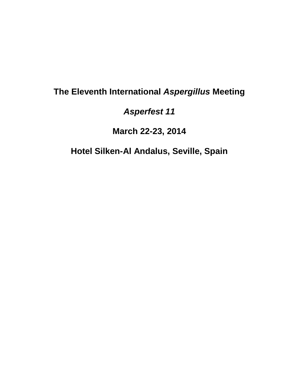# **The Eleventh International** *Aspergillus* **Meeting**

*Asperfest 11*

**March 22-23, 2014**

**Hotel Silken-Al Andalus, Seville, Spain**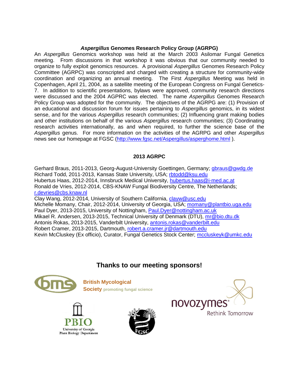#### *Aspergillus* **Genomes Research Policy Group (AGRPG)**

An *Aspergillus* Genomics workshop was held at the March 2003 Asilomar Fungal Genetics meeting. From discussions in that workshop it was obvious that our community needed to organize to fully exploit genomics resources. A provisional *Aspergillus* Genomes Research Policy Committee (AGRPC) was conscripted and charged with creating a structure for community-wide coordination and organizing an annual meeting. The First *Aspergillus* Meeting was held in Copenhagen, April 21, 2004, as a satellite meeting of the European Congress on Fungal Genetics-7. In addition to scientific presentations, bylaws were approved, community research directions were discussed and the 2004 AGPRC was elected. The name *Aspergillus* Genomes Research Policy Group was adopted for the community. The objectives of the AGRPG are: (1) Provision of an educational and discussion forum for issues pertaining to *Aspergillus* genomics, in its widest sense, and for the various *Aspergillus* research communities; (2) Influencing grant making bodies and other institutions on behalf of the various *Aspergillus* research communities; (3) Coordinating research activities internationally, as and when required, to further the science base of the *Aspergillus* genus. For more information on the activities of the AGRPG and other *Aspergillus* news see our homepage at FGSC [\(http://www.fgsc.net/Aspergillus/asperghome.html](http://www.fgsc.net/Aspergillus/asperghome.html) ).

#### **2013 AGRPC**

Gerhard Braus, 2011-2013, Georg-August-University Goettingen, Germany; [gbraus@gwdg.de](mailto:gbraus@gwdg.de) Richard Todd, 2011-2013, Kansas State University, USA; [rbtodd@ksu.edu](mailto:rbtodd@ksu.edu) Hubertus Haas, 2012-2014, Innsbruck Medical University, [hubertus.haas@i-med.ac.at](mailto:hubertus.haas@i-med.ac.at) Ronald de Vries, 2012-2014, CBS-KNAW Fungal Biodiversity Centre, The Netherlands; [r.devries@cbs.knaw.nl](mailto:r.devries@cbs.knaw.nl) Clay Wang, 2012-2014, University of Southern California, [clayw@usc.edu](mailto:clayw@usc.edu)

Michelle Momany, Chair, 2012-2014, University of Georgia, USA; [momany@plantbio.uga.edu](mailto:momany@plantbio.uga.edu) Paul Dyer, 2013-2015, University of Nottingham, [Paul.Dyer@nottingham.ac.uk](mailto:Paul.Dyer@nottingham.ac.uk) Mikael R. Andersen, 2013-2015, Technical University of Denmark (DTU), [mr@bio.dtu.dk](mailto:mr@bio.dtu.dk) Antonis Rokas, 2013-2015, Vanderbilt University, [antonis.rokas@vanderbilt.edu](mailto:antonis.rokas@vanderbilt.edu) Robert Cramer, 2013-2015, Dartmouth, [robert.a.cramer.jr@dartmouth.edu](mailto:robert.a.cramer.jr@dartmouth.edu) Kevin McCluskey (Ex officio), Curator, Fungal Genetics Stock Center; [mccluskeyk@umkc.edu](mailto:mccluskeyk@umkc.edu)

## **Thanks to our meeting sponsors!**



**British Mycological Society promoting fungal science**





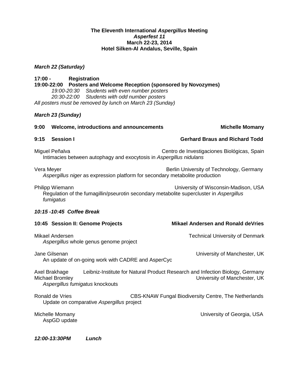#### **The Eleventh International** *Aspergillus* **Meeting**  *Asperfest 11* **March 22-23, 2014 Hotel Silken-Al Andalus, Seville, Spain**

#### *March 22 (Saturday)*

**17:00 - Registration 19:00-22:00 Posters and Welcome Reception (sponsored by Novozymes)** *19:00-20:30 Students with even number posters 20:30-22:00 Students with odd number posters All posters must be removed by lunch on March 23 (Sunday)*

#### *March 23 (Sunday)*

| 9:00                                                                                                                                                            | Welcome, introductions and announcements                                              | <b>Michelle Momany</b>                                                                                        |
|-----------------------------------------------------------------------------------------------------------------------------------------------------------------|---------------------------------------------------------------------------------------|---------------------------------------------------------------------------------------------------------------|
| 9:15                                                                                                                                                            | <b>Session I</b>                                                                      | <b>Gerhard Braus and Richard Todd</b>                                                                         |
|                                                                                                                                                                 | Miguel Peñalva<br>Intimacies between autophagy and exocytosis in Aspergillus nidulans | Centro de Investigaciones Biológicas, Spain                                                                   |
| Vera Meyer                                                                                                                                                      | Aspergillus niger as expression platform for secondary metabolite production          | Berlin University of Technology, Germany                                                                      |
| Philipp Wiemann<br>University of Wisconsin-Madison, USA<br>Regulation of the fumagillin/pseurotin secondary metabolite supercluster in Aspergillus<br>fumigatus |                                                                                       |                                                                                                               |
| 10:15 -10:45 Coffee Break                                                                                                                                       |                                                                                       |                                                                                                               |
|                                                                                                                                                                 | 10:45 Session II: Genome Projects                                                     | <b>Mikael Andersen and Ronald deVries</b>                                                                     |
|                                                                                                                                                                 | Mikael Andersen<br>Aspergillus whole genus genome project                             | <b>Technical University of Denmark</b>                                                                        |
|                                                                                                                                                                 | Jane Gilsenan<br>An update of on-going work with CADRE and AsperCyc                   | University of Manchester, UK                                                                                  |
|                                                                                                                                                                 | Axel Brakhage<br><b>Michael Bromley</b><br>Aspergillus fumigatus knockouts            | Leibniz-Institute for Natural Product Research and Infection Biology, Germany<br>University of Manchester, UK |
|                                                                                                                                                                 | Ronald de Vries<br>Update on comparative Aspergillus project                          | CBS-KNAW Fungal Biodiversity Centre, The Netherlands                                                          |
|                                                                                                                                                                 | Michelle Momany<br>AspGD update                                                       | University of Georgia, USA                                                                                    |

*12:00-13:30PM Lunch*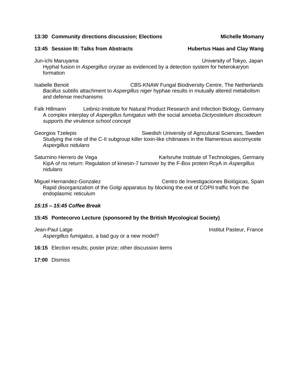#### **13:45 Session III: Talks from Abstracts Hubertus Haas and Clay Wang**

Jun-ichi Maruyama University of Tokyo, Japan Hyphal fusion in *Aspergillus oryzae* as evidenced by a detection system for heterokaryon formation

Isabelle Benoit CBS-KNAW Fungal Biodiversity Centre, The Netherlands *Bacillus subtilis* attachment to *Aspergillus niger* hyphae results in mutually altered metabolism and defense mechanisms

Falk Hillmann Leibniz-Institute for Natural Product Research and Infection Biology, Germany A complex interplay of *Aspergillus fumigatus* with the social amoeba *Dictyostelium discoideum supports the virulence school concept*

Georgios Tzelepis **Swedish University of Agricultural Sciences**, Sweden Studying the role of the C-II subgroup killer toxin-like chitinases in the filamentous ascomycete *Aspergillus nidulans*

Saturnino Herrero de Vega **Karlsruhe Institute of Technologies, Germany** KipA of no return: Regulation of kinesin-7 turnover by the F-Box protein RcyA in *Aspergillus nidulans*

Miguel Hernandez-Gonzalez Centro de Investigaciones Biológicas, Spain Rapid disorganization of the Golgi apparatus by blocking the exit of COPII traffic from the endoplasmic reticulum

## *15:15 – 15:45 Coffee Break*

## **15:45 Pontecorvo Lecture (sponsored by the British Mycological Society)**

Jean-Paul Latge Institut Pasteur, France *Aspergillus fumigatus*, a bad guy or a new model?

**16:15** Election results; poster prize; other discussion items

**17:00** Dismiss

**13:30 Community directions discussion; Elections Michelle Momany Michelle Momany**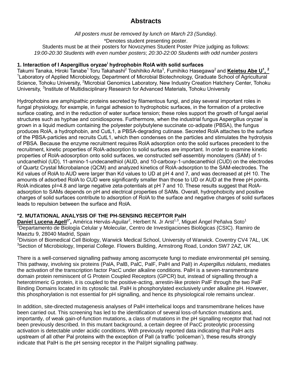## **Abstracts**

*All posters must be removed by lunch on March 23 (Sunday).* \*Denotes student presenting poster. Students must be at their posters for Novozymes Student Poster Prize judging as follows: *19:00-20:30 Students with even number posters*; *20:30-22:00 Students with odd number posters*

#### **1. Interaction of I Aspergillus oryzae<sup>i</sup> hydrophobin RolA with solid surfaces**

Takumi Tanaka, Hiroki Tanabe<sup>1</sup> Toru Takahashi<sup>2</sup> Toshihiko Arita<sup>3</sup>, Fumihiko Hasegawa<sup>2</sup> and Keietsu Abe U<sup>1</sup>, <sup>2</sup> <sup>1</sup> Laboratory of Applied Microbiology, Department of Microbial Biotechnology, Graduate School of Agricultural Science, Tohoku University, <sup>2</sup>Microbial Genomics Laboratory, New Industry Creation Hatchery Center, Tohoku University, <sup>3</sup>Institute of Multidisciplinary Research for Advanced Materials, Tohoku University

Hydrophobins are amphipathic proteins secreted by filamentous fungi, and play several important roles in fungal physiology, for example, in fungal adhesion to hydrophobic surfaces, in the formation of a protective surface coating, and in the reduction of water surface tension; these roles support the growth of fungal aerial structures such as hyphae and conidiospores. Furthermore, when the industrial fungus Aspergillus oryzae<sup>i</sup> is grown in a liquid medium containing the polyester polybutylene succinate co-adipate (PBSA), the fungus produces RolA, a hydrophobin, and CutL1, a PBSA-degrading cutinase. Secreted RolA attaches to the surface of the PBSA-particles and recruits CutL1, which then condenses on the particles and stimulates the hydrolysis of PBSA. Because the enzyme recruitment requires RolA adsorption onto the solid surfaces precedent to the recruitment, kinetic properties of RolA-adsorption to solid surfaces are important. In order to examine kinetic properties of RolA-adosorption onto solid surfaces, we constructed self-assembly monolayers (SAM) of 1 undcanethiol (UD), 11-amino-1-undecanethiol (AUD, and 10-carboxy-1-undecanethiol (CUD) on the electrodes of Quartz Crystal Microbalance (QCM) and analyzed kinetics of RolA-adsorption to the SAM-electrodes. The Kd values of RolA to AUD were larger than Kd values to UD at pH 4 and 7, and was decreased at pH 10. The amounts of adsorbed RolA to CUD were significantly smaller than those to UD or AUD at the three pH points. RolA indicates pI=4.8 and large negative zeta-potentials at pH 7 and 10. These results suggest that RolAadsorption to SAMs depends on pH and electrical properties of SAMs. Overall, hydrophobicity and positive charges of solid surfaces contribute to adsorption of RolA to the surface and negative charges of solid surfaces leads to repulsion between the surface and RolA.

#### **\*2. MUTATIONAL ANALYSIS OF THE PH-SENSING RECEPTOR PalH**

**Daniel Lucena Agell<sup>1\*</sup>,** América Hervás-Aguilar<sup>2</sup>, Herbert N. Jr Arst<sup>1,3</sup>, Miguel Ángel Peñalva Soto<sup>1</sup> <sup>1</sup>Departamento de Biología Celular y Molecular, Centro de Investigaciones Biológicas (CSIC). Ramiro de Maeztu 9, 28040 Madrid, Spain

<sup>2</sup>Division of Biomedical Cell Biology, Warwick Medical School, University of Warwick. Coventry CV4 7AL, UK <sup>3</sup>Section of Microbiology, Imperial College. Flowers Building, Armstrong Road, London SW7 2AZ, UK

There is a well-conserved signalling pathway among ascomycete fungi to mediate environmental pH sensing. This pathway, involving six proteins (PalA, PalB, PalC, PalF, PalH and PalI) in *Aspergillus nidulans*, mediates the activation of the transcription factor PacC under alkaline conditions. PalH is a seven-transmembrane domain protein reminiscent of G Protein Coupled Receptors (GPCR) but, instead of signalling through a heterotrimeric G protein, it is coupled to the positive-acting, arrestin-like protein PalF through the two PalF Binding Domains located in its cytosolic tail. PalH is phosphorylated exclusively under alkaline pH. However, this phosphorylation is not essential for pH signalling, and hence its physiological role remains unclear.

In addition, site-directed mutagenesis analyses of PalH interhelical loops and transmembrane helices have been carried out. This screening has led to the identification of several loss-of-function mutations and, importantly, of weak gain-of-function mutations, a class of mutations in the pH signalling receptor that had not been previously described. In this mutant background, a certain degree of PacC proteolytic processing activation is detectable under acidic conditions. With previously reported data indicating that PalH acts upstream of all other Pal proteins with the exception of PalI (a traffic 'policeman'), these results strongly indicate that PalH is the pH sensing receptor in the Pal/pH signalling pathway.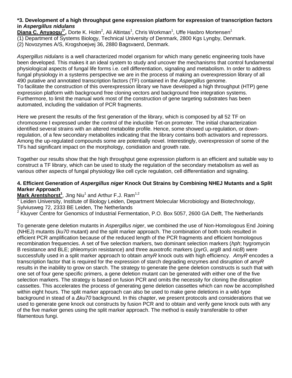#### **\*3. Development of a high throughput gene expression platform for expression of transcription factors in** *Aspergillus nidulans*

Diana C. Anyaogu<sup>1\*</sup>, Dorte K. Holm<sup>2</sup>, Ali Altintas<sup>1</sup>, Chris Workman<sup>1</sup>, Uffe Hasbro Mortensen<sup>1</sup>

(1) Department of Systems Biology, Technical University of Denmark, 2800 Kgs Lyngby, Denmark.

(2) Novozymes A/S, Krogshoejvej 36, 2880 Bagsvaerd, Denmark.

*Aspergillus nidulans* is a well characterized model organism for which many genetic engineering tools have been developed. This makes it an ideal system to study and uncover the mechanisms that control fundamental physiological aspects of fungal life forms i.e. cell differentiation, signaling and metabolism. In order to address fungal physiology in a systems perspective we are in the process of making an overexpression library of all 490 putative and annotated transcription factors (TF) contained in the *Aspergillus* genome. To facilitate the construction of this overexpression library we have developed a high throughput (HTP) gene expression platform with background free cloning vectors and background free integration systems. Furthermore, to limit the manual work most of the construction of gene targeting substrates has been automated, including the validation of PCR fragments.

Here we present the results of the first generation of the library, which is composed by all 52 TF on chromosome I expressed under the control of the inducible Tet-on promoter. The initial characterization identified several strains with an altered metabolite profile. Hence, some showed up-regulation, or downregulation, of a few secondary metabolites indicating that the library contains both activators and repressors. Among the up-regulated compounds some are potentially novel. Interestingly, overexpression of some of the TFs had significant impact on the morphology, conidiation and growth rate.

Together our results show that the high throughput gene expression platform is an efficient and suitable way to construct a TF library, which can be used to study the regulation of the secondary metabolism as well as various other aspects of fungal physiology like cell cycle regulation, cell differentiation and signaling.

#### **4. Efficient Generation of** *Aspergillus niger* **Knock Out Strains by Combining NHEJ Mutants and a Split Marker Approach**

Mark Arentshorst<sup>1</sup>, Jing Niu<sup>1</sup> and Arthur F.J. Ram<sup>1,2</sup>

<sup>1</sup> Leiden University, Institute of Biology Leiden, Department Molecular Microbiology and Biotechnology, Sylviusweg 72, 2333 BE Leiden, The Netherlands

<sup>2</sup> Kluyver Centre for Genomics of Industrial Fermentation, P.O. Box 5057, 2600 GA Delft, The Netherlands

To generate gene deletion mutants in *Aspergillus niger*, we combined the use of Non-Homologous End Joining (NHEJ) mutants (*ku70* mutant) and the split marker approach. The combination of both tools resulted in efficient PCR amplification because of the reduced length of the PCR fragments and efficient homologous recombination frequencies. A set of five selection markers, two dominant selection markers (*hph*; hygromycin B resistance and BLE; phleomycin resistance) and three auxotrofic markers (*pyrG*, *argB* and *nicB*) were successfully used in a split marker approach to obtain *amyR* knock outs with high efficiency. *AmyR* encodes a transcription factor that is required for the expression of starch degrading enzymes and disruption of *amyR* results in the inability to grow on starch. The strategy to generate the gene deletion constructs is such that with one set of four gene specific primers, a gene deletion mutant can be generated with either one of the five selection markers. The strategy is based on fusion PCR and omits the necessity for cloning the disruption cassettes. This accelerates the process of generating gene deletion cassettes which can now be accomplished within eight hours. The split marker approach can also be used to make gene deletions in a wild-type background in stead of a *Δku70* background. In this chapter, we present protocols and considerations that we used to generate gene knock out constructs by fusion PCR and to obtain and verify gene knock outs with any of the five marker genes using the split marker approach. The method is easily transferable to other filamentous fungi.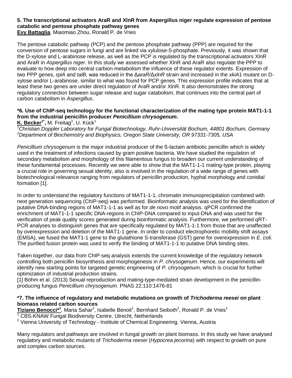## **5. The transcriptional activators AraR and XlnR from Aspergillus niger regulate expression of pentose catabolic and pentose phosphate pathway genes**

**Evy Battaglia**, Miaomiao Zhou, Ronald P. de Vries

The pentose catabolic pathway (PCP) and the pentose phosphate pathway (PPP) are required for the conversion of pentose sugars in fungi and are linked via xylulose-5-phosphate. Previously, it was shown that the D-xylose and L-arabinose release, as well as the PCP is regulated by the transcriptional activators XlnR and AraR in *Aspergillus niger*. In this study we assessed whether XlnR and AraR also regulate the PPP to evaluate to how deep into central carbion metabolism the influence of these regulator extents. Expression of two PPP genes, *rpiA* and *talB*, was reduced in the Δ*araR*/Δ*xlnR* strain and increased in the *xkiA*1 mutant on Dxylose and/or L-arabinose, similar to what was found for PCP genes. This expression profile indicates that at least these two genes are under direct regulation of AraR and/or XlnR. It also demonstrates the strong regulatory connection between sugar release and sugar catabolism, that continues into the central part of carbon catabolism in *Aspergillus*.

## **\*6. Use of ChIP-seq technology for the functional characterization of the mating type protein MAT1-1-1 from the industrial penicillin producer** *Penicillium chrysogenum***.**

**K. Becker<sup>1\*</sup>, M. Freitag<sup>2</sup>, U. Kück<sup>1</sup>** 

*<sup>1</sup>Christian Doppler Laboratory for Fungal Biotechnology, Ruhr-Universität Bochum, 44801 Bochum, Germany <sup>2</sup>Department of Biochemistry and Biophysics, Oregon State University, OR 97331-7305, USA*

*Penicillium chrysogenum* is the major industrial producer of the ß-lactam antibiotic penicillin which is widely used in the treatment of infections caused by gram positive bacteria. We have studied the regulation of secondary metabolism and morphology of this filamentous fungus to broaden our current understanding of these fundamental processes. Recently we were able to show that the MAT1-1-1 mating-type protein, playing a crucial role in governing sexual identity, also is involved in the regulation of a wide range of genes with biotechnological relevance ranging from regulators of penicillin production, hyphal morphology and conidial formation [1].

In order to understand the regulatory functions of MAT1-1-1, chromatin immunoprecipitation combined with next generation sequencing (ChIP-seq) was performed. Bioinformatic analysis was used for the identification of putative DNA-binding regions of MAT1-1-1 as well as for *de novo* motif analysis. qPCR confirmed the enrichment of MAT1-1-1 specific DNA-regions in ChIP-DNA compared to input-DNA and was used for the verification of peak quality scores generated during bioinformatic analysis. Furthermore, we performed qRT-PCR analyses to distinguish genes that are specifically regulated by MAT1-1-1 from those that are unaffected by overexpression and deletion of the MAT1-1 gene. In order to conduct electrophoretic mobility shift assays (EMSA), we fused the MAT1-1 gene to the glutathione S-transferase (GST) gene for overexpression in *E. coli*. The purified fusion protein was used to verify the binding of MAT1-1-1 to putative DNA binding sites.

Taken together, our data from ChIP-seq analysis extends the current knowledge of the regulatory network controlling both penicillin biosynthesis and morphogenesis in *P. chrysogenum*. Hence, our experiments will identify new starting points for targeted genetic engineering of *P. chrysogenum,* which is crucial for further optimization of industrial production strains.

[1] Böhm et al. (2013) Sexual reproduction and mating-type-mediated strain development in the penicillinproducing fungus *Penicillium chrysogenum*. PNAS 22;110:1476-81

#### **\*7. The influence of regulatory and metabolic mutations on growth of** *Trichoderma reesei* **on plant biomass related carbon sources**

Tiziano Benocci\*<sup>1</sup>, Maria Sahar<sup>2</sup>, Isabelle Benoit<sup>1</sup>, Bernhard Seiboth<sup>2</sup>, Ronald P. de Vries<sup>1</sup>

 $1$  CBS-KNAW Fungal Biodiversity Centre. Utrecht, Netherlands

 $2$  Vienna University of Technology - Institute of Chemical Engineering. Vienna, Austria

Many regulators and pathways are involved in fungal growth on plant biomass. In this study we have analysed regulatory and metabolic mutants of *Trichoderma reesei* (*Hypocrea jecorina*) with respect to growth on pure and complex carbon sources.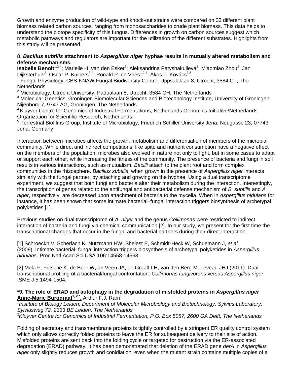Growth and enzyme production of wild-type and knock-out strains were compared on 33 different plant biomass related carbon sources, ranging from monosaccharides to crude plant biomass. This data helps to understand the biotope specificity of this fungus. Differences in growth on carbon sources suggest which metabolic pathways and regulators are important for the utilization of the different substrates. Highlights from this study will be presented.

#### 8. *Bacillus subtilis* **attachment to** *Aspergillus niger* **hyphae results in mutually altered metabolism and defense mechanisms.**

**Isabelle Benoit**<sup>1,2,4</sup>; Marielle H. van den Esker<sup>3</sup>; Aleksandrina Patyshakulieva<sup>2</sup>; Miaomiao Zhou<sup>2</sup>; Jan Dijksterhuis<sup>2</sup>; Oscar P. Kuipers<sup>3,4</sup>; Ronald P. de Vries<sup>1,2,4</sup>, Ákos T. Kovács<sup>3,5</sup>

<sup>1</sup> Fungal Physiology, CBS-KNAW Fungal Biodiversity Centre, Uppsalalaan 8, Utrecht, 3584 CT, The **Netherlands** 

 $2$  Microbiology, Utrecht University, Padualaan 8, Utrecht, 3584 CH, The Netherlands

<sup>3</sup> Molecular Genetics, Groningen Biomolecular Sciences and Biotechnology Institute, University of Groningen, Nijenborg 7, 9747 AG, Groningen, The Netherlands

<sup>4</sup> Kluyver Centre for Genomics of Industrial Fermentations, Netherlands Genomics Initiative/Netherlands Organization for Scientific Research, Netherlands

5 Terrestrial Biofilms Group, Institute of Microbiology, Friedrich Schiller University Jena, Neugasse 23, 07743 Jena, Germany

Interaction between microbes affects the growth, metabolism and differentiation of members of the microbial community. While direct and indirect competitions, like spite and nutrient consumption have a negative effect on the members of the population, microbes also evolved in nature not only to fight, but in some cases to adapt or support each other, while increasing the fitness of the community. The presence of bacteria and fungi in soil results in various interactions, such as mutualism. *Bacilli* attach to the plant root and form complex communities in the rhizosphere. *Bacillus subtilis*, when grown in the presence of *Aspergillus niger* interacts similarly with the fungal partner, by attaching and growing on the hyphae. Using a dual transcriptome experiment, we suggest that both fungi and bacteria alter their metabolism during the interaction. Interestingly, the transcription of genes related to the antifungal and antibacterial defense mechanism of *B. subtilis* and *A. niger*, respectively, are decreased upon attachment of bacteria to the mycelia. When in *Aspergillus nidulans* for instance, it has been shown that some intimate bacterial–fungal interaction triggers biosynthesis of archetypal polyketides [1].

Previous studies on dual transcriptome of *A. niger* and the genus *Collimonas* were restricted to indirect interaction of bacteria and fungi via chemical communication [2]. In our study, we present for the first time the transcriptional changes that occur in the fungal and bacterial partners during their direct interaction.

[1] Schroeckh V, Scherlach K, Nützmann HW, Shelest E, Schmidt-Heck W, Schuemann J, *et al.* (2009). Intimate bacterial–fungal interaction triggers biosynthesis of archetypal polyketides in *Aspergillus nidulans*. Proc Natl Acad Sci USA 106:14558-14563.

[2] Mela F, Fritsche K, de Boer W, an Veen JA, de Graaff LH, van den Berg M, Leveau JHJ (2011). Dual transcriptional profiling of a bacterial/fungal confrontation: *Collimonas fungivorans* versus *Aspergillus niger*. ISME J 5:1494-1504.

#### **\*9. The role of ERAD and autophagy in the degradation of misfolded proteins in** *Aspergillus niger* **Anne-Marie Burggraaf1, 2,\* ,** Arthur F.J. Ram1, 2

<sup>1</sup> Institute of Biology Leiden, Department of Molecular Microbiology and Biotechnology, Sylvius Laboratory, *Sylviusweg 72, 2333 BE Leiden, The Netherlands <sup>2</sup>Kluyver Centre for Genomics of Industrial Fermentation, P.O. Box 5057, 2600 GA Delft, The Netherlands*

Folding of secretory and transmembrane proteins is tightly controlled by a stringent ER quality control system which only allows correctly folded proteins to leave the ER for subsequent delivery to their site of action. Misfolded proteins are sent back into the folding cycle or targeted for destruction via the ER-associated degradation (ERAD) pathway. It has been demonstrated that deletion of the ERAD gene *derA* in *Aspergillus niger* only slightly reduces growth and conidiation, even when the mutant strain contains multiple copies of a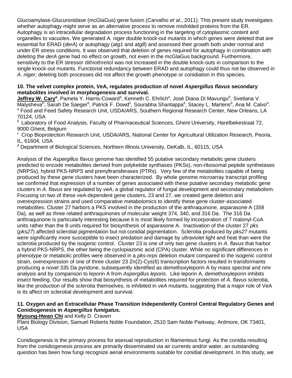Glucoamylase-Glucuronidase (mcGlaGus) gene fusion (Carvalho *et al*., 2011). This present study investigates whether autophagy might serve as an alternative process to remove misfolded proteins from the ER. Autophagy is an intracellular degradation process functioning in the targeting of cytoplasmic content and organelles to vacuoles. We generated *A. niger* double knock-out mutants in which genes were deleted that are essential for ERAD (*derA*) or autophagy (*atg1* and *atg8*) and assessed their growth both under normal and under ER stress conditions. It was observed that deletion of genes required for autophagy in combination with deleting the *derA* gene had no effect on growth, not even in the mcGlaGus background. Furthermore, sensitivity to the ER stressor dithiothreitol was not increased in the double knock-outs in comparison to the single knock-out mutants. Functional redundancy between ERAD and autophagy could thus not be observed in *A. niger*; deleting both processes did not affect the growth phenotype or conidiation in this species.

#### **10. The velvet complex protein, VeA, regulates production of novel** *Aspergillus flavus* **secondary metabolites involved in morphogenesis and survival.**

Jeffrey W. Cary<sup>a</sup>, Pamela Y. Harris-Coward<sup>a</sup>, Kenneth C. Ehrlich<sup>a</sup>, José Diana Di Mavungu<sup>b</sup>, Svetlana V. Malysheva<sup>b</sup>, Sarah De Saeger<sup>b</sup>, Patrick F. Dowd<sup>c</sup>, Sourabha Shantappa<sup>d</sup>, Stacey L. Martens<sup>d</sup>, Ana M. Calvo<sup>d</sup>. <sup>a</sup> Food and Feed Safety Research Unit, USDA/ARS, Southern Regional Research Center, New Orleans, LA 70124, USA

<sup>b</sup> Laboratory of Food Analysis, Faculty of Pharmaceutical Sciences, Ghent University, Harelbekestraat 72, 9000 Ghent, Belgium

<sup>c</sup> Crop Bioprotection Research Unit, USDA/ARS, National Center for Agricultural Utilization Research, Peoria, IL, 61604, USA

<sup>d</sup> Department of Biological Sciences, Northern Illinois University, DeKalb, IL, 60115, USA

Analysis of the *Aspergillus flavus* genome has identified 55 putative secondary metabolic gene clusters predicted to encode metabolites derived from polyketide synthases (PKSs), non-ribosomal peptide synthetases (NRPSs), hybrid PKS-NRPS and prenyltransferases (PTRs). Very few of the metabolites capable of being produced by these gene clusters have been characterized. By whole genome microarray transcript profiling we confirmed that expression of a number of genes associated with these putative secondary metabolic gene clusters in *A. flavus* are regulated by *veA*, a global regulator of fungal development and secondary metabolism. Focusing on two of these *veA*-dependent gene clusters, 23 and 27, we created gene deletion and overexpression strains and used comparative metabolomics to identify these gene cluster-associated metabolites. Cluster 27 harbors a PKS involved in the production of the anthraquinone, asparasone A (358 Da), as well as three related anthraquinones of molecular weight 374, 340, and 316 Da. The 316 Da anthraquinone is particularly interesting because it is most likely formed by incorporation of 7 malonyl-CoA units rather than the 8 units required for biosynthesis of asparasone A. Inactivation of the cluster 27 *pks* (*pks27*) affected sclerotial pigmentation but not conidial pigmentation. Sclerotia produced by *pks27* mutants were significantly more susceptible to insect predation and damage by ultraviolet light and heat than were the sclerotia produced by the isogenic control. Cluster 23 is one of only two gene clusters in *A. flavus* that harbor a hybrid PKS-NRPS, the other being the cyclopiazonic acid (CPA) cluster. While no significant differences in phenotype or metabolic profiles were observed in a *pks-nrps* deletion mutant compared to the isogenic control strain, overexpression of one of three cluster 23 Zn(2)-Cys(6) transcription factors resulted in transformants producing a novel 335 Da pyridone, subsequently identified as demethoxyleporin A by mass spectral and nmr analysis and by comparison to leporin A from *Aspergillus leporis*. Like leporin A, demethoxyleporin inhibits insect feeding. Our results show that biosynthesis of metabolites required for protection of *A. flavus* sclerotia, like the production of the sclerotia themselves, is inhibited in *veA* mutants, suggesting that a major role of VeA is its affect on sclerotial development and survival.

#### **11. Oxygen and an Extracellular Phase Transition Independently Control Central Regulatory Genes and Conidiogenesis in** *Aspergillus fumigatus***.**

**Myoung-Hwan Chi** and Kelly D. Craven

Plant Biology Division, Samuel Roberts Noble Foundation, 2510 Sam Noble Parkway, Ardmore, OK 73401, USA

Conidiogenesis is the primary process for asexual reproduction in filamentous fungi. As the conidia resulting from the conidiogenesis process are primarily disseminated via air currents and/or water, an outstanding question has been how fungi recognize aerial environments suitable for conidial development. In this study, we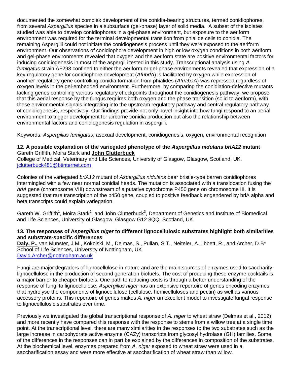documented the somewhat complex development of the conidia-bearing structures, termed conidiophores, from several *Aspergillus* species in a subsurface (gel-phase) layer of solid media. A subset of the isolates studied was able to develop conidiophores in a gel-phase environment, but exposure to the aeriform environment was required for the terminal developmental transition from phialide cells to conidia. The remaining Aspergilli could not initiate the conidiogenesis process until they were exposed to the aeriform environment. Our observations of conidiophore development in high or low oxygen conditions in both aeriform and gel-phase environments revealed that oxygen and the aeriform state are positive environmental factors for inducing conidiogenesis in most of the aspergilli tested in this study. Transcriptional analysis using *A. fumigatus* strain AF293 confined to either the aeriform or gel-phase environments revealed that expression of a key regulatory gene for conidiophore development (*AfubrlA*) is facilitated by oxygen while expression of another regulatory gene controlling conidia formation from phialides (*AfuabaA*) was repressed regardless of oxygen levels in the gel-embedded environment. Furthermore, by comparing the conidiation-defective mutants lacking genes controlling various regulatory checkpoints throughout the conidiogenesis pathway, we propose that this aerial response by the fungus requires both oxygen and the phase transition (solid to aeriform), with these environmental signals integrating into the upstream regulatory pathway and central regulatory pathway of conidiogenesis, respectively. Our findings provide not only novel insight into how fungi respond to an aerial environment to trigger development for airborne conidia production but also the relationship between environmental factors and conidiogenesis regulation in aspergilli.

Keywords: *Aspergillus fumigatus*, asexual development, conidiogenesis, oxygen, environmental recognition

#### **12. A possible explanation of the variegated phenotype of the** *Aspergillus nidulans brlA12* **mutant** Gareth Griffith, Moira Stark and **John Clutterbuck**

College of Medical, Veterinary and Life Sciences, University of Glasgow, Glasgow, Scotland, UK. [jclutterbuck481@btinternet.com](mailto:jclutterbuck481@btinternet.com)

Colonies of the variegated *brlA12* mutant of *Aspergillus nidulans* bear bristle-type barren conidiophores intermingled with a few near normal conidial heads. The mutation is associated with a translocation fusing the *brlA* gene (chromosome VIII) downstream of a putative cytochrome P450 gene on chromosome III. It is suggested that rare transcription of the p450 gene, coupled to positive feedback engendered by brlA alpha and beta transcripts could explain variegation.

Gareth W. Griffith<sup>1</sup>, Moira Stark<sup>2</sup>, and John Clutterbuck<sup>3</sup>, Department of Genetics and Institute of Biomedical and Life Sciences, University of Glasgow, Glasgow G12 8QQ, Scotland, UK.

#### **13. The responses of A***spergillus niger* **to different lignocellulosic substrates highlight both similarities and substrate-specific differences**

**Daly, P.,** van Munster, J.M., Kokolski, M., Delmas, S., Pullan, S.T., Neiteler, A., Ibbett, R., and Archer, D.B\* School of Life Sciences, University of Nottingham, UK [David.Archer@nottingham.ac.uk](mailto:David.Archer@nottingham.ac.uk)

Fungi are major degraders of lignocellulose in nature and are the main sources of enzymes used to saccharify lignocellulose in the production of second generation biofuels. The cost of producing these enzyme cocktails is a major barrier to cheaper biofuels. One path to reducing costs is through a better understanding of the response of fungi to lignocellulose. *Aspergillus niger* has an extensive repertoire of genes encoding enzymes that hydrolyse the components of lignocellulose (cellulose, hemicelluloses and pectin) as well as various accessory proteins. This repertoire of genes makes *A. niger* an excellent model to investigate fungal response to lignocellulosic substrates over time.

Previously we investigated the global transcriptional response of *A. niger* to wheat straw (Delmas et al., 2012) and more recently have compared this response with the response to stems from a willow tree at a single time point. At the transcriptional level, there are many similarities in the responses to the two substrates such as the large increase in carbohydrate active enzyme (CAZy) transcripts from glycosyl hydrolase (GH) families. Some of the differences in the responses can in part be explained by the differences in composition of the substrates. At the biochemical level, enzymes prepared from *A. niger* exposed to wheat straw were used in a saccharification assay and were more effective at saccharification of wheat straw than willow.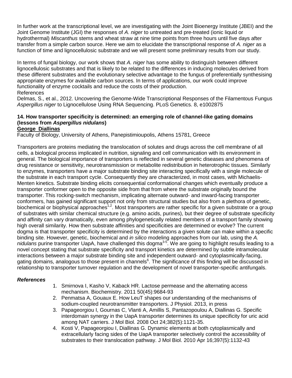In further work at the transcriptional level, we are investigating with the Joint Bioenergy Institute (JBEI) and the Joint Genome Institute (JGI) the responses of *A. niger* to untreated and pre-treated (ionic liquid or hydrothermal) *Miscanthus* stems and wheat straw at nine time points from three hours until five days after transfer from a simple carbon source. Here we aim to elucidate the transcriptional response of *A. niger* as a function of time and lignocellulosic substrate and we will present some preliminary results from our study.

In terms of fungal biology, our work shows that *A. niger* has some ability to distinguish between different lignocellulosic substrates and that is likely to be related to the differences in inducing molecules derived from these different substrates and the evolutionary selective advantage to the fungus of preferentially synthesising appropriate enzymes for available carbon sources. In terms of applications, our work could improve functionality of enzyme cocktails and reduce the costs of their production.

#### References

Delmas, S., et al., 2012. Uncovering the Genome-Wide Transcriptional Responses of the Filamentous Fungus *Aspergillus niger* to Lignocellulose Using RNA Sequencing. PLoS Genetics. 8, e1002875

## **14. How transporter specificity is determined: an emerging role of channel-like gating domains (lessons from** *Aspergillus nidulans***)**

#### **George Diallinas**

Faculty of Biology, University of Athens, Panepistimioupolis, Athens 15781, Greece

Transporters are proteins mediating the translocation of solutes and drugs across the cell membrane of all cells, a biological process implicated in nutrition, signaling and cell communication with its environment in general. The biological importance of transporters is reflected in several genetic diseases and phenomena of drug resistance or sensitivity, neurotransmission or metabolite redistribution in heterotrophic tissues. Similarly to enzymes, transporters have a major substrate binding site interacting specifically with a single molecule of the substrate in each transport cycle. Consequently they are characterized, in most cases, with Michaelis-Menten kinetics. Substrate binding elicits consequential conformational changes which eventually produce a transporter conformer open to the opposite side from that from where the substrate originally bound the transporter. This rocking-switch mechanism, implicating alternate outward- and inward-facing transporter conformers, has gained significant support not only from structural studies but also from a plethora of genetic, biochemical or biophysical approaches<sup>1,2</sup>. Most transporters are rather specific for a given substrate or a group of substrates with similar chemical structure (e.g. amino acids, purines), but their degree of substrate specificity and affinity can vary dramatically, even among phylogenetically related members of a transport family showing high overall similarity. How then substrate affinities and specificities are determined or evolve? The current dogma is that transporter specificity is determined by the interactions a given solute can make within a specific binding site. However, genetic, biochemical and *in silico* modeling approaches from our lab, using the *A.*  nidulans purine transporter UapA, have challenged this dogma<sup>3-5</sup>. We are going to highlight results leading to a novel concept stating that substrate specificity and transport kinetics are determined by subtle intramolecular interactions between a major substrate binding site and independent outward- and cytoplasmically-facing, gating domains, analogous to those present in channels<sup>6</sup>. The significance of this finding will be discussed in relationship to transporter turnover regulation and the development of novel transporter-specific antifungals.

#### *References*

- 1. Smirnova I, Kasho V, Kaback HR. Lactose permease and the alternating access mechanism. Biochemistry. 2011 50(45):9684-93
- 2. Penmatsa A, Gouaux E. How LeuT shapes our understanding of the mechanisms of sodium-coupled neurotransmitter transporters. J Physiol. 2013, in press
- 3. Papageorgiou I, Gournas C, Vlanti A, Amillis S, Pantazopoulou A, Diallinas G. Specific interdomain synergy in the UapA transporter determines its unique specificity for uric acid among NAT carriers. J Mol Biol. 2008 Oct 24;382(5):1121-35.
- 4. Kosti V, Papageorgiou I, Diallinas G. Dynamic elements at both cytoplasmically and extracellularly facing sides of the UapA transporter selectively control the accessibility of substrates to their translocation pathway. J Mol Biol. 2010 Apr 16;397(5):1132-43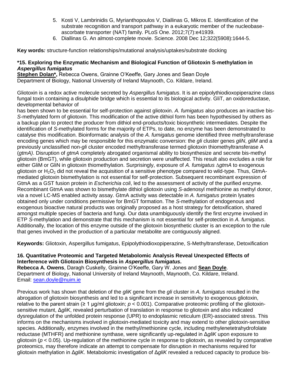- 5. Kosti V, Lambrinidis G, Myrianthopoulos V, Diallinas G, Mikros E. Identification of the substrate recognition and transport pathway in a eukaryotic member of the nucleobaseascorbate transporter (NAT) family. PLoS One. 2012;7(7):e41939.
- 6. Diallinas G. An almost-complete movie. Science. 2008 Dec 12;322(5908):1644-5.

**Key words***:* structure-function relationships/mutational analysis/uptakes/substrate docking

#### **\*15. Exploring the Enzymatic Mechanism and Biological Function of Gliotoxin S-methylation in**  *Aspergillus fumigatus*

**Stephen Dolan\*,** Rebecca Owens, Grainne O'Keeffe, Gary Jones and Sean Doyle Department of Biology, National University of Ireland Maynooth, Co. Kildare, Ireland.

Gliotoxin is a redox active molecule secreted by *Aspergillus fumigatus*. It is an epipolythiodioxopiperazine class fungal toxin containing a disulphide bridge which is essential to its biological activity. GliT, an oxidoreductase, developmental behavior of

has been shown to be essential for self-protection against gliotoxin. *A. fumigatus* also produces an inactive bis-*S*-methylated form of gliotoxin. This modification of the active dithiol form has been hypothesised by others as a backup plan to protect the producer from dithiol end-products/toxic biosynthetic intermediates. Despite the identification of *S*-methylated forms for the majority of ETPs, to date, no enzyme has been demonstrated to catalyse this modification. Bioinformatic analysis of the *A. fumigatus* genome identified three methyltransferase encoding genes which may be responsible for this enzymatic conversion: the *gli* cluster genes *gliN*, *gliM* and a previously unclassified non-*gli* cluster encoded methyltransferase termed gliotoxin thiomethyltransferase A (*gtmA)*. Disruption of *gtmA* completely abrogated organismal ability to biosynthesize and secrete bis-methyl gliotoxin (BmGT), while gliotoxin production and secretion were unaffected. This result also excludes a role for either GliM or GliN in gliotoxin thiomethylation. Surprisingly, exposure of *A. fumigatus* ∆*gtmA* to exogenous gliotoxin or  $H_2O_2$  did not reveal the acquisition of a sensitive phenotype compared to wild-type. Thus, GtmAmediated gliotoxin bismethylation is not essential for self-protection. Subsequent recombinant expression of GtmA as a GST fusion protein in *Escherichia coli*, led to the assessment of activity of the purified enzyme. Recombinant GtmA was shown to bismethylate dithiol gliotoxin using *S*-adenosyl methionine as methyl donor, *via* a novel LC-MS enabled activity assay. GtmA activity was detectable in *A. fumigatus* protein lysates obtained only under conditions permissive for BmGT formation. The *S*-methylation of endogenous and exogenous bioactive natural products was originally proposed as a host strategy for detoxification, shared amongst multiple species of bacteria and fungi. Our data unambiguously identify the first enzyme involved in ETP *S*-methylation and demonstrate that this mechanism is not essential for self-protection in *A. fumigatus*. Additionally, the location of this enzyme outside of the gliotoxin biosynthetic cluster is an exception to the rule that genes involved in the production of a particular metabolite are contiguously aligned.

**Keywords:** Gliotoxin, Aspergillus fumigatus, Epipolythiodioxopiperazine, S-Methyltransferase, Detoxification

#### **16. Quantitative Proteomic and Targeted Metabolomic Analysis Reveal Unexpected Effects of Interference with Gliotoxin Biosynthesis in** *Aspergillus fumigatus***.**

**Rebecca A. Owens**, Daragh Cuskelly, Grainne O'Keeffe, Gary W. Jones and **Sean Doyle**. Department of Biology, National University of Ireland Maynooth, Maynooth, Co. Kildare, Ireland. Email: [sean.doyle@nuim.ie](mailto:sean.doyle@nuim.ie)

Previous work has shown that deletion of the *gliK* gene from the *gli* cluster in *A. fumigatus* resulted in the abrogation of gliotoxin biosynthesis and led to a significant increase in sensitivity to exogenous gliotoxin, relative to the parent strain ( $\geq 1$  µg/ml gliotoxin;  $p < 0.001$ ). Comparative proteomic profiling of the gliotoxinsensitive mutant, Δ*gliK*, revealed perturbation of translation in response to gliotoxin and also indicated dysregulation of the unfolded protein response (UPR) to endoplasmic reticulum (ER)-associated stress. This informs on the mechanisms involved in gliotoxin-mediated toxicity and may extend to other gliotoxin-sensitive species. Additionally, enzymes involved in the methyl/methionine cycle, including methylenetetrahydrofolate reductase (MTHFR) and methionine synthase, were significantly up-regulated in Δ*gliK* upon exposure to gliotoxin (*p* < 0.05). Up-regulation of the methionine cycle in response to gliotoxin, as revealed by comparative proteomics, may therefore indicate an attempt to compensate for disruption in mechanisms required for gliotoxin methylation in Δ*gliK*. Metabolomic investigation of Δ*gliK* revealed a reduced capacity to produce bis-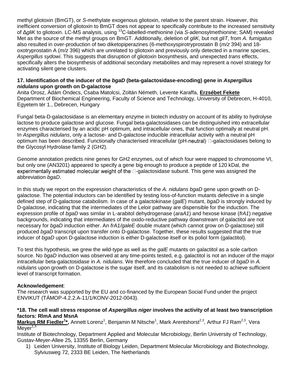methyl gliotoxin (BmGT), or *S*-methylate exogenous gliotoxin, relative to the parent strain. However, this inefficient conversion of gliotoxin to BmGT does not appear to specifically contribute to the increased sensitivity of Δ*gliK* to gliotoxin. LC-MS analysis, using <sup>13</sup>C-labelled-methionine (via *S*-adenosylmethionine; SAM) revealed Met as the source of the methyl groups on BmGT. Additionally, deletion of *gliK*, but not *gliT*, from *A. fumigatus* also resulted in over-production of two diketopiperazines (6-methoxyspirotryprostatin B (*m/z* 394) and 18 oxotryprostatin A (*m/z* 396) which are unrelated to gliotoxin and previously only detected in a marine species, *Aspergillus sydowi*. This suggests that disruption of gliotoxin biosynthesis, and unexpected *trans* effects, specifically alters the biosynthesis of additional secondary metabolites and may represent a novel strategy for activating silent gene clusters.

#### **17. Identification of the inducer of the** *bgaD* **(beta-galactosidase-encoding) gene in** *Aspergillus nidulans* **upon growth on D-galactose**

Anita Orosz, Ádám Ondecs, Csaba Matolcsi, Zoltán Németh, Levente Karaffa, **Erzsébet Fekete** Department of Biochemical Engineering, Faculty of Science and Technology, University of Debrecen, H-4010, Egyetem tér 1., Debrecen, Hungary

Fungal beta-D-galactosidase is an elementary enzyme in biotech industry on account of its ability to hydrolyse lactose to produce galactose and glucose. Fungal beta-galactosidases can be distinguished into extracellular enzymes characterised by an acidic pH optimum, and intracellular ones, that function optimally at neutral pH. In *Aspergillus nidulans*, only a lactose- and D-galactose inducible intracellular activity with a neutral pH optimum has been described. Functionally characterised intracellular ( $pH$ -neutral)  $\Box$ -galactosidases belong to the Glycosyl Hydrolase family 2 (GH2).

Genome annotation predicts nine genes for GH2 enzymes, out of which four were mapped to chromosome VI, but only one (AN3201) appeared to specify a gene big enough to produce a peptide of 120 kDal, the experimentally estimated molecular weight of the  $\Box$ -galactosidase subunit. This gene was assigned the abbreviation *bgaD*.

In this study we report on the expression characteristics of the *A. nidulans bgaD* gene upon growth on Dgalactose. The potential inductors can be identified by testing loss-of-function mutants defective in a single defined step of D-galactose catabolism. In case of a galactokinase (*galE*) mutant, *bgaD* is strongly induced by D-galactose, indicating that the intermediates of the Leloir pathway are dispensible for the induction. The expression profile of *bgaD* was similar in L-arabitol dehydrogenase (*araA1*) and hexose kinase (*frA1*) negative backgrounds, indicating that intermediates of the oxido-reductive pathway downstream of galactitol are not necessary for *bgaD* induction either. An *frA1/galeE* double mutant (which cannot grow on D-galactose) still produced *bgaD* transcript upon transfer onto D-galactose. Together, these results suggested that the true inducer of *bgaD* upon D-galactose induction is either D-galactose itself or its poliol form (galactitol).

To test this hypothesis, we grew the wild-type as well as the *galE* mutants on galactitol as a sole carbon source. No *bgaD* induction was observed at any time-points tested, e.g. galactitol is not an inducer of the major intracellular beta-galactosidase in *A. nidulans*. We therefore concluded that the true inducer of *bgaD* in *A. nidulans* upon growth on D-galactose is the sugar itself, and its catabolism is not needed to achieve sufficient level of transcript formation.

#### **Acknowledgement**:

The research was supported by the EU and co-financed by the European Social Fund under the project ENVIKUT (TÁMOP-4.2.2.A-11/1/KONV-2012-0043).

#### **\*18. The cell wall stress response of** *Aspergillus niger* **involves the activity of at least two transcription factors: RlmA and MsnA**

**Markus RM Fiedler<sup>1\*</sup>,** Annett Lorenz<sup>1</sup>, Benjamin M Nitsche<sup>1</sup>, Mark Arentshorst<sup>2,3</sup>, Arthur FJ Ram<sup>2,3</sup>, Vera  $Mever<sup>1,3</sup>$ 

Institute of Biotechnology, Department Applied and Molecular Microbiology, Berlin University of Technology, Gustav-Meyer-Allee 25, 13355 Berlin, Germany

1) Leiden University, Institute of Biology Leiden, Department Molecular Microbiology and Biotechnology, Sylviusweg 72, 2333 BE Leiden, The Netherlands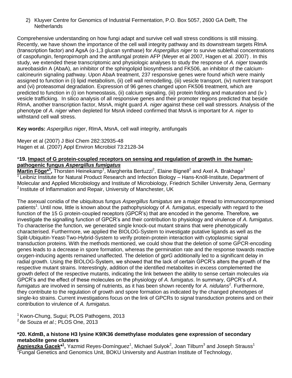2) Kluyver Centre for Genomics of Industrial Fermentation, P.O. Box 5057, 2600 GA Delft, The **Netherlands** 

Comprehensive understanding on how fungi adapt and survive cell wall stress conditions is still missing. Recently, we have shown the importance of the cell wall integrity pathway and its downstream targets RlmA (transcription factor) and AgsA (α-1,3 glucan synthase) for *Aspergillus niger* to survive sublethal concentrations of caspofungin, fenpropimorph and the antifungal protein AFP (Meyer et al 2007, Hagen et al. 2007) . In this study, we extended these transcriptomic and physiologic analyses to study the response of *A. niger* towards aureobasidin A (AbaA), an inhibitor of the sphingolipid biosynthesis and FK506, an inhibitor of the calciumcalcineurin signaling pathway. Upon AbaA treatment, 237 responsive genes were found which were mainly assigned to function in (i) lipid metabolism, (ii) cell wall remodelling, (iii) vesicle transport, (iv) nutrient transport and (vi) proteasomal degradation. Expression of 96 genes changed upon FK506 treatment, which are predicted to function in (i) ion homeostasis, (ii) calcium signaling, (iii) protein folding and maturation and (iv ) vesicle trafficking. In silico analysis of all responsive genes and their promoter regions predicted that beside RlmA, another transcription factor, MsnA, might guard *A. niger* against these cell wall stressors. Analysis of the phenotype of *A. niger* when depleted for MsnA indeed confirmed that MsnA is important for *A. niger* to withstand cell wall stress.

**Key words:** *Aspergillus niger*, RlmA, MsnA, cell wall integrity, antifungals

Meyer et al (2007) J Biol Chem 282:32935-48 Hagen et al. (2007) Appl Environ Microbiol 73:2128-34

#### \***19. Impact of G protein-coupled receptors on sensing and regulation of growth in the humanpathogenic fungus** *Aspergillus fumigatus*

Martin Föge<sup>\*1</sup>, Thorsten Heinekamp<sup>1</sup>, Margherita Bertuzzi<sup>2</sup>, Elaine Bignell<sup>2</sup> and Axel A. Brakhage<sup>1</sup>  $1$ Leibniz Institute for Natural Product Research and Infection Biology – Hans-Knöll-Institute, Department of Molecular and Applied Microbiology and Institute of Microbiology, Friedrich Schiller University Jena, Germany  $2$  Institute of Inflammation and Repair, University of Manchester, UK

The asexual conidia of the ubiquitous fungus *Aspergillus fumigatus* are a major thread to immunocompromised patients<sup>1</sup>. Until now, little is known about the pathophysiology of A. fumigatus, especially with regard to the function of the 15 G protein-coupled receptors (GPCR's) that are encoded in the genome. Therefore, we investigate the signalling function of GPCR's and their contribution to physiology and virulence of *A. fumigatus*. To characterise the function, we generated single knock-out mutant strains that were phenotypically characterised. Furthermore, we applied the BIOLOG-System to investigate putative ligands as well as the Split-Ubiquitin-Yeast-Two-Hybrid-System to verify protein-protein interaction with cytoplasmic signal transduction proteins. With the methods mentioned, we could show that the deletion of some GPCR-encoding genes leads to a decrease in spore formation, whereas the germination rate and the response towards reactive oxygen-inducing agents remained unaffected. The deletion of *gprG* additionally led to a significant delay in radial growth. Using the BIOLOG-System, we showed that the lack of certain GPCR's alters the growth of the respective mutant strains. Interestingly, addition of the identified metabolites in excess complemented the growth defect of the respective mutants, indicating the link between the ability to sense certain molecules *via* GPCR's and the effect of these molecules on the physiology of *A. fumigatus*. In summary, GPCR's of *A.*  fumigatus are involved in sensing of nutrients, as it has been shown recently for A. nidulans<sup>2</sup>. Furthermore, they contribute to the regulation of growth and spore formation as indicated by the changed phenotypes of single-ko strains. Current investigations focus on the link of GPCRs to signal transduction proteins and on their contribution to virulence of *A. fumigatus.*

<sup>1</sup> Kwon-Chung, Sugui; PLOS Pathogens, 2013 <sup>2</sup> de Souza *et al.*; PLOS One, 2013

#### **\*20. KdmB, a histone H3 lysine K9/K36 demethylase modulates gene expression of secondary metabolite gene clusters**

 $\bm{{\sf A}$ gnieszka Gacek\* $^{\text{4}}$ , Yazmid Reyes-Domínguez $^{\text{1}}$ , Michael Sulyok $^{\text{2}}$ , Joan Tilburn $^{\text{3}}$  and Joseph Strauss $^{\text{1}}$ <sup>1</sup>Fungal Genetics and Genomics Unit, BOKU University and Austrian Institute of Technology,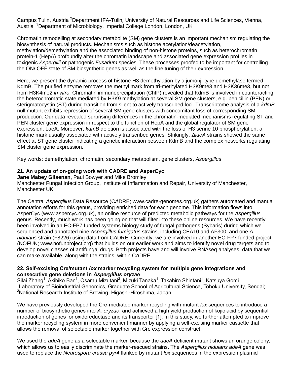Campus Tulln, Austria <sup>2</sup>Department IFA-Tulln*,* University of Natural Resources and Life Sciences, Vienna, Austria <sup>3</sup>Department of Microbiology, Imperial College London, London, UK

Chromatin remodelling at secondary metabolite (SM) gene clusters is an important mechanism regulating the biosynthesis of natural products. Mechanisms such as histone acetylation/deacetylation, methylation/demethylation and the associated binding of non-histone proteins, such as heterochromatin protein-1 (HepA) profoundly alter the chromatin landscape and associated gene expression profiles in toxigenic *Aspergilli* or pathogenic *Fusarium* species. These processes proofed to be important for controlling the ON/ OFF state of SM biosynthetic genes as well as the fine tuning of their expression.

Here, we present the dynamic process of histone H3 demethylation by a jumonji-type demethylase termed KdmB. The purified enzyme removes the methyl mark from tri-methylated H3K9me3 and H3K36me3, but not from H3K4me2 *in vitro*. Chromatin immunoprecipitation (ChIP) revealed that KdmB is involved in counteracting the heterochromatic state mediated by H3K9 methylation at several SM gene clusters, e.g. penicillin (PEN) or sterigmatocystin (ST) during transition from silent to actively transcribed loci. Transcriptome analysis of a *kdmB* null mutant exhibits repression of several SM gene clusters with concomitant loss of corresponding SM production. Our data revealed surprising differences in the chromatin-mediated mechanisms regulating ST and PEN cluster gene expression in respect to the function of HepA and the global regulator of SM gene expression, LaeA. Moreover, *kdmB* deletion is associated with the loss of H3 serine 10 phosphorylation, a histone mark usually associated with actively transcribed genes. Strikingly, *ΔlaeA* strains showed the same effect at ST gene cluster indicating a genetic interaction between KdmB and the complex networks regulating SM cluster gene expression.

Key words: demethylation, chromatin, secondary metabolism, gene clusters, *Aspergillus*

#### **21. An update of on-going work with CADRE and AsperCyc**

**Jane Mabey Gilsenan**, Paul Bowyer and Mike Bromley Manchester Fungal Infection Group, Institute of Inflammation and Repair, University of Manchester, Manchester UK

The Central *Aspergillus* Data Resource (C*A*DRE; www.cadre-genomes.org.uk) gathers automated and manual annotation efforts for this genus, providing enriched data for each genome. This information flows into AsperCyc (www.aspercyc.org.uk), an online resource of predicted metabolic pathways for the *Aspergillus*  genus. Recently, much work has been going on that will filter into these online resources. We have recently been involved in an EC-FP7 funded systems biology study of fungal pathogens (Sybaris) during which we sequenced and annotated nine *Aspergillus fumigatus* strains, including CEA10 and AF300, and one *A. nidulans* strain (F8226) using data from C*A*DRE. Currently, we are involved in another EC-FP7 funded project (NOFUN; www.nofunproject.org) that builds on our earlier work and aims to identify novel drug targets and to develop novel classes of antifungal drugs. Both projects have and will involve RNAseq analyses, data that we can make available, along with the strains, within C*A*DRE.

#### **22. Self-excising Cre/mutant** *lox* **marker recycling system for multiple gene integrations and consecutive gene deletions in** *Aspergillus oryzae*

Silai Zhang<sup>1</sup>, Akihiko Ban<sup>1</sup>, Osamu Mizutani<sup>2</sup>, Mizuki Tanaka<sup>1</sup>, Takahiro Shintani<sup>1</sup>, <u>Katsuya Gomi</u><sup>1</sup> <sup>1</sup> Laboratory of Bioindustrial Genomics, Graduate School of Agricultural Science, Tohoku University, Sendai; <sup>2</sup>National Research Institute of Brewing, Higashi-Hiroshima, Japan.

We have previously developed the Cre-mediated marker recycling with mutant *lox* sequences to introduce a number of biosynthetic genes into *A. oryzae*, and achieved a high yield production of kojic acid by sequential introduction of genes for oxidoreductase and its transporter [1]. In this study, we further attempted to improve the marker recycling system in more convenient manner by applying a self-excising marker cassette that allows the removal of selectable marker together with Cre expression construct.

We used the *adeA* gene as a selectable marker, because the *adeA* deficient mutant shows an orange colony, which allows us to easily discriminate the marker-rescued strains. The *Aspergillus nidulans adeA* gene was used to replace the *Neurospora crassa pyr4* flanked by mutant *lox* sequences in the expression plasmid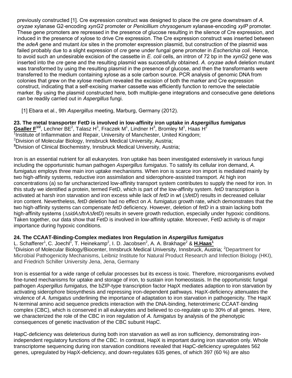previously constructed [1]. Cre expression construct was designed to place the *cre* gene downstream of *A. oryzae* xylanase G2-encoding *xynG2* promoter or *Penicillium chrysogenum* xylanase-encoding *xylP* promoter. These gene promoters are repressed in the presence of glucose resulting in the silence of Cre expression, and induced in the presence of xylose to drive Cre expression. The Cre expression construct was inserted between the *adeA* gene and mutant *lox* sites in the promoter expression plasmid, but construction of the plasmid was failed probably due to a slight expression of *cre* gene under fungal gene promoter in *Escherichia coli*. Hence, to avoid such an undesirable excision of the cassette in *E. coli* cells, an intron of 72 bp in the *xynG2* gene was inserted into the *cre* gene and the resulting plasmid was successfully obtained. *A. oryzae adeA* deletion mutant was transformed by using the resulting plasmid in the presence of glucose, and then the transformants were transferred to the medium containing xylose as a sole carbon source. PCR analysis of genomic DNA from colonies that grew on the xylose medium revealed the excision of both the marker and Cre expression construct, indicating that a self-excising marker cassette was efficiently function to remove the selectable marker. By using the plasmid constructed here, both multiple-gene integrations and consecutive gene deletions can be readily carried out in *Aspergillus* fungi.

[1] Ebara et al., 9th *Aspergillus* meeting, Marburg, Germany (2012).

**23. The metal transporter FetD is involved in low-affinity iron uptake in** *Aspergillus fumigatus* Gsaller F<sup>1/2</sup>, Lechner BE<sup>2</sup>, Talasz H<sup>3</sup>, Fraczek M<sup>1</sup>, Lindner H<sup>3</sup>, Bromley M<sup>1</sup>, Haas H<sup>2</sup> <sup>1</sup>Institute of Inflammation and Repair, University of Manchester, United Kingdom;  $2$ Division of Molecular Biology, Innsbruck Medical University, Austria; **<sup>3</sup>**Division of Clinical Biochemistry, Innsbruck Medical University, Austria;

Iron is an essential nutrient for all eukaryotes. Iron uptake has been investigated extensively in various fungi including the opportunistic human pathogen *Aspergillus fumigatus*. To satisfy its cellular iron demand, *A. fumigatus* employs three main iron uptake mechanisms. When iron is scarce iron import is mediated mainly by two high-affinity systems, reductive iron assimilation and siderophore-assisted transport. At high iron concentrations (a) so far uncharacterized low-affinity transport system contributes to supply the need for iron. In this study we identified a protein, termed FetD, which is part of the low-affinity system. *fetD* transcription is activated at harsh iron starvation and iron excess while lack of *fetD* in wt (∆*fetD*) results in decreased cellular iron content. Nevertheless, *fetD* deletion had no effect on *A. fumigatus* growth rate, which demonstrates that the two high-affinity systems can compensate *fetD* deficiency. However, deletion of *fetD* in a strain lacking both high-affinity systems (∆*sidA*∆*ftrA*∆*fetD*) results in severe growth reduction, especially under hypoxic conditions. Taken together, our data show that FetD is involved in low-affinity uptake. Moreover, FetD activity is of major importance during hypoxic conditions.

## **24. The CCAAT-Binding-Complex mediates Iron Regulation in** *Aspergillus fumigatus*

L. Schafferer<sup>1</sup>, C. Joechl<sup>1</sup>, T. Heinekamp<sup>2</sup>, I. D. Jacobsen<sup>2</sup>, A. A. Brakhage<sup>2</sup> & H.Haas<sup>1</sup> <sup>1</sup>Division of Molecular Biology/Biocenter, Innsbruck Medical University, Innsbruck, Austria; <sup>2</sup>Department for Microbial Pathogenicity Mechanisms, Leibniz Institute for Natural Product Research and Infection Biology (HKI), and Friedrich Schiller University Jena, Jena, Germany

Iron is essential for a wide range of cellular processes but its excess is toxic. Therefore, microorganisms evolved fine-tuned mechanisms for uptake and storage of iron, to sustain iron homeostasis. In the opportunistic fungal pathogen *Aspergillus fumigatus,* the bZIP-type transcription factor HapX mediates adaption to iron starvation by activating siderophore biosynthesis and repressing iron-dependent pathways. HapX-deficiency attenuates the virulence of *A. fumigatus* underlining the importance of adaptation to iron starvation in pathogenicity. The HapX N-terminal amino acid sequence predicts interaction with the DNA-binding, heterotrimeric CCAAT-binding complex (CBC), which is conserved in all eukaryotes and believed to co-regulate up to 30% of all genes. Here, we characterized the role of the CBC in iron regulation of *A. fumigatus* by analysis of the phenotypic consequences of genetic inactivation of the CBC subunit HapC.

HapC-deficiency was deleterious during both iron starvation as well as iron sufficiency, demonstrating ironindependent regulatory functions of the CBC. In contrast, HapX is important during iron starvation only. Whole transcriptome sequencing during iron starvation conditions revealed that HapC-deficiency upregulates 562 genes, upregulated by HapX-deficiency, and down-regulates 635 genes, of which 397 (60 %) are also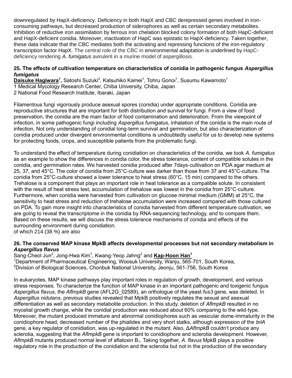downregulated by HapX-deficiency. Deficiency in both HapX and CBC derepressed genes involved in ironconsuming pathways, but decreased production of siderophores as well as certain secondary metabolites. Inhibition of reductive iron assimilation by ferrous iron chelation blocked colony formation of both HapC-deficient and HapX-deficient conidia. Moreover, inactivation of HapC was epistatic to HapX-deficiency. Taken together, these data indicate that the CBC mediates both the activating and repressing functions of the iron-regulatory transcription factor HapX. The central role of the CBC in environmental adaptation is underlined by HapCdeficiency rendering *A. fumigatus* avirulent in a murine model of aspergillosis.

#### **25. The effects of cultivation temperature on characteristics of conidia in pathogenic fungus** *Aspergillus fumigatus*

Daisuke Hagiwara<sup>1</sup>, Satoshi Suzuki<sup>2</sup>, Katsuhiko Kamei<sup>1</sup>, Tohru Gonoi<sup>1</sup>, Susumu Kawamoto<sup>1</sup> 1 Medical Mycology Research Center, Chiba University, Chiba, Japan

2 National Food Research Institute, Ibaraki, Japan

Filamentous fungi vigorously produce asexual spores (conidia) under appropriate conditions. Conidia are reproductive structures that are important for both distribution and survival for fungi. From a view of food preservation, the conidia are the main factor of food contamination and deterioration. From the viewpoint of infection, in some pathogenic fungi including *Aspergillus fumigatus*, inhalation of the conidia is the main route of infection. Not only understanding of conidial long-term survival and germination, but also characterization of conidia produced under divergent environmental conditions is undoubtedly useful for us to develop new systems for protecting foods, crops, and susceptible patients from the problematic fungi.

To understand the effect of temperature during conidiation on characteristics of the conidia, we took *A. fumigatus* as an example to show the differences in conidia color, the stress tolerance, content of compatible solutes in the conidia, and germination rates. We harvested conidia produced after 7days-cultivation on PDA agar medium at 25, 37, and 45°C. The color of conidia from 25°C-culture was darker than those from 37 and 45°C-culture. The conidia from 25°C-culture showed a lower tolerance to heat stress (60°C, 15 min) compared to the others. Trehalose is a component that plays an important role in heat tolerance as a compatible solute. In consistent with the result of heat stress test, accumulation of trehalose was lowest in the conidia from 25°C-culture. Furthermore, when conidia were harvested from cultivation on glucose minimal medium (GMM) at 25°C, the sensitivity to heat stress and reduction of trehalose accumulation were increased compared with those cultured on PDA. To gain more insight into characteristics of conidia harvested from different temperature cultivation, we are going to reveal the transcriptome in the conidia by RNA-sequencing technology, and to compare them. Based on these results, we will discuss the stress tolerance mechanisms of conidia and effects of the surrounding environment during conidiation.

of which 214 (38 %) are also

#### **26. The conserved MAP kinase MpkB affects developmental processes but not secondary metabolism in**  *Aspergillus flavus*

Sang-Cheol Jun<sup>2</sup>, Jong-Hwa Kim<sup>1</sup>, Kwang-Yeop Jahng<sup>2</sup> and **Kap-Hoon Han<sup>1</sup>** <sup>1</sup>Department of Pharmaceutical Engineering, Woosuk University, Wanju, 565-701, South Korea,  $2$ Division of Biological Sciences, Chonbuk National University, Jeonju, 561-756, South Korea

In eukaryotes, MAP kinase pathways play important roles in regulation of growth, development, and various stress responses. To characterize the function of MAP kinase in an important pathogenic and toxigenic fungus *Aspergillus flavus*, the *AflmpkB* gene (AFL2G\_02589), an orthologue of the yeast *fus3* gene, was deleted. In *Aspergillus nidulans*, previous studies revealed that MpkB positively regulates the sexual and asexual differentiation as well as secondary metabolite production. In this study, deletion of *AflmpkB* resulted in no mycelial growth change, while the conidial production was reduced about 60% comparing to the wild-type. Moreover, the mutant produced immature and abnormal conidiophores such as vesicular dome-immaturity in the conidiophore head, decreased number of the phialides and very short stalks, although expression of the *brlA* gene, a key regulator of conidiation, was up-regulated in the mutant. Also, Δ*AflmpkB* couldn't produce any sclerotia, suggesting that the *AflmpkB* gene is important to conidiophore and sclerotia development. However, *AflmpkB* mutants produced normal level of aflatoxin B1. Taking together, *A. flavus* MpkB plays a positive regulatory role in the production of the conidiation and the sclerotia but not in the production of the secondary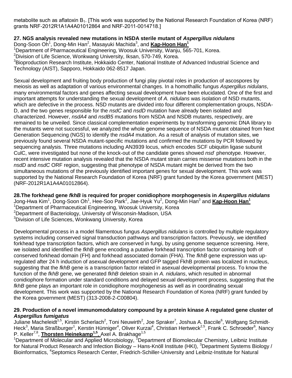metabolite such as aflatoxin  $B_1$ . [This work was supported by the National Research Foundation of Korea (NRF) grants NRF-2012R1A1A4A01012864 and NRF-2011-0014718.]

## **27. NGS analysis revealed new mutations in NSDA sterile mutant of** *Aspergillus nidulans*

Dong-Soon Oh<sup>1</sup>, Dong-Min Han<sup>2</sup>, Masayuki Machida<sup>3</sup>, and *Kap-Hoon Han<sup>1</sup>* 

<sup>1</sup>Department of Pharmaceutical Engineering, Woosuk University, Wanju, 565-701, Korea.

<sup>2</sup>Division of Life Science, Wonkwang University, Iksan, 570-749, Korea.

<sup>3</sup>Bioproduction Research Institute, Hokkaido Center, National Institute of Advanced Industrial Science and Technology (AIST), Sapporo, Hokkaido 062-8517 Japan.

Sexual development and fruiting body production of fungi play pivotal roles in production of ascospores by meiosis as well as adaptation of various environmental changes. In a homothallic fungus *Aspergillus nidulans*, many environmental factors and genes affecting sexual development have been elucidated. One of the first and important attempts for understanding the sexual development of *A. nidulans* was isolation of NSD mutants, which are defective in the process. NSD mutants are divided into four different complementation groups, NSDA-D, and the two genes responsible for the *nsdC* and *nsdD* mutation have already been isolated and characterized. However, *nsdA4* and *nsdB5* mutations from NSDA and NSDB mutants, respectively, are remained to be unveiled. Since classical complementation experiments by transforming genomic DNA library to the mutants were not successful, we analyzed the whole genome sequence of NSDA mutant obtained from Next Generation Sequencing (NGS) to identify the *nsdA4* mutation. As a result of analysis of mutation sites, we previously found several NSDA mutant-specific mutations and confirmed the mutations by PCR followed by sequencing analysis. Three mutations including AN3939 locus, which encodes SCF ubiquitin ligase subunit CulC, were investigated but none of the knock-out of the candidate genes showed *nsd*-phenotype. However, recent intensive mutation analysis revealed that the NSDA mutant strain carries missense mutations both in the *nsdD* and *nsdC* ORF region, suggesting that phenotype of NSDA mutant might be derived from the two simultaneous mutations of the previously identified important genes for sexual development. This work was supported by the National Research Foundation of Korea (NRF) grant funded by the Korea government (MEST) (NRF-2012R1A1A4A01012864).

**28.The forkhead gene** *fkhB* **is required for proper conidiophore morphogenesis in** *Aspergillus nidulans* Jong-Hwa Kim<sup>1</sup>, Dong-Soon Oh<sup>1</sup>, Hee-Soo Park<sup>2</sup>, Jae-Hyuk Yu<sup>2</sup>, Dong-Min Han<sup>3</sup> and <mark>Kap-Hoon Han<sup>1</sup></mark> <sup>1</sup>Department of Pharmaceutical Engineering, Woosuk University, Korea <sup>2</sup>Department of Bacteriology, University of Wisconsin-Madison, USA <sup>3</sup>Division of Life Sciences, Wonkwang University, Korea

Developmental process in a model filamentous fungus *Aspergillus nidulans* is controlled by multiple regulatory systems including conserved signal transduction pathways and transcription factors. Previously, we identified forkhead type transcription factors, which are conserved in fungi, by using genome sequence screening. Here, we isolated and identified the *fkhB* gene encoding a putative forkhead transcription factor containing both of conserved forkhead domain (FH) and forkhead associated domain (FHA). The *fkhB* gene expression was upregulated after 24 h induction of asexual development and GFP tagged FkhB protein was localized in nucleus, suggesting that the *fkhB* gene is a transcription factor related in asexual developmental process. To know the function of the *fkhB* gene, we generated *fkhB* deletion strain in *A. nidulans*, which resulted in abnormal conidiophore formation under standard conditions and delayed sexual development process, suggesting that the *fkhB* gene plays an important role in conidiophore morphogenesis as well as in coordinating sexual development. This work was supported by the National Research Foundation of Korea (NRF) grant funded by the Korea government (MEST) (313-2008-2-C00804).

#### **29. Production of a novel immunomodulatory compound by a protein kinase A regulated gene cluster of**  *Aspergillus fumigatus*

Juliane Macheleidt<sup>1,5</sup>, Kirstin Scherlach<sup>2</sup>, Toni Neuwirth<sup>2</sup>, Joe Spraker<sup>7</sup>, Joshua A. Baccile<sup>6</sup>, Wolfgang Schmidt-Heck<sup>3</sup>, Maria Straßburger<sup>1</sup>, Kerstin Hünniger<sup>4</sup>, Oliver Kurzai<sup>4</sup>, Christian Hertweck<sup>2,5</sup>, Frank C. Schroeder<sup>6</sup>, Nancy P. Keller<sup>7,8</sup>, *Thorsten Heinekamp<sup>1,5</sup>, Axel A. Brakhage<sup>1,5</sup>* 

<sup>1</sup>Department of Molecular and Applied Microbiology, <sup>2</sup>Department of Biomolecular Chemistry, Leibniz Institute for Natural Product Research and Infection Biology – Hans-Knöll Institute (HKI), <sup>3</sup>Department Systems Biology / Bioinformatics, <sup>4</sup>Septomics Research Center, Friedrich-Schiller-University and Leibniz-Institute for Natural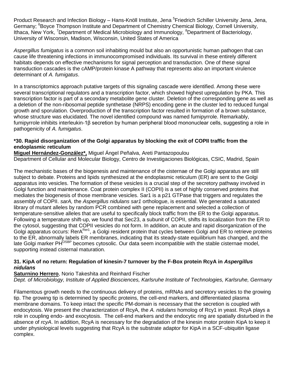Product Research and Infection Biology – Hans-Knöll Institute, Jena <sup>5</sup>Friedrich Schiller University Jena, Jena, Germany; <sup>6</sup>Boyce Thompson Institute and Department of Chemistry Chemical Biology, Cornell University, Ithaca, New York, <sup>7</sup>Department of Medical Microbiology and Immunology, <sup>8</sup>Department of Bacteriology, University of Wisconsin, Madison, Wisconsin, United States of America

*Aspergillus fumigatus* is a common soil inhabiting mould but also an opportunistic human pathogen that can cause life threatening infections in immunocompromised individuals. Its survival in these entirely different habitats depends on effective mechanisms for signal perception and transduction. One of these signal transduction cascades is the cAMP/protein kinase A pathway that represents also an important virulence determinant of *A. fumigatus*.

In a transcriptomics approach putative targets of this signaling cascade were identified. Among these were several transcriptional regulators and a transcription factor, which showed highest upregulation by PKA. This transcription factor is part of a secondary metabolite gene cluster. Deletion of the corresponding gene as well as a deletion of the non-ribosomal peptide synthetase (NRPS) encoding gene in the cluster led to reduced fungal growth and sporulation. Overproduction of the transcription factor resulted in formation of a brown substance, whose structure was elucidated. The novel identified compound was named fumipyrrole. Remarkably, fumipyrrole inhibits interleukin-1β secretion by human peripheral blood mononuclear cells, suggesting a role in pathogenicity of *A. fumigatus*.

#### **\*30. Rapid disorganization of the Golgi apparatus by blocking the exit of COPII traffic from the endoplasmic reticulum**

**Miguel Hernández-González\*,** Miguel Ángel Peñalva, Areti Pantazopoulou Department of Cellular and Molecular Biology, Centro de Investigaciones Biológicas, CSIC, Madrid, Spain

The mechanistic bases of the biogenesis and maintenance of the cisternae of the Golgi apparatus are still subject to debate. Proteins and lipids synthesized at the endoplasmic reticulum (ER) are sent to the Golgi apparatus into vesicles. The formation of these vesicles is a crucial step of the secretory pathway involved in Golgi function and maintenance. Coat protein complex II (COPII) is a set of highly conserved proteins that mediates the biogenesis of those membrane vesicles. Sar1 is a p21 GTPase that triggers and regulates the assembly of COPII. *sarA,* the *Aspergillus nidulans sar1* orthologue, is essential. We generated a saturated library of mutant alleles by random PCR combined with gene replacement and selected a collection of temperature-sensitive alleles that are useful to specifically block traffic from the ER to the Golgi apparatus. Following a temperature shift-up, we found that Sec23, a subunit of COPII, shifts its localization from the ER to the cytosol, suggesting that COPII vesicles do not form. In addition, an acute and rapid disorganization of the Golgi apparatus occurs: RerA<sup>Rer1</sup>, a Golgi resident protein that cycles between Golgi and ER to retrieve proteins to the ER, abnormally labels ER membranes, indicating that its steady-state equilibrium has changed, and the late Golgi marker PH<sup>OSBP</sup> becomes cytosolic. Our data seem incompatible with the stable cisternae model, supporting instead cisternal maturation.

#### **31. KipA of no return: Regulation of kinesin-7 turnover by the F-Box protein RcyA in** *Aspergillus nidulans*

#### **Saturnino Herrero**, Norio Takeshita and Reinhard Fischer

*Dept. of Microbiology, Institute of Applied Biosciences, Karlsruhe Institute of Technologies, Karlsruhe, Germany*

Filamentous growth needs to the continuous delivery of proteins, mRNAs and secretory vesicles to the growing tip. The growing tip is determined by specific proteins, the cell-end markers, and differentiated plasma membrane domains. To keep intact the specific PM-domain is necessary that the secretion is coupled with endocytosis. We present the characterization of RcyA, the *A. nidulans* homolog of Rcy1 in yeast. RcyA plays a role in coupling endo- and exocytosis. The cell-end markers and the endocytic ring are spatially disturbed in the absence of *rcyA*. In addition, RcyA is necessary for the degradation of the kinesin motor protein KipA to keep it under physiological levels suggesting that RcyA is the substrate adaptor for KipA in a SCF-ubiquitin ligase complex.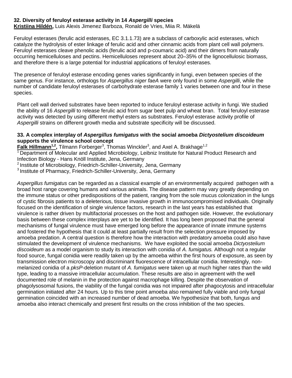#### **32. Diversity of feruloyl esterase activity in 14** *Aspergilli* **species**

**Kristiina Hildén,** Luis Alexis Jimenez Barboza, Ronald de Vries, Miia R. Mäkelä

Feruloyl esterases (ferulic acid esterases, EC 3.1.1.73) are a subclass of carboxylic acid esterases, which catalyze the hydrolysis of ester linkage of ferulic acid and other cinnamic acids from plant cell wall polymers. Feruloyl esterases cleave phenolic acids (ferulic acid and p-coumaric acid) and their dimers from naturally occurring hemicelluloses and pectins. Hemicelluloses represent about 20–35% of the lignocellulosic biomass, and therefore there is a large potential for industrial applications of feruloyl esterases.

The presence of feruloyl esterase encoding genes varies significantly in fungi, even between species of the same genus. For instance, orthologs for *Aspergillus niger faeA* were only found in some *Aspergilli*, while the number of candidate feruloyl esterases of carbohydrate esterase family 1 varies between one and four in these species.

Plant cell wall derived substrates have been reported to induce feruloyl esterase activity in fungi. We studied the ability of 16 *Aspergilli* to release ferulic acid from sugar beet pulp and wheat bran. Total feruloyl esterase activity was detected by using different methyl esters as substrates. Feruloyl esterase activity profile of *Aspergilli* strains on different growth media and substrate specificity will be discussed.

#### **33. A complex interplay of** *Aspergillus fumigatus* **with the social amoeba** *Dictyostelium discoideum* **supports the virulence school concept**

**Falk Hillmann<sup>1,2</sup>,** Tilmann Forberger<sup>3</sup>, Thomas Winckler<sup>3</sup>, and Axel A. Brakhage<sup>1,2</sup>

<sup>1</sup> Department of Molecular and Applied Microbiology, Leibniz Institute for Natural Product Research and Infection Biology - Hans Knöll Institute, Jena, Germany

<sup>2</sup> Institute of Microbiology, Friedrich-Schiller-University, Jena, Germany

<sup>3</sup> Institute of Pharmacy, Friedrich-Schiller-University, Jena, Germany

*Aspergillus fumigatus* can be regarded as a classical example of an environmentally acquired pathogen with a broad host range covering humans and various animals. The disease pattern may vary greatly depending on the immune status or other predispositions of the patient, ranging from the sole mucus colonization in the lungs of cystic fibrosis patients to a deleterious, tissue invasive growth in immunocompromised individuals. Originally focused on the identification of single virulence factors, research in the last years has established that virulence is rather driven by multifactorial processes on the host and pathogen side. However, the evolutionary basis between these complex interplays are yet to be identified. It has long been proposed that the general mechanisms of fungal virulence must have emerged long before the appearance of innate immune systems and fostered the hypothesis that it could at least partially result from the selection pressure imposed by amoeba predation. A central question is therefore how the interaction with predatory amoeba could also have stimulated the development of virulence mechanisms. We have exploited the social amoeba *Dictyostelium discoideum* as a model organism to study its interaction with conidia of *A. fumigatus.* Although not a regular food source, fungal conidia were readily taken up by the amoeba within the first hours of exposure, as seen by transmission electron microscopy and discriminant fluorescence of intracellular conidia. Interestingly, nonmelanized conidia of a *pksP*-deletion mutant of *A. fumigatus* were taken up at much higher rates than the wild type, leading to a massive intracellular accumulation. These results are also in agreement with the well documented role of melanin in the protection against macrophage killing. Despite the observation of phagolysosomal fusions, the viability of the fungal conidia was not impaired after phagocytosis and intracellular germination initiated after 24 hours. Up to this time point amoeba also remained fully viable and only fungal germination coincided with an increased number of dead amoeba. We hypothesize that both, fungus and amoeba also interact chemically and present first results on the cross inhibition of the two species.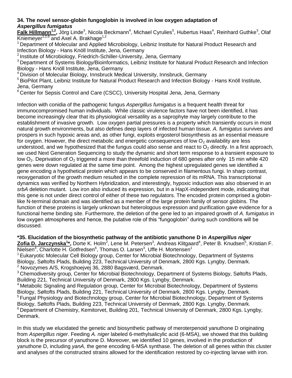#### **34. The novel sensor-globin fungoglobin is involved in low oxygen adaptation of**  *Aspergillus fumigatus*

Falk Hillmann<sup>1,2</sup>, Jörg Linde<sup>3</sup>, Nicola Beckmann<sup>4</sup>, Michael Cyrulies<sup>5</sup>, Hubertus Haas<sup>4</sup>, Reinhard Guthke<sup>3</sup>, Olaf Kniemeyer<sup>1,2,6</sup> and Axel A. Brakhage<sup>1,2</sup>

<sup>1</sup> Department of Molecular and Applied Microbiology, Leibniz Institute for Natural Product Research and Infection Biology - Hans Knöll Institute, Jena, Germany

<sup>2</sup> Institute of Microbiology, Friedrich-Schiller-University, Jena, Germany

<sup>3</sup> Department of Systems Biology/Bioinformatics, Leibniz Institute for Natural Product Research and Infection Biology - Hans Knöll Institute, Jena, Germany

<sup>4</sup> Division of Molecular Biology, Innsbruck Medical University, Innsbruck, Germany

<sup>5</sup> BioPilot Plant, Leibniz Institute for Natural Product Research and Infection Biology - Hans Knöll Institute, Jena, Germany

<sup>6</sup> Center for Sepsis Control and Care (CSCC), University Hospital Jena, Jena, Germany

Infection with conidia of the pathogenic fungus *Aspergillus fumigatus* is a frequent health threat for immunocompromised human individuals. While classic virulence factors have not been identified, it has become increasingly clear that its physiological versatility as a saprophyte may largely contribute to the establishment of invasive growth. Low oxygen partial pressures is a property which transiently occurs in most natural growth environments, but also defines deep layers of infected human tissue. *A. fumigatus* survives and prospers in such hypoxic areas and, as other fungi, exploits ergosterol biosynthesis as an essential measure for oxygen. However, the direct metabolic and energetic consequences of low  $O<sub>2</sub>$  availability are less understood, and we hypothesized that the fungus could also sense and react to  $O<sub>2</sub>$  directly. In a first approach, we used Next Generation Sequencing to study the dynamic and short term response to a transient exposure to low  $O_2$ . Deprivation of  $O_2$  triggered a more than threefold induction of 680 genes after only 15 min while 420 genes were down regulated at the same time point. Among the highest upregulated genes we identified a gene encoding a hypothetical protein which appears to be conserved in filamentous fungi. In sharp contrast, reoxygenation of the growth medium resulted in the complete repression of its mRNA. This transcriptional dynamics was verified by Northern Hybridization, and interestingly, hypoxic induction was also observed in an *srbA* deletion mutant. Low iron also induced its expression, but in a HapX-independent mode, indicating that this gene is not under direct control of either of these two regulators. The encoded protein comprised a globinlike N-terminal domain and was identified as a member of the large protein family of sensor globins. The function of these proteins is largely unknown but heterologous expression and purification gave evidence for a functional heme binding site. Furthermore, the deletion of the gene led to an impaired growth of *A. fumigatus* in low oxygen atmospheres and hence, the putative role of this "fungoglobin" during such conditions will be discussed.

**\*35. Elucidation of the biosynthetic pathway of the antibiotic yanuthone D in** *Aspergillus niger*  $Z$ ofia D. Jarczynska<sup>1\*</sup>, Dorte K. Holm<sup>2</sup>, Lene M. Petersen<sup>3</sup>, Andreas Klitgaard<sup>4</sup>, Peter B. Knudsen<sup>5</sup>, Kristian F. Nielsen<sup>4</sup>, Charlotte H. Gotfredsen<sup>6</sup>, Thomas O. Larsen<sup>3</sup>, Uffe H. Mortensen<sup>1</sup>

<sup>1</sup> Eukaryotic Molecular Cell Biology group, Center for Microbial Biotechnology, Department of Systems Biology, Søltofts Plads, Building 223, Technical University of Denmark, 2800 Kgs. Lyngby, Denmark. <sup>2</sup> Novozymes A/S, Krogshoejvej 36, 2880 Bagsværd, Denmark.

<sup>3</sup> Chemodiversity group, Center for Microbial Biotechnology, Department of Systems Biology, Søltofts Plads, Building 221, Technical University of Denmark, 2800 Kgs. Lyngby, Denmark.

 $4$ Metabolic Signaling and Regulation group, Center for Microbial Biotechnology, Department of Systems Biology, Søltofts Plads, Building 221, Technical University of Denmark, 2800 Kgs. Lyngby, Denmark. <sup>5</sup> Fungal Physiology and Biotechnology group, Center for Microbial Biotechnology, Department of Systems Biology, Søltofts Plads, Building 223, Technical University of Denmark, 2800 Kgs. Lyngby, Denmark. <sup>6</sup> Department of Chemistry, Kemitorvet, Building 201, Technical University of Denmark, 2800 Kgs. Lyngby, Denmark.

In this study we elucidated the genetic and biosynthetic pathway of meroterpenoid yanuthone D originating from *Aspergillus niger*. Feeding *A. niger* labeled 6-methylsalicylic acid (6-MSA), we showed that this building block is the precursor of yanuthone D. Moreover, we identified 10 genes, involved in the production of yanuthone D, including *yanA*, the gene encoding 6-MSA synthase. The deletion of all genes within this cluster and analyses of the constructed strains allowed for the identification restored by co-injecting larvae with iron.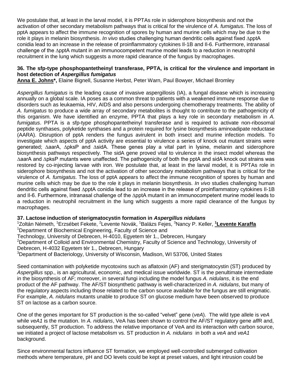We postulate that, at least in the larval model, it is PPTAs role in siderophore biosynthesis and not the activation of other secondary metabolism pathways that is critical for the virulence of *A. fumigatus*. The loss of pptA appears to affect the immune recognition of spores by human and murine cells which may be due to the role it plays in melanin biosynthesis. *In vivo* studies challenging human dendritic cells against fixed ∆pptA conidia lead to an increase in the release of proinflammatory cytokines Il-1B and Il-6. Furthermore, intranasal challenge of the ∆pptA mutant in an immunocompetent murine model leads to a reduction in neutrophil recruitment in the lung which suggests a more rapid clearance of the fungus by macrophages.

#### **36. The sfp-type phosphopantetheinyl transferase, PPTA, is critical for the virulence and important in host detection of** *Aspergillus fumigatus*

**Anna E. Johns\*,** Elaine Bignell, Susanne Herbst, Peter Warn, Paul Bowyer, Michael Bromley

*Aspergillus fumigatus* is the leading cause of invasive aspergillosis (IA), a fungal disease which is increasing annually on a global scale. IA poses as a common threat to patients with a weakened immune response due to disorders such as leukaemia, HIV, AIDS and also persons undergoing chemotherapy treatments. The ability of *A. fumigatus* to produce a wide array of secondary metabolites is thought to contribute to the pathogenicity of this organism. We have identified an enzyme, PPTA that plays a key role in secondary metabolism in *A. fumigatus*. PPTA is a sfp-type phosphopantetheinyl transferase and is required to activate non-ribosomal peptide synthases, polyketide synthases and a protein required for lysine biosynthesis aminoadipate reductase (AARA). Disruption of pptA renders the fungus avirulent in both insect and murine infection models. To investigate which aspects of pptA activity are essential to virulence a series of knock out mutant strains were generated; ∆aarA, ∆pksP and ∆sidA. These genes play a vital part in lysine, melanin and siderophore biosynthesis pathways respectively. The sidA gene proved vital to virulence in the insect model whereas the ∆aarA and ∆pksP mutants were unaffected. The pathogenicity of both the pptA and sidA knock out strains was restored by co-injecting larvae with iron. We postulate that, at least in the larval model, it is PPTAs role in siderophore biosynthesis and not the activation of other secondary metabolism pathways that is critical for the virulence of *A. fumigatus*. The loss of pptA appears to affect the immune recognition of spores by human and murine cells which may be due to the role it plays in melanin biosynthesis. *In vivo* studies challenging human dendritic cells against fixed ∆pptA conidia lead to an increase in the release of proinflammatory cytokines Il-1B and Il-6. Furthermore, intranasal challenge of the ∆pptA mutant in an immunocompetent murine model leads to a reduction in neutrophil recruitment in the lung which suggests a more rapid clearance of the fungus by macrophages.

#### **37. Lactose induction of sterigmatocystin formation in** *Aspergillus nidulans*

<sup>1</sup>Zoltán Németh, <sup>1</sup>Erzsébet Fekete, <sup>2</sup> Levente Novák, <sup>1</sup>Balázs Fejes, <sup>3</sup>Nancy P. Keller, **<sup>1</sup>Levente Karaffa** <sup>1</sup>Department of Biochemical Engineering, Faculty of Science and Technology, University of Debrecen, H-4010, Egyetem tér 1., Debrecen, Hungary

<sup>2</sup>Department of Colloid and Environmental Chemistry, Faculty of Science and Technology, University of Debrecen, H-4032 Egyetem tér 1., Debrecen, Hungary

<sup>3</sup>Department of Bacteriology, University of Wisconsin, Madison, WI 53706, United States

Seed contamination with polyketide mycotoxins such as aflatoxin (AF) and sterigmatocystin (ST) produced by *Aspergillus* spp., is an agricultural, economic, and medical issue worldwide. ST is the penultimate intermediate in the biosynthesis of AF; moreover, in several fungi including the model fungus *A. nidulans*, it is the end product of the AF pathway. The AF/ST biosynthetic pathway is well-characterized in *A. nidulans*, but many of the regulatory aspects including those related to the carbon source available for the fungus are still enigmatic. For example, *A. nidulans* mutants unable to produce ST on glucose medium have been observed to produce ST on lactose as a carbon source.

One of the genes important for ST production is the so-called "velvet" gene (*veA*). The wild type allele is *veA* while *veA1* is the mutation. In *A. nidulans*, VeA has been shown to control the AF/ST regulatory gene *afl*R and, subsequently, ST production. To address the relative importance of VeA and its interaction with carbon source, we initiated a project of lactose metabolism vs. ST production in *A. nidulans* in both a *veA* and *veA1*  background.

Since environmental factors influence ST formation, we employed well-controlled submerged cultivation methods where temperature, pH and DO levels could be kept at preset values, and light intrusion could be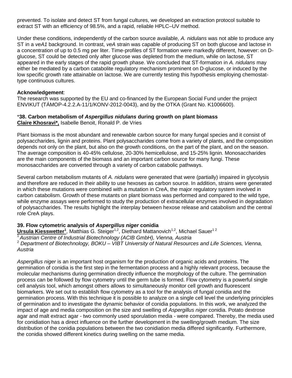prevented. To isolate and detect ST from fungal cultures, we developed an extraction protocol suitable to extract ST with an efficiency of 98.5%, and a rapid, reliable HPLC–UV method.

Under these conditions, independently of the carbon source available, *A. nidulans* was not able to produce any ST in a *veA1* background. In contrast, *veA* strain was capable of producing ST on both glucose and lactose in a concentration of up to 0.5 mg per liter. Time-profiles of ST formation were markedly different, however: on Dglucose, ST could be detected only after glucose was depleted from the medium, while on lactose, ST appeared in the early stages of the rapid growth phase. We concluded that ST-formation in *A. nidulans* may either be mediated by a carbon catabolite regulatory mechanism prominent on D-glucose, or induced by the low specific growth rate attainable on lactose. We are currently testing this hypothesis employing chemostattype continuous cultures.

#### **Acknowledgement**:

The research was supported by the EU and co-financed by the European Social Fund under the project ENVIKUT (TÁMOP-4.2.2.A-11/1/KONV-2012-0043), and by the OTKA (Grant No. K1006600).

#### \***38. Carbon metabolism of** *Aspergillus nidulans* **during growth on plant biomass Claire Khosravi\*,** Isabelle Benoit, Ronald P. de Vries

Plant biomass is the most abundant and renewable carbon source for many fungal species and it consist of polysaccharides, lignin and proteins. Plant polysaccharides come from a variety of plants, and the composition depends not only on the plant, but also on the growth conditions, on the part of the plant, and on the season. The average composition is 40-45% cellulose, 20-30% hemicellulose, and 15-25% lignin. Monosaccharides are the main components of the biomass and an important carbon source for many fungi. These monosaccharides are converted through a variety of carbon catabolic pathways.

Several carbon metabolism mutants of *A. nidulans* were generated that were (partially) impaired in glycolysis and therefore are reduced in their ability to use hexoses as carbon source. In addition, strains were generated in which these mutations were combined with a mutation in CreA, the major regulatory system involved in carbon catabolism. Growth of these mutants on plant biomass was performed and compared to the wild type, while enzyme assays were performed to study the production of extracellular enzymes involved in degradation of polysaccharides. The results highlight the interplay between hexose release and catabolism and the central role CreA plays.

#### **39. Flow cytometric analysis of** *Aspergillus niger* **conidia**

**Ursula Kiesswetter<sup>1</sup>, Matthias G. Steiger<sup>1,2</sup>, Diethard Mattanovich<sup>1,2</sup>, Michael Sauer<sup>12</sup>** <sup>1</sup>*Austrian Centre of Industrial Biotechnology (ACIB GmbH), Vienna, Austria* <sup>2</sup> *Department of Biotechnology, BOKU – VIBT University of Natural Resources and Life Sciences, Vienna, Austria*

*Aspergillus niger* is an important host organism for the production of organic acids and proteins. The germination of conidia is the first step in the fermentation process and a highly relevant process, because the molecular mechanisms during germination directly influence the morphology of the culture. The germination process can be followed by flow cytometry until the germ tube is formed. Flow cytometry is a powerful single cell analysis tool, which amongst others allows to simultaneously monitor cell growth and fluorescent biomarkers. We set out to establish flow cytometry as a tool for the analysis of fungal conidia and the germination process. With this technique it is possible to analyze on a single cell level the underlying principles of germination and to investigate the dynamic behavior of conidia populations. In this work, we analyzed the impact of age and media composition on the size and swelling of *Aspergillus niger* conidia. Potato dextrose agar and malt extract agar - two commonly used sporulation media - were compared. Thereby, the media used for conidiation has a direct influence on the further development in the swelling/growth medium. The size distribution of the conidia populations between the two conidiation media differed significantly. Furthermore, the conidia showed different kinetics during swelling on the same media.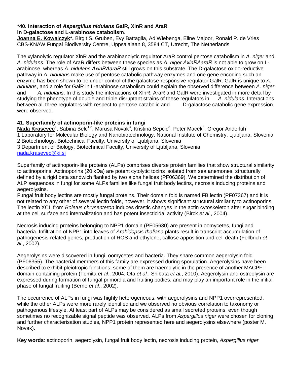#### **\*40. Interaction of** *Aspergillus nidulans* **GalR, XlnR and AraR in D-galactose and L-arabinose catabolism**.

**Joanna E. Kowalczyk\*,** Birgit S. Gruben, Evy Battaglia, Ad Wiebenga, Eline Majoor, Ronald P. de Vries CBS-KNAW Fungal Biodiversity Centre, Uppsalalaan 8, 3584 CT, Utrecht, The Netherlands

The xylanolytic regulator XlnR and the arabinanolytic regulator AraR control pentose catabolism in *A. niger* and *A. nidulans*. The role of AraR differs between these species as *A. niger ΔxlnRΔaraR* is not able to grow on Larabinose, whereas *A. nidulans ΔxlnRΔaraR* still grows on this substrate. The D-galactose oxido-reductive pathway in *A. nidulans* make use of pentose catabolic pathway enzymes and one gene encoding such an enzyme has been shown to be under control of the galactose-responsive regulator GalR. GalR is unique to *A. nidulans*, and a role for GalR in L-arabinose catabolism could explain the observed difference between *A. niger* and *A. nidulans*. In this study the interactions of XlnR, AraR and GalR were investigated in more detail by studying the phenotype of double and triple disruptant strains of these regulators in *A. nidulans*. Interactions between all three regulators with respect to pentose catabolic and D-galactose catabolic gene expression were observed.

#### **41. Superfamily of actinoporin-like proteins in fungi**

**Nada Krasevec**<sup>1</sup>, Sabina Belc<sup>1,2</sup>, Marusa Novak<sup>3</sup>, Kristina Sepcic<sup>3</sup>, Peter Macek<sup>3</sup>, Gregor Anderluh<sup>1</sup> 1 Laboratory for Molecular Biology and Nanobiotechnology, National Institute of Chemistry, Ljubljana, Slovenia 2 Biotechnology, Biotechnical Faculty, University of Ljubljana, Slovenia 3 Department of Biology, Biotechnical Faculty, University of Ljubljana, Slovenia [nada.krasevec@ki.si](mailto:nada.krasevec@ki.si)

Superfamily of actinoporin-like proteins (ALPs) comprises diverse protein families that show structural similarity to actinoporins. Actinoporins (20 kDa) are potent cytolytic toxins isolated from sea anemones, structurally defined by a rigid beta sandwich flanked by two alpha helices (PF06369). We determined the distribution of ALP sequences in fungi for some ALPs families like fungal fruit body lectins, necrosis inducing proteins and aegerolysins.

Fungal fruit body lectins are mostly fungal proteins. Their domain fold is named FB lectin (PF07367) and it is not related to any other of several lectin folds, however, it shows significant structural similarity to actinoporins. The lectin XCL from *Boletus chrysenteron* induces drastic changes in the actin cytoskeleton after sugar binding at the cell surface and internalization and has potent insecticidal activity (Birck *et al*., 2004).

Necrosis inducing proteins belonging to NPP1 domain (PF05630) are present in oomycetes, fungi and bacteria. Infiltration of NPP1 into leaves of *Arabidopsis thaliana* plants result in transcript accumulation of pathogenesis-related genes, production of ROS and ethylene, callose apposition and cell death (Fellbrich *et al*., 2002).

Aegerolysins were discovered in fungi, oomycetes and bacteria. They share common aegerolysin fold (PF06355). The bacterial members of this family are expressed during sporulation. Aegerolysins have been described to exhibit pleiotropic functions; some of them are haemolytic in the presence of another MACPFdomain containing protein (Tomita *et al.*, 2004; Ota *et al.*, Shibata *et al.*, 2010). Aegerolysin and ostreolysin are expressed during formation of fungal primordia and fruiting bodies, and may play an important role in the initial phase of fungal fruiting (Berne *et al.*, 2002).

The occurrence of ALPs in fungi was highly heterogeneous, with aegerolysins and NPP1 overrepresented, while the other ALPs were more rarely identified and we observed no obvious correlation to taxonomy or pathogenous lifestyle. At least part of ALPs may be considered as small secreted proteins, even though sometimes no recognizable signal peptide was observed. ALPs from *Aspergillus niger* were chosen for cloning and further characterisation studies, NPP1 protein represented here and aegerolysins elsewhere (poster M. Novak).

**Key words**: actinoporin, aegerolysin, fungal fruit body lectin, necrosis inducing protein, *Aspergillus niger*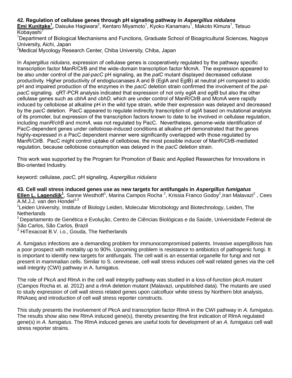## **42. Regulation of cellulase genes through pH signaling pathway in** *Aspergillus nidulans*

Emi Kunitake<sup>1</sup>, Daisuke Hagiwara<sup>2</sup>, Kentaro Miyamoto<sup>1</sup>, Kyoko Kanamaru<sup>1</sup>, Makoto Kimura<sup>1</sup>, Tetsuo Kobayashi $1$ 

<sup>1</sup>Department of Biological Mechanisms and Functions, Graduate School of Bioagricultural Sciences, Nagoya University, Aichi, Japan

<sup>2</sup>Medical Mycology Research Center, Chiba University, Chiba, Japan

In *Aspergillus nidulans*, expression of cellulase genes is cooperatively regulated by the pathway specific transcription factor ManR/ClrB and the wide-domain transcription factor McmA. The expression appeared to be also under control of the *pal*-*pacC* pH signaling, as the *palC* mutant displayed decreased cellulase productivity. Higher productivity of endoglucanases A and B (EglA and EglB) at neutral pH compared to acidic pH and impaired production of the enzymes in the *pacC* deletion strain confirmed the involvement of the *palpacC* signaling. qRT-PCR analysis indicated that expression of not only *eglA* and *eglB* but also the other cellulase genes such as *cbhA* and *cbhD*, which are under control of ManR/ClrB and McmA were rapidly induced by cellobiose at alkaline pH in the wild type strain, while their expression was delayed and decreased by the *pacC* deletion. PacC appeared to regulate indirectly transcription of *eglA* based on mutational analysis of its promoter, but expression of the transcription factors known to date to be involved in cellulase regulation, including *manR*/*clrB* and *mcmA*, was not regulated by PacC. Nevertheless, genome-wide identification of PacC-dependent genes under cellobiose-induced conditions at alkaline pH demonstrated that the genes highly-expressed in a PacC dependent manner were significantly overlapped with those regulated by ManR/ClrB. PacC might control uptake of cellobiose, the most possible inducer of ManR/ClrB-mediated regulation, because cellobiose consumption was delayed in the *pacC* deletion strain.

This work was supported by the Program for Promotion of Basic and Applied Researches for Innovations in Bio-oriented Industry.

keyword: cellulase, *pacC*, pH signaling, *Aspergillus nidulans*

**43. Cell wall stress induced genes use as new targets for antifungals in** *Aspergillus fumigatus* Ellen L. Lagendijk<sup>1</sup>, Sanne Westhoff<sup>1</sup>, Marina Campos Rocha<sup>2</sup>, Krissia Franco Godoy<sup>2</sup>, Iran Malavazi<sup>2</sup>, Cees A.M.J.J. van den Hondel $1,3$ 

<sup>1</sup>Leiden University, Institute of Biology Leiden, Molecular Microbiology and Biotechnology, Leiden, The **Netherlands** 

<sup>2</sup> Departamento de Genética e Evolução, Centro de Ciências Biológicas e da Saúde, Universidade Federal de São Carlos, São Carlos, Brazil

 $3$  HiTexacoat B.V. i.o., Gouda, The Netherlands

*A. fumigatus* infections are a demanding problem for immunocompromised patients. Invasive aspergillosis has a poor prospect with mortality up to 90%. Upcoming problem is resistance to antibiotics of pathogenic fungi. It is important to identify new targets for antifungals. The cell wall is an essential organelle for fungi and not present in mammalian cells. Similar to S. cereviseae, cell wall stress induces cell wall related genes via the cell wall integrity (CWI) pathway in A. fumigatus.

The role of PkcA and RlmA in the cell wall integrity pathway was studied in a loss-of-function pkcA mutant (Campos Rocha et. al. 2012) and a rlmA deletion mutant (Malavazi, unpublished data). The mutants are used to study expression of cell wall stress related genes upon calcofluor white stress by Northern blot analysis, RNAseq and introduction of cell wall stress reporter constructs.

This study presents the involvement of PkcA and transcription factor RlmA in the CWI pathway in *A. fumigatus*. The results show also new RlmA induced gene(s), thereby presenting the first indication of RlmA regulated gene(s) in *A. fumigatus*. The RlmA induced genes are useful tools for development of an *A. fumigatus* cell wall stress reporter strains.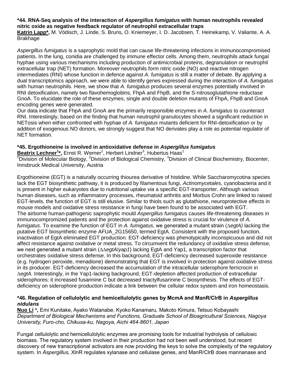#### **\*44. RNA-Seq analysis of the interaction of** *Aspergillus fumigatus* **with human neutrophils revealed nitric oxide as negative feedback regulator of neutrophil extracellular traps**

**Katrin Lapp\*,** M. Vödisch, J. Linde, S. Bruns, O. Kniemeyer, I. D. Jacobsen, T. Heinekamp, V. Valiante, A. A. Brakhage

*Aspergillus fumigatus* is a saprophytic mold that can cause life-threatening infections in immunocompromised patients. In the lung, conidia are challenged by immune effector cells. Among them, neutrophils attack fungal hyphae using various mechanisms including production of antimicrobial proteins, degranulation or neutrophil extracellular trap (NET) formation. Moreover neutrophils form nitric oxide (NO) and reactive nitrogen intermediates (RNI) whose function in defence against *A. fumigatus* is still a matter of debate. By applying a dual transcriptomics approach, we were able to identify genes expressed during the interaction of *A. fumigatus* with human neutrophils. Here, we show that *A. fumigatus* produces several enzymes potentially involved in RNI detoxification, namely two flavohemoglobins, FhpA and FhpB, and the S-nitrosoglutathione reductase GnoA. To elucidate the role of these enzymes, single and double deletion mutants of FhpA, FhpB and GnoA encoding genes were generated.

Our data indicate that FhpA and GnoA are the primarily responsible enzymes in *A. fumigatus* to counteract RNI. Interestingly, based on the finding that human neutrophil granulocytes showed a significant reduction in NETosis when either confronted with hyphae of *A. fumigatus* mutants deficient for RNI-detoxification or by addition of exogenous NO donors, we strongly suggest that NO derivates play a role as potential regulator of NET formation.

#### **\*45. Ergothioneine is involved in antioxidative defense in** *Aspergillus fumigatus*

Beatrix Lechner<sup>1\*</sup>, Ernst R. Werner<sup>2</sup>, Herbert Lindner<sup>3</sup>, Hubertus Haas<sup>1</sup>

<sup>1</sup>Division of Molecular Biology, <sup>2</sup>Division of Biological Chemistry, <sup>3</sup>Division of Clinical Biochemistry, Biocenter, Innsbruck Medical University, Austria

Ergothioneine (EGT) is a naturally occurring thiourea derivative of histidine. While Saccharomycotina species lack the EGT biosynthetic pathway, it is produced by filamentous fungi, *Actinomycetales*, cyanobacteria and it is present in higher eukaryotes due to nutritional uptake *via* a specific EGT-transporter. Although various human diseases, such as inflammatory processes, rheumatoid arthritis and Morbus Crohn are linked to raised EGT-levels, the function of EGT is still elusive. Similar to thiols such as glutathione, neuroprotective effects in mouse models and oxidative stress resistance in fungi have been found to be associated with EGT. The airborne human-pathogenic saprophytic mould *Aspergillus fumigatus* causes life-threatening diseases in immunocompromized patients and the protection against oxidative stress is crucial for virulence of *A. fumigatus*. To examine the function of EGT in *A. fumigatus,* we generated a mutant strain (∆*egtA)* lacking the putative EGT biosynthetic enzyme AFUA\_2G15650, termed EgtA*.* Consistent with the proposed function, inactivation of EgtA eliminated EGT production. EGT-deficiency was phenotypically inconspicuous and did not affect resistance against oxidative or metal stress. To circumvent the redundancy of oxidative stress defense, we next generated a mutant strain (∆∆*egtA*/*yap1*) lacking EgtA and Yap1, a transcription factor that orchestrates oxidative stress defense. In this background, EGT-deficiency decreased superoxide resistance (e.g. hydrogen peroxide, menadione) demonstrating that EGT is involved in protection against oxidative stress in its producer. EGT-deficiency decreased the accumulation of the intracellular siderophore ferricrocin in ∆*egtA*. Interestingly, in the Yap1-lacking background, EGT-depletion affected production of extracellular siderophores: it increased fusarinine C but decreased triactylfusarinine C biosynthesis. The effects of EGTdeficiency on siderophore production indicate a link between the cellular redox system and iron homeostasis.

#### **\*46. Regulation of cellulolytic and hemicellulolytic genes by McmA and ManR/ClrB in** *Aspergillus nidulans*

**Nuo Li \*,** Emi Kunitake, Ayako Watanabe, Kyoko Kanamaru, Makoto Kimura, Tetsuo Kobayashi *Department of Biological Mechanisms and Functions, Graduate School of Bioagricultural Sciences, Nagoya University, Furo-cho, Chikusa-ku, Nagoya, Aichi 464-8601, Japan*

Fungal cellulolytic and hemicellulolytic enzymes are promising tools for industrial hydrolysis of cellulosic biomass. The regulatory system involved in their production had not been well understood, but recent discovery of new transcriptional activators are now providing the keys to solve the complexity of the regulatory system. In *Aspergillus*, XlnR regulates xylanase and cellulase genes, and ManR/ClrB does mannanase and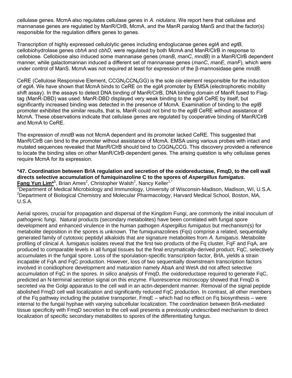cellulase genes. McmA also regulates cellulase genes in *A. nidulans*. We report here that cellulase and mannanase genes are regulated by ManR/ClrB, McmA, and the ManR paralog ManS and that the factor(s) responsible for the regulation differs genes to genes.

Transcription of highly expressed cellulolytic genes including endoglucanse genes *eglA* and *eglB*, cellobiohydrolase genes *cbhA* and *cbhD*, were regulated by both McmA and ManR/ClrB in response to cellobiose. Cellobiose also induced some mannanase genes (*manB*, *manC*, *mndB*) in a ManR/ClrB dependent manner, while galactomannan induced a different set of mannanase genes (*manC*, *manE*, *manF*), which were under control of ManS. McmA was not required at least for expression of the β-mannosidase gene *mndB*.

CeRE (Cellulose Responsive Element, CCGN2CCN6GG) is the sole *cis*-element responsible for the induction of *eglA*. We have shown that McmA binds to CeRE on the *eglA* promoter by EMSA (electrophoretic mobility shift assay). In the assays to detect DNA binding of ManR/ClrB, DNA binding domain of ManR fused to Flagtag (ManR-DBD) was used. ManR-DBD displayed very weak binding to the *eglA* CeRE by itself, but significantly increased binding was detected in the presence of McmA. Examination of binding to the *eglB*  promoter exhibited the similar results, that is, ManR could not bind to the *eglB* CeRE without assistance of McmA. These observations indicate that cellulase genes are regulated by cooperative binding of ManR/ClrB and McmA to CeRE.

The expression of *mndB* was not McmA dependent and its promoter lacked CeRE. This suggested that ManR/ClrB can bind to the promoter without assistance of McmA. EMSA using various probes with intact and mutated sequences revealed that ManR/ClrB should bind to CGGN<sub>8</sub>CCG. This discovery provided a reference to locate the binding sites on other ManR/ClrB-dependent genes. The arising question is why cellulase genes require McmA for its expression.

#### **\*47. Coordination between BrlA regulation and secretion of the oxidoreductase, FmqD, to the cell wall directs selective accumulation of fumiquinazoline C to the spores of** *Aspergillus fumigatus***. Fang Yun Lim\*<sup>1</sup>, Brian Ames<sup>2</sup>, Christopher Walsh<sup>2</sup>, Nancy Keller<sup>1,\*</sup>**

<sup>1</sup>Department of Medical Microbiology and Immunology, University of Wisconsin-Madison, Madison, WI, U.S.A. <sup>2</sup>Department of Biological Chemistry and Molecular Pharmacology, Harvard Medical School, Boston, MA, U.S.A.

Aerial spores, crucial for propagation and dispersal of the Kingdom Fungi, are commonly the initial inoculum of pathogenic fungi. Natural products (secondary metabolites) have been correlated with fungal spore development and enhanced virulence in the human pathogen *Aspergillus fumigatus* but mechanism(s) for metabolite deposition in the spores is unknown. The fumiquinazolines (Fqs) comprise a related, sequentially generated family of cytotoxic peptidyl alkaloids that are signature metabolites from *A. fumigatus*. Metabolite profiling of clinical *A. fumigatus* isolates reveal that the first two products of the Fq cluster, FqF and FqA, are produced to comparable levels in all fungal tissues but the final enzymatically-derived product, FqC, selectively accumulates in the fungal spore. Loss of the sporulation-specific transcription factor, BrlA, yields a strain incapable of FqA and FqC production. However, loss of two sequentially downstream transcription factors involved in conidiophore development and maturation namely AbaA and WetA did not affect selective accumulation of FqC in the spores. *In silico* analysis of FmqD, the oxidoreductase required to generate FqC, predicted an N-terminal secretion signal on this enzyme. Fluorescence microscopy showed that FmqD is secreted via the Golgi apparatus to the cell wall in an actin-dependent manner. Removal of the signal peptide abolished FmqD cell wall localization and significantly reduced FqC production. In contrast, all other members of the Fq pathway including the putative transporter, FmqE – which had no effect on Fq biosynthesis – were internal to the fungal hyphae with varying subcellular localization. The coordination between BrlA-mediated tissue specificity with FmqD secretion to the cell wall presents a previously undescribed mechanism to direct localization of specific secondary metabolites to spores of the differentiating fungus.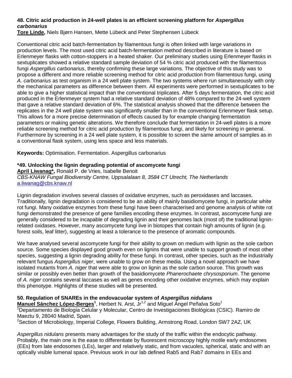#### **48. Citric acid production in 24-well plates is an efficient screening platform for** *Aspergillus carbonarius*

**Tore Linde,** Niels Bjørn Hansen, Mette Lübeck and Peter Stephensen Lübeck

Conventional citric acid batch-fermentation by filamentous fungi is often linked with large variations in production levels. The most used citric acid batch-fermentation method described in literature is based on Erlenmeyer flasks with cotton-stoppers in a heated shaker. Our preliminary studies using Erlenmeyer flasks in sextuplicates showed a relative standard sample deviation of 54 % citric acid produced with the filamentous fungi *Aspergillus carbonarius*, thereby confirming these large variations. The objective of this study was to propose a different and more reliable screening method for citric acid production from filamentous fungi, using *A. carbonarius* as test organism in a 24 well plate system. The two systems where run simultaneously with only the mechanical parameters as difference between them. All experiments were performed in sextuplicates to be able to give a higher statistical impact than the conventional triplicates. After 5 days fermentation, the citric acid produced in the Erlenmeyer system had a relative standard deviation of 48% compared to the 24-well system that gave a relative standard deviation of 6%. The statistical analysis showed that the difference between the replicates in the 24 well plate system was significantly smaller than in the conventional Erlenmeyer flask setup. This allows for a more precise determination of effects caused by for example changing fermentation parameters or making genetic alterations. We therefore conclude that fermentation in 24-well plates is a more reliable screening method for citric acid production by filamentous fungi, and likely for screening in general. Furthermore by screening in a 24 well plate system, it is possible to screen the same amount of samples as in a conventional flask system, using less space and less materials.

**Keywords:** Optimisation. Fermentation. Aspergillus carbonarius

#### **\*49. Unlocking the lignin degrading potential of ascomycete fungi**

**April Liwanag\*,** Ronald P. de Vries, Isabelle Benoit *CBS-KNAW Fungal Biodiversity Centre, Uppsalalaan 8, 3584 CT Utrecht, The Netherlands*  [a.liwanag@cbs.knaw.nl](mailto:a.liwanag@cbs.knaw.nl)

Lignin degradation involves several classes of oxidative enzymes, such as peroxidases and laccases. Traditionally, lignin degradation is considered to be an ability of mainly basidiomycete fungi, in particular white rot fungi. Many oxidative enzymes from these fungi have been characterised and genome analysis of white rot fungi demonstrated the presence of gene families encoding these enzymes. In contrast, ascomycete fungi are generally considered to be incapable of degrading lignin and their genomes lack (most of) the traditional ligninrelated oxidases. However, many ascomycete fungi live in biotopes that contain high amounts of lignin (e.g. forest soils, leaf litter), suggesting at least a tolerance to the presence of aromatic compounds.

We have analysed several ascomycete fungi for their ability to grown on medium with lignin as the sole carbon source. Some species displayed good growth even on lignins that were unable to support growth of most other species, suggesting a lignin degrading ability for these fungi. In contrast, other species, such as the industrially relevant fungus *Aspergillus niger*, were unable to grow on these media. Using a novel approach we have isolated mutants from *A. niger* that were able to grow on lignin as the sole carbon source. This growth was similar or possibly even better than growth of the basidiomycete *Phanerochaete chrysosporium*. The genome of *A. niger* contains several laccases as well as genes encoding other oxidative enzymes, which may explain this phenotype. Highlights of these studies will be presented.

#### **50. Regulation of SNAREs in the endovacuolar system of** *Aspergillus nidulans*

**Manuel Sánchez López-Berges<sup>1</sup>, Herbert N. Arst, Jr<sup>1,2</sup> and Miguel Ángel Peñalva Soto<sup>1</sup>** <sup>1</sup>Departamento de Biología Celular y Molecular, Centro de Investigaciones Biológicas (CSIC). Ramiro de Maeztu 9, 28040 Madrid, Spain.

<sup>2</sup>Section of Microbiology, Imperial College, Flowers Building, Armstrong Road, London SW7 2AZ, UK

*Aspergillus nidulans* presents many advantages for the study of the traffic within the endocytic pathway. Probably, the main one is the ease to differentiate by fluorescent microscopy highly motile early endosomes (EEs) from late endosomes (LEs), larger and relatively static, and from vacuoles, spherical, static and with an optically visible lumenal space. Previous work in our lab defined Rab5 and Rab7 domains in EEs and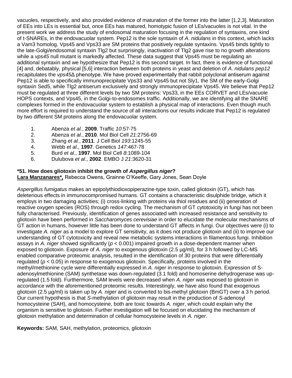vacuoles, respectively, and also provided evidence of maturation of the former into the latter [1,2,3]. Maturation of EEs into LEs is essential but, once EEs has matured, homotypic fusion of LEs/vacuoles is not vital. In the present work we address the study of endosomal maturation focusing in the regulation of syntaxins, one kind of t-SNAREs, in the endovacuolar system. Pep12 is the sole syntaxin of *A*. *nidulans* in this context, which lacks a Vam3 homolog. Vps45 and Vps33 are SM proteins that positively regulate syntaxins. Vps45 binds tightly to the late-Golgi/endosomal syntaxin Tlg2 but surprisingly, inactivation of Tlg2 gave rise to no growth alterations while a *vps45* null mutant is markedly affected. These data suggest that Vps45 must be regulating an additional syntaxin and we hypothesize that Pep12 is this second target. In fact, there is evidence of functional [4] and, debatably, physical [5,6] interaction between both proteins in yeast and deletion of *A*. *nidulans pep12* recapitulates the *vps45*Δ phenotype. We have proved experimentally that rabbit polyclonal antiserum against Pep12 is able to specifically immunoprecipitate Vps33 and Vps45 but not Sly1, the SM of the early-Golgi syntaxin Sed5, while Tlg2 antiserum exclusively and strongly immunoprecipitate Vps45. We believe that Pep12 must be regulated at three different levels by two SM proteins: Vps33, in the EEs CORVET and LEs/vacuole HOPS contexts, and Vps45, in the Golgi-to-endosomes traffic. Additionally, we are identifying all the SNARE complexes formed in the endovacuolar system to establish a physical map of interactions. Even though much more effort is required to understand the source of all interactions our results indicate that Pep12 is regulated by two different SM proteins along the endovacuolar system.

- 1. Abenza *et al.*, **2009**. Traffic *10*:57-75
- 2. Abenza *et al.*, **2010**. Mol Biol Cell *21*:2756-69
- 3. Zhang *et al.*, **2011**. J Cell Biol *193*:1245-55
- 4. Webb *et al*., **1997**. Genetics *147*:467-78
- 5. Burd *et al*., **1997**. Mol Biol Cell *8*:1089-104
- 6. Dulubova *et al*., **2002**. EMBO J *21*:3620-31

#### **\*51. How does gliotoxin inhibit the growth of** *Aspergillus niger***?**

**Lara Manzanares\*,** Rebecca Owens, Grainne O'Keeffe, Gary Jones, Sean Doyle

*Aspergillus fumigatus* makes an epipolythiodioxopiperazine-type toxin, called gliotoxin (GT), which has deleterious effects in immunocompromised humans. GT contains a characteristic disulphide bridge, which it employs in two damaging activities; (i) cross-linking with proteins via thiol residues and (ii) generation of reactive oxygen species (ROS) through redox cycling. The mechanism of GT cytotoxicity in fungi has not been fully characterised. Previously, identification of genes associated with increased resistance and sensitivity to gliotoxin have been performed in *Saccharomyces cerevisiae* in order to elucidate the molecular mechanisms of GT action in humans, however little has been done to understand GT affects in fungi. Our objectives were (i) to investigate *A. niger* as a model to explore GT sensitivity, as it does not produce gliotoxin and (ii) to improve our understanding of GT cytotoxicity and reveal new metabolic systems interactions in filamentous fungi. Inhibition assays in *A. niger* showed significantly (*p* < 0.001) impaired growth in a dose-dependent manner when exposed to gliotoxin. Exposure of *A. niger* to exogenous gliotoxin (2.5 µg/ml), for 3 h followed by LC-MS enabled comparative proteomic analysis, resulted in the identification of 30 proteins that were differentially regulated (*p* < 0.05) in response to exogenous gliotoxin. Specifically, proteins involved in the methyl/methionine cycle were differentially expressed in *A. niger* in response to gliotoxin. Expression of Sadenosylmethionine (SAM) synthetase was down-regulated (3.1 fold) and homoserine dehydrogenase was upregulated (1.5 fold). Furthermore, SAM levels were decreased when *A. niger* was exposed to gliotoxin in accordance with the aforementioned proteomic results. Interestingly, we have also found that exogenous gliotoxin (2.5 µg/ml) is taken up by *A. niger* and is converted to bis-methyl gliotoxin (BmGT) over a 3 h period. Our current hypothesis is that *S*-methylation of gliotoxin may result in the production of *S*-adenosyl homocysteine (SAH), and homocysteine, both are toxic towards *A. niger*, which could explain why the organism is sensitive to gliotoxin. Further investigation will be focused on elucidating the mechanism of gliotoxin methylation and determination of cellular homocysteine levels in *A. niger*.

**Keywords:** SAM, SAH, methylation, proteomics, gliotoxin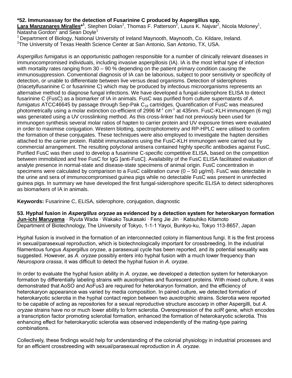#### **\*52. Immunoassay for the detection of Fusarinine C produced by Aspergillus spp.**

Lara Manzanares Miralles<sup>\*1</sup>, Stephen Dolan<sup>1</sup>, Thomas F. Patterson<sup>2</sup>, Laura K. Najvar<sup>2</sup>, Nicola Moloney<sup>1</sup>, Natasha Gordon<sup>1</sup> and Sean Doyle<sup>1</sup>

<sup>1</sup> Department of Biology, National University of Ireland Maynooth, Maynooth, Co. Kildare, Ireland.  ${}^{2}$ The University of Texas Health Science Center at San Antonio, San Antonio, TX, USA.

*Aspergillus fumigatus* is an opportunistic pathogen responsible for a number of clinically relevant diseases in immunocompromised individuals, including invasive aspergillosis (IA). IA is the most lethal type of infection with mortality rates ranging from 30 – 90 % depending on the patient primary condition causing the immunosuppression. Conventional diagnosis of IA can be laborious, subject to poor sensitivity or specificity of detection, or unable to differentiate between live versus dead organisms. Detection of siderophores (triacetylfusarinine C or fusarinine C) which may be produced by infectious microorganisms represents an alternative method to diagnose fungal infections. We have developed a fungal-siderophore ELISA to detect fusarinine C (FusC) as a biomarker of IA in animals. FusC was purified from culture supernatants of *A.*  fumigatus ATCC46645 by passage through Sep-Pak C<sub>18</sub> cartridges. Quantification of FusC was measured photometrically using a molar extinction co-efficient of 2996 M<sup>-1</sup> cm<sup>-1</sup> at 435nm. FusC-KLH immunogen (6 mg) was generated using a UV crosslinking method. As this cross-linker had not previously been used for immunogen synthesis several molar ratios of hapten to carrier protein and UV exposure times were evaluated in order to maximise conjugation. Western blotting, spectrophotometry and RP-HPLC were utilised to confirm the formation of these conjugates. These techniques were also employed to investigate the hapten densities attached to the carrier protein. Rabbit immunisations using the FusC-KLH immunogen were carried out by commercial arrangement. The resulting polyclonal antisera contained highly specific antibodies against FusC. Purified FusC was then used to develop a fusarinine C-specific competitive ELISA, based on the competition between immobilized and free FusC for IgG [anti-FusC]. Availability of the FusC ELISA facilitated evaluation of analyte presence in normal-state and disease-state specimens of animal origin. FusC concentration in specimens were calculated by comparison to a FusC calibration curve  $(0 - 50 \mu q/ml)$ . FusC was detectable in the urine and sera of immunocompromised guinea pigs while no detectable FusC was present in uninfected guinea pigs. In summary we have developed the first fungal-siderophore specific ELISA to detect siderophores as biomarkers of IA in animals.

**Keywords:** Fusarinine C, ELISA, siderophore, conjugation, diagnostic

**53. Hyphal fusion in** *Aspergillus oryzae* **as evidenced by a detection system for heterokaryon formation Jun-ichi Maruyama** · Ryuta Wada · Wakako Tsukasaki · Feng Jie Jin · Katsuhiko Kitamoto Department of Biotechnology, The University of Tokyo, 1-1-1 Yayoi, Bunkyo-ku, Tokyo 113-8657, Japan

Hyphal fusion is involved in the formation of an interconnected colony in filamentous fungi. It is the first process in sexual/parasexual reproduction, which is biotechnologically important for crossbreeding. In the industrial filamentous fungus *Aspergillus oryzae*, a parasexual cycle has been reported, and its potential sexuality was suggested. However, as *A. oryzae* possibly enters into hyphal fusion with a much lower frequency than *Neurospora crassa*, it was difficult to detect the hyphal fusion in *A. oryzae*.

In order to evaluate the hyphal fusion ability in *A. oryzae*, we developed a detection system for heterokaryon formation by differentially labeling strains with auxotrophies and fluorescent proteins. With mixed culture, it was demonstrated that AoSO and AoFus3 are required for heterokaryon formation, and the efficiency of heterokaryon appearance was varied by media composition. In paired culture, we detected formation of heterokaryotic sclerotia in the hyphal contact region between two auxotrophic strains. Sclerotia were reported to be capable of acting as repositories for a sexual reproductive structure ascocarp in other Aspergilli, but *A. oryzae* strains have no or much lower ability to form sclerotia. Overexpression of the *sclR* gene, which encodes a transcription factor promoting sclerotial formation, enhanced the formation of heterokaryotic sclerotia. This enhancing effect for heterokaryotic sclerotia was observed independently of the mating-type pairing combinations.

Collectively, these findings would help for understanding of the colonial physiology in industrial processes and for an efficient crossbreeding with sexual/parasexual reproduction in *A. oryzae*.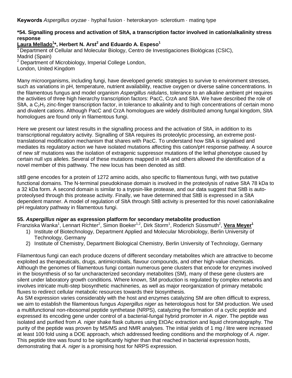**Keywords** *Aspergillus oryzae* · hyphal fusion · heterokaryon· sclerotium · mating type

#### **\*54. Signalling process and activation of SltA, a transcription factor involved in cation/alkalinity stress response**

**Laura Mellado<sup>1</sup> \*, Herbert N. Arst<sup>2</sup> and Eduardo A. Espeso<sup>1</sup>**

<sup>1</sup>Department of Cellular and Molecular Biology, Centro de Investigaciones Biológicas (CSIC), Madrid (Spain)

<sup>2</sup> Department of Microbiology, Imperial College London,

London, United Kingdom

Many microorganisms, including fungi, have developed genetic strategies to survive to environment stresses, such as variations in pH, temperature, nutrient availability, reactive oxygen or diverse saline concentrations. In the filamentous fungus and model organism *Aspergillus nidulans*, tolerance to an alkaline ambient pH requires the activities of three high hierarchy transcription factors: PacC, CrzA and SltA. We have described the role of SItA, a  $C_2H_2$  zinc-finger transcription factor, in tolerance to alkalinity and to high concentrations of certain mono and divalent cations. Although PacC and CrzA homologues are widely distributed among fungal kingdom, SltA homologues are found only in filamentous fungi.

Here we present our latest results in the signalling process and the activation of SltA, in addition to its transcriptional regulatory activity. Signalling of SltA requires its proteolytic processing, an extreme posttranslational modification mechanism that shares with PacC. To understand how SltA is signalised and mediates its regulatory action we have isolated mutations affecting this cation/pH response pathway. A source of new *slt-* mutations was the isolation of extragenic suppressor mutations of the lethal phenotype caused by certain null *vps* alleles. Several of these mutations mapped in *sltA* and others allowed the identification of a novel member of this pathway. The new locus has been denoted as *sltB*.

*sltB* gene encodes for a protein of 1272 amino acids, also specific to filamentous fungi, with two putative functional domains. The N-terminal pseudokinase domain is involved in the proteolysis of native SltA 78 kDa to a 32 kDa form. A second domain is similar to a trypsin-like protease, and our data suggest that SltB is autoproteolysed through this protease activity. Finally, we have determined that SltB is expressed in a SltA dependent manner. A model of regulation of SltA through SltB activity is presented for this novel cation/alkaline pH regulatory pathway in filamentous fungi.

#### **55.** *Aspergillus niger* **as expression platform for secondary metabolite production**

Franziska Wanka<sup>1</sup>, Lennart Richter<sup>2</sup>, Simon Boeker<sup>1,2</sup>, Dirk Storm<sup>1</sup>, Roderich Süssmuth<sup>2</sup>, Vera Meyer<sup>1</sup>

- 1) Institute of Biotechnology, Department Applied and Molecular Microbiology, Berlin University of Technology, Germany
- 2) Institute of Chemistry, Department Biological Chemistry, Berlin University of Technology, Germany

Filamentous fungi can each produce dozens of different secondary metabolites which are attractive to become exploited as therapeuticals, drugs, antimicrobials, flavour compounds, and other high-value chemicals. Although the genomes of filamentous fungi contain numerous gene clusters that encode for enzymes involved in the biosynthesis of so far uncharacterized secondary metabolites (SM), many of these gene clusters are silent under laboratory growth conditions. Where known, SM production is regulated by complex networks and involves intricate multi-step biosynthetic machineries, as well as major reorganization of primary metabolic fluxes to redirect cellular metabolic resources towards their biosynthesis.

As SM expression varies considerably with the host and enzymes catalyzing SM are often difficult to express, we aim to establish the filamentous fungus *Aspergillus niger* as heterologous host for SM production. We used a multifunctional non-ribosomal peptide synthetase (NRPS), catalyzing the formation of a cyclic peptide and expressed its encoding gene under control of a bacterial-fungal hybrid promoter in *A. niger*. The peptide was isolated and purified from *A. niger* shake flask cultures using EtOAc extraction and liquid chromatography. The purity of the peptide was proven by MS/MS and NMR analyses. The initial yields of 1 mg / litre were increased at least 100 fold using a DOE approach, which addressed feeding conditions and the morphology of *A. niger*. This peptide titre was found to be significantly higher than that reached in bacterial expression hosts, demonstrating that *A. niger* is a promising host for NRPS expression.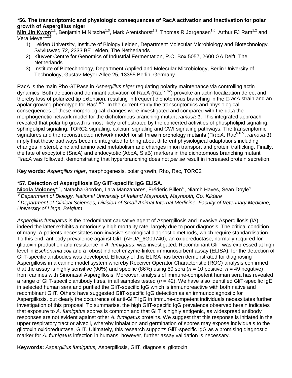#### **\*56. The transcriptomic and physiologic consequences of RacA activation and inactivation for polar growth of Aspergillus niger**

**Min Jin Kwon**<sup>1,2</sup>, Benjamin M Nitsche<sup>1,3</sup>, Mark Arentshorst<sup>1,2</sup>, Thomas R Jørgensen<sup>1,§</sup>, Arthur FJ Ram<sup>1,2</sup> and Vera Meyer<sup>1,2,3</sup>

- 1) Leiden University, Institute of Biology Leiden, Department Molecular Microbiology and Biotechnology, Sylviusweg 72, 2333 BE Leiden, The Netherlands
- 2) Kluyver Centre for Genomics of Industrial Fermentation, P.O. Box 5057, 2600 GA Delft, The **Netherlands**
- 3) Institute of Biotechnology, Department Applied and Molecular Microbiology, Berlin University of Technology, Gustav-Meyer-Allee 25, 13355 Berlin, Germany

RacA is the main Rho GTPase in *Aspergillus niger* regulating polarity maintenance via controlling actin dynamics. Both deletion and dominant activation of RacA (Rac<sup>G18V</sup>) provoke an actin localization defect and thereby loss of polarized tip extension, resulting in frequent dichotomous branching in the DracA strain and an apolar growing phenotype for Rac<sup>G18V</sup>. In the current study the transcriptomics and physiological consequences of these morphological changes were investigated and compared with the data the morphogenetic network model for the dichotomous branching mutant *ramosa-1*. This integrated approach revealed that polar tip growth is most likely orchestrated by the concerted activities of phospholipid signaling, sphingolipid signaling, TORC2 signaling, calcium signaling and CWI signaling pathways. The transcriptomic signatures and the reconstructed network model for all three morphology mutants ( $\Box$ racA, Rac<sup>G18V</sup>, ramosa-1) imply that these pathways become integrated to bring about different physiological adaptations including changes in sterol, zinc and amino acid metabolism and changes in ion transport and protein trafficking. Finally, the fate of exocytotic (SncA) and endocytotic (AbpA, SlaB) markers in the dichotomous branching mutant *racA* was followed, demonstrating that hyperbranching does not *per se* result in increased protein secretion.

**Key words:** *Aspergillus niger*, morphogenesis, polar growth, Rho, Rac, TORC2

#### **\*57. Detection of Aspergillosis By GliT-specific IgG ELISA.**

 $\textsf{Nicola Moloney*}^{\Psi},$  Natasha Gordon, Lara Manzanares, Frédéric Billen<sup>®</sup>, Niamh Hayes, Sean Doyle<sup>Ψ</sup> *Department of Biology, National University of Ireland Maynooth, Maynooth, Co. Kildare*

 *Department of Clinical Sciences, Division of Small Animal Internal Medicine, Faculty of Veterinary Medicine, University of Liège, Belgium*

*Aspergillus fumigatus* is the predominant causative agent of Aspergillosis and Invasive Aspergillosis (IA), indeed the latter exhibits a notoriously high mortality rate, largely due to poor diagnosis. The critical condition of many IA patients necessitates non-invasive serological diagnostic methods, which require standardisation. To this end, antibody prevalence against GliT (AFUA\_6G09740), an oxidoreductase, normally required for gliotoxin production and resistance in *A. fumigatus*, was investigated. Recombinant GliT was expressed at high level in *Escherichia coli* and a robust indirect enzyme-linked immunosorbent assay (ELISA), for the detection of GliT-specific antibodies was developed. Efficacy of this ELISA has been demonstrated for diagnosing Aspergillosis in a canine model system whereby Receiver Operator Characteristic (ROC) analysis confirmed that the assay is highly sensitive (90%) and specific (86%) using 59 sera ( $n = 10$  positive;  $n = 49$  negative) from canines with Sinonasal Aspergillosis. Moreover, analysis of immune-competent human sera has revealed a range of GliT-specific antibody titres, in all samples tested ( $n = 42$ ). We have also identified GliT-specific IgE in selected human sera and purified the GliT-specific IgG which is immunoreactive with both native and recombinant GliT. Others have suggested GliT-specific IgG detection as an immunodiagnostic for Aspergillosis, but clearly the occurrence of anti-GliT IgG in immune-competent individuals necessitates further investigation of this proposal. To summarise, the high GliT-specific IgG prevalence observed herein indicates that exposure to *A. fumigatus* spores is common and that GliT is highly antigenic, as widespread antibody responses are not evident against other *A. fumigatus* proteins. We suggest that this response is initiated in the upper respiratory tract or alveoli, whereby inhalation and germination of spores may expose individuals to the gliotoxin oxidoreductase, GliT. Ultimately, this research supports GliT-specific IgG as a promising diagnostic marker for *A. fumigatus* infection in humans, however, further assay validation is necessary.

**Keywords:** *Aspergillus fumigatus,* Aspergillosis, GliT, diagnosis, gliotoxin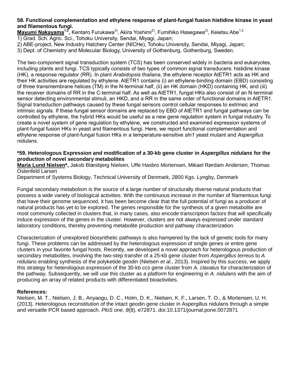#### **58. Functional complementation and ethylene response of plant-fungal fusion histidine kinase in yeast and filamentous fungi.**

**Mayumi Nakayama<sup>1,2</sup>,** Kentaro Furukawa<sup>3)</sup>, Akira Yoshimi<sup>2)</sup>, Fumihiko Hasegawa<sup>2)</sup>, Keietsu Abe<sup>1,2</sup> 1) Grad. Sch. Agric. Sci., Tohoku University, Sendai, Miyagi, Japan;

2) ABE-project, New Industry Hatchery Center (NICHe), Tohoku University, Sendai, Miyagi, Japan;

3) Dept. of Chemistry and Molecular Biology, University of Gothenburg, Gothenburg, Sweden.

The two-component signal transduction system (TCS) has been conserved widely in bacteria and eukaryotes, including plants and fungi. TCS typically consists of two types of common signal transducers: histidine kinase (HK), a response regulator (RR). In plant *Arabidopsis thaliana*, the ethylene receptor AtETR1 acts as HK and their HK activities are regulated by ethylene. AtETR1 contains (i) an ethylene-binding domain (EBD) consisting of three transmembrane helices (TM) in the N-terminal half, (ii) an HK domain (HKD) containing HK, and (iii) the receiver domains of RR in the C-terminal half. As well as AtETR1, fungal HKs also consist of an N-terminal sensor detecting environmental stimuli, an HKD, and a RR in the same order of functional domains in AtETR1. Signal transduction pathways caused by these fungal sensors control cellular responses to extrinsic and intrinsic signals. If these fungal sensor domains are replaced by EBD of AtETR1 and fungal pathways can be controlled by ethylene, the hybrid HKs would be useful as a new gene regulation system in fungal industry. To create a novel system of gene regulation by ethylene, we constructed and examined expression systems of plant-fungal fusion HKs in yeast and filamentous fungi. Here, we report functional complementation and ethylene response of plant-fungal fusion HKs in a temperature-sensitive *sln1* yeast mutant and *Aspergillus nidulans*.

#### **\*59. Heterologous Expression and modification of a 30-kb gene cluster in** *Aspergillus nidulans* **for the production of novel secondary metabolites**

**Maria Lund Nielsen\*,** Jakob Blæsbjerg Nielsen, Uffe Hasbro Mortensen, Mikael Rørdam Andersen, Thomas Ostenfeld Larsen

Department of Systems Biology, Technical University of Denmark, 2800 Kgs. Lyngby, Denmark

Fungal secondary metabolism is the source of a large number of structurally diverse natural products that possess a wide variety of biological activities. With the continuous increase in the number of filamentous fungi that have their genome sequenced, it has been become clear that the full potential of fungi as a producer of natural products has yet to be explored. The genes responsible for the synthesis of a given metabolite are most commonly collected in clusters that, in many cases, also encode transcription factors that will specifically induce expression of the genes in the cluster. However, clusters are not always expressed under standard laboratory conditions, thereby preventing metabolite production and pathway characterization.

Characterization of unexplored biosynthetic pathways is also hampered by the lack of genetic tools for many fungi. These problems can be addressed by the heterologous expression of single genes or entire gene clusters in your favorite fungal hosts. Recently, we developed a novel approach for heterologous production of secondary metabolites, involving the two-step transfer of a 25-kb gene cluster from *Aspergillus terreus* to *A. nidulans* enabling synthesis of the polyketide geodin (Nielsen *et al.*, 2013). Inspired by this success, we apply this strategy for heterologous expression of the 30-kb *ccs* gene cluster from *A. clavatus* for characterization of the pathway. Subsequently, we will use this cluster as a platform for engineering in *A. nidulans* with the aim of producing an array of related products with differentiated bioactivities.

#### **References:**

Nielsen, M. T., Nielsen, J. B., Anyaogu, D. C., Holm, D. K., Nielsen, K. F., Larsen, T. O., & Mortensen, U. H. (2013). Heterologous reconstitution of the intact geodin gene cluster in Aspergillus nidulans through a simple and versatile PCR based approach. *PloS one*, *8*(8), e72871. doi:10.1371/journal.pone.0072871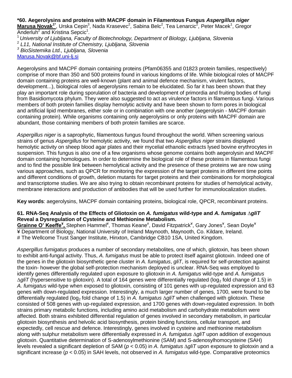**\*60. Aegerolysins and proteins with MACPF domain in Filamentous Fungus** *Aspergillus niger* Marusa Novak<sup>1\*</sup>, Urska Cepin<sup>3</sup>, Nada Krasevec<sup>2</sup>, Sabina Belc<sup>2</sup>, Tea Lenarcic<sup>2</sup>, Peter Macek<sup>1</sup>, Gregor Anderluh<sup>2</sup> and Kristina Sepcic<sup>1</sup>.

<sup>1</sup>*University of Ljubljana, Faculty of Biotechnology, Department of Biology, Ljubljana, Slovenia*

2 *L11, National Institute of Chemistry, Ljubljana, Slovenia*

*<sup>3</sup> BioSistemika Ltd., Ljubljana, Slovenia*

[Marusa.Novak@bf.uni-lj.si](mailto:Marusa.Novak@bf.uni-lj.si)

Aegerolysins and MACPF domain containing proteins (Pfam06355 and 01823 protein families, respectively) comprise of more than 350 and 500 proteins found in various kingdoms of life. While biological roles of MACPF domain containing proteins are well-known (plant and animal defence mechanism, virulent factors, development...), biological roles of aegerolysins remain to be elucidated. So far it has been shown that they play an important role during sporulation of bacteria and development of primordia and fruiting bodies of fungi from Basidiomycota phylum. They were also suggested to act as virulence factors in filamentous fungi. Various members of both protein families display hemolytic activity and have been shown to form pores in biological and artificial lipid membranes, either sole or in combination with one another (aegerolysin - MACPF domain containing protein). While organisms containing only aegerolysins or only proteins with MACPF domain are abundant, those containing members of both protein families are scarce.

*Aspergillus niger* is a saprophytic, filamentous fungus found throughout the world. When screening various strains of genus *Aspergillus* for hemolytic activity, we found that two *Aspergillus niger* strains displayed hemolytic activity on sheep blood agar plates and their mycelial ethanolic extracts lysed bovine erythrocytes in suspension. This fungus is also one of a few organisms whose genome contains both aegerolysin and MACPF domain containing homologues. In order to determine the biological role of these proteins in filamentous fungi and to find the possible link between hemolytical activity and the presence of these proteins we are now using various approaches, such as QPCR for monitoring the expression of the target proteins in different time points and different conditions of growth, deletion mutants for target proteins and their combinations for morphological and transcriptome studies. We are also trying to obtain recombinant proteins for studies of hemolytical activity, membrane interactions and production of antibodies that will be used further for immunolocalization studies.

**Key words**: aegerolysins, MACPF domain containing proteins, biological role, QPCR, recombinant proteins.

#### **61. RNA-Seq Analysis of the Effects of Gliotoxin on** *A. fumigatus* **wild-type and** *A. fumigatus* **∆***gliT* **Reveal a Dysregulation of Cysteine and Methionine Metabolism.**

Grainne O' Keeffe<sup>¥</sup>, Stephen Hammel<sup>¥</sup>, Thomas Keane<sup>#</sup>, David Fitzpatrick<sup>¥</sup>, Gary Jones<sup>¥</sup>, Sean Doyle<sup>¥</sup> ¥ Department of Biology, National University of Ireland Maynooth, Maynooth, Co. Kildare, Ireland. # The Wellcome Trust Sanger Institute, Hinxton, Cambridge CB10 1SA, United Kingdom.

*Aspergillus fumigatus* produces a number of secondary metabolites, one of which, gliotoxin, has been shown to exhibit anti-fungal activity. Thus, *A. fumigatus* must be able to protect itself against gliotoxin. Indeed one of the genes in the gliotoxin biosynthetic gene cluster in *A. fumigatus*, *gliT*, is required for self-protection against the toxin- however the global self-protection mechanism deployed is unclear. RNA-Seq was employed to identify genes differentially regulated upon exposure to gliotoxin in *A. fumigatus* wild-type and *A. fumigatus*  ∆*gliT* (hypersensitive to gliotoxin). A total of 164 genes were differentially regulated (log<sub>2</sub> fold change of 1.5) in *A. fumigatus* wild-type when exposed to gliotoxin, consisting of 101 genes with up-regulated expression and 63 genes with down-regulated expression. Interestingly, a much larger number of genes, 1700, were found to be differentially regulated (log<sup>2</sup> fold change of 1.5) in *A. fumigatus* ∆*gliT* when challenged with gliotoxin. These consisted of 508 genes with up-regulated expression, and 1700 genes with down-regulated expression. In both strains primary metabolic functions, including amino acid metabolism and carbohydrate metabolism were affected. Both strains exhibited differential regulation of genes involved in secondary metabolism, in particular gliotoxin biosynthesis and helvolic acid biosynthesis, protein binding functions, cellular transport, and expectedly, cell rescue and defence. Interestingly, genes involved in cysteine and methionine metabolism along with sulphur metabolism were differentially expressed in *A. fumigatus* ∆*gliT* upon addition of exogenous gliotoxin. Quantitative determination of S-adenosylmethionine (SAM) and S-adenosylhomocysteine (SAH) levels revealed a significant depletion of SAM (*p* < 0.05) in *A. fumigatus* ∆*gliT* upon exposure to gliotoxin and a significant increase (*p* < 0.05) in SAH levels, not observed in *A. fumigatus* wild-type. Comparative proteomics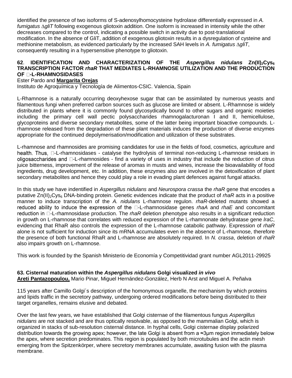identified the presence of two isoforms of S-adenosylhomocysteine hydrolase differentially expressed in *A. fumigatus* ∆*gliT* following exogenous gliotoxin addition. One isoform is increased in intensity while the other decreases compared to the control, indicating a possible switch in activity due to post-translational modification. In the absence of GliT, addition of exogenous gliotoxin results in a dysregulation of cysteine and methionine metabolism, as evidenced particularly by the increased SAH levels in *A. fumigatus* ∆*gliT*, consequently resulting in a hypersensitive phenotype to gliotoxin.

#### **62**. **IDENTIFICATION AND CHARACTERIZATION OF THE** *Aspergillus nidulans* **Zn(II)2Cys<sup>6</sup> TRANSCRIPTION FACTOR** *rhaR* **THAT MEDIATES L-RHAMNOSE UTILIZATION AND THE PRODUCTION -L-RHAMNOSIDASES**

#### Ester Pardo and **Margarita Orejas**

Instituto de Agroquímica y Tecnología de Alimentos-CSIC. Valencia, Spain

L-Rhamnose is a naturally occurring deoxyhexose sugar that can be assimilated by numerous yeasts and filamentous fungi when preferred carbon sources such as glucose are limited or absent. L-Rhamnose is widely distributed in plants where it is commonly found glycosydically bound to other sugars and organic moieties including the primary cell wall pectic polysaccharides rhamnogalacturonan I and II, hemicellulose, glycoproteins and diverse secondary metabolites, some of the latter being important bioactive compounds. Lrhamnose released from the degradation of these plant materials induces the production of diverse enzymes appropriate for the continued depolymerisation/modification and utilization of these substrates.

L-rhamnose and rhamnosides are promising candidates for use in the fields of food, cosmetics, agriculture and health. Thus,  $\Box$ -L-rhamnosidases - catalyse the hydrolysis of terminal non-reducing L-rhamnose residues in oligosaccharides and  $\Box$ -L-rhamnosides - find a variety of uses in industry that include the reduction of citrus juice bitterness, improvement of the release of aromas in musts and wines, increase the bioavailability of food ingredients, drug development, etc. In addition, these enzymes also are involved in the detoxification of plant secondary metabolites and hence they could play a role in evading plant defences against fungal attacks.

In this study we have indentified in *Aspergillus nidulans* and *Neurospora crassa* the *rhaR* gene that encodes a putative Zn(II)<sub>2</sub>Cys<sub>6</sub> DNA-binding protein. Genetic evidences indicate that the product of *rhaR* acts in a positive manner to induce transcription of the *A. nidulans* L-rhamnose regulon. *rhaR*-deleted mutants showed a reduced ability to induce the expression of the  $\square$ -L-rhamnosidase genes *rhaA* and *rhaE* and concomitant reduction in  $\Box$ -L-rhamnosidase production. The *rhaR* deletion phenotype also results in a significant reduction in growth on L-rhamnose that correlates with reduced expression of the L-rhamnonate dehydratase gene *lraC*, evidencing that RhaR also controls the expression of the L-rhamnose catabolic pathway. Expression of *rhaR* alone is not sufficient for induction since its mRNA accumulates even in the absence of L-rhamnose, therefore the presence of both functional RhaR and L-rhamnose are absolutely required. In *N. crassa*, deletion of *rhaR* also impairs growth on L-rhamnose.

This work is founded by the Spanish Ministerio de Economía y Competitividad grant number AGL2011-29925

#### **63. Cisternal maturation within the** *Aspergillus nidulans* **Golgi visualized** *in vivo*

**Areti Pantazopoulou,** Mario Pinar, Miguel Hernández-González, Herb N Arst and Miguel A. Peñalva

115 years after Camillo Golgi´s description of the homonymous organelle, the mechanism by which proteins and lipids traffic in the secretory pathway, undergoing ordered modifications before being distributed to their target organelles, remains elusive and debated.

Over the last few years, we have established that Golgi cisternae of the filamentous fungus *Aspergillus nidulans* are not stacked and are thus optically resolvable, as opposed to the mammalian Golgi, which is organized in stacks of sub-resolution cisternal distance. In hyphal cells, Golgi cisternae display polarized distribution towards the growing apex; however, the late Golgi is absent from a ≈3µm region immediately below the apex, where secretion predominates. This region is populated by both microtubules and the actin mesh emerging from the Spitzenkörper, where secretory membranes accumulate, awaiting fusion with the plasma membrane.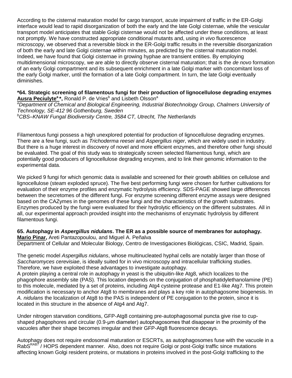According to the cisternal maturation model for cargo transport, acute impairment of traffic in the ER-Golgi interface would lead to rapid disorganization of both the early and the late Golgi cisternae, while the vesicular transport model anticipates that stable Golgi cisternae would not be affected under these conditions, at least not promptly. We have constructed appropriate conditional mutants and, using *in vivo* fluorescence microscopy, we observed that a reversible block in the ER-Golgi traffic results in the reversible disorganization of both the early and late Golgi cisternae within minutes, as predicted by the cisternal maturation model. Indeed, we have found that Golgi cisternae in growing hyphae are transient entities. By employing multidimensional microscopy, we are able to directly observe cisternal maturation; that is the *de novo* formation of an early Golgi compartment and its subsequent enrichment in a late Golgi marker with concomitant loss of the early Golgi marker, until the formation of a late Golgi compartment. In turn, the late Golgi eventually diminishes.

**\*64. Strategic screening of filamentous fungi for their production of lignocellulose degrading enzymes Ausra Peciulyte<sup>a</sup>\***, Ronald P. de Vries<sup>b</sup> and Lisbeth Olsson<sup>a</sup> *<sup>a</sup>Department of Chemical and Biological Engineering, Industrial Biotechnology Group, Chalmers University of Technology, SE-412 96 Gothenburg, Sweden <sup>b</sup>CBS–KNAW Fungal Biodiversity Centre, 3584 CT, Utrecht, The Netherlands* 

Filamentous fungi possess a high unexplored potential for production of lignocellulose degrading enzymes. There are a few fungi, such as *Trichoderma reesei* and *Aspergillus niger*, which are widely used in industry. But there is a huge interest in discovery of novel and more efficient enzymes, and therefore other fungi should be evaluated. The goal of this study was to strategically screen selected filamentous fungi, which are potentially good producers of lignocellulose degrading enzymes, and to link their genomic information to the experimental data.

We picked 9 fungi for which genomic data is available and screened for their growth abilities on cellulose and lignocellulose (steam exploded spruce). The five best performing fungi were chosen for further cultivations for evaluation of their enzyme profiles and enzymatic hydrolysis efficiency. SDS-PAGE showed large differences between the secretomes of the different fungi. For enzyme screening different enzyme assays were designed based on the CAZymes in the genomes of these fungi and the characteristics of the growth substrates. Enzymes produced by the fungi were evaluated for their hydrolytic efficiency on the different substrates. All in all, our experimental approach provided insight into the mechanisms of enzymatic hydrolysis by different filamentous fungi.

#### **65. Autophagy in** *Aspergillus nidulans***. The ER as a possible source of membranes for autophagy. Mario Pinar,** Areti Pantazopoulou, and Miguel A. Peñalva

Department of Cellular and Molecular Biology, Centro de Investigaciones Biológicas, CSIC, Madrid, Spain.

The genetic model *Aspergillus nidulans*, whose multinucleated hyphal cells are notably larger than those of *Saccharomyces cerevisiae*, is ideally suited for in vivo microscopy and intracellular trafficking studies. Therefore, we have exploited these advantages to investigate autophagy.

A protein playing a central role in autophagy in yeast is the ubiquitin-like Atg8, which localizes to the phagophore assembly site (PAS). This location depends on the conjugation of phosphatidylethanolamine (PE) to this molecule, mediated by a set of proteins, including Atg4 cysteine protease and E1-like Atg7. This protein modification is necessary to anchor Atg8 to membranes and plays a key role in autophagosome biogenesis. In *A. nidulans* the localization of Atg8 to the PAS is independent of PE conjugation to the protein, since it is located in this structure in the absence of Atg4 and Atg7.

Under nitrogen starvation conditions, GFP-Atg8 containing pre-autophagosomal puncta give rise to cupshaped phagophores and circular (0.9-μm diameter) autophagosomes that disappear in the proximity of the vacuoles after their shape becomes irregular and their GFP-Atg8 fluorescence decays.

Autophagy does not require endosomal maturation or ESCRTs, as autophagosomes fuse with the vacuole in a RabS<sup>RAB7</sup>/HOPS dependent manner. Also, does not require Golgi or post-Golgi traffic since mutations affecting known Golgi resident proteins, or mutations in proteins involved in the post-Golgi trafficking to the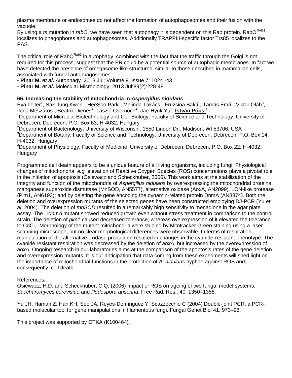plasma membrane or endosomes do not affect the formation of autophagosomes and their fusion with the vacuole.

By using a *ts* mutation in *rabO*, we have seen that autophagy it is dependent on this Rab protein. RabO<sup>RAB1</sup> localizes to phagophores and autophagosomes. Additionally TRAPPIII-specific factor Trs85 localizes to the PAS.

The critical role of RabO<sup>Rab1</sup> in autophagy, combined with the fact that the traffic through the Golgi is not required for this process, suggest that the ER could be a potential source of autophagic membranes. In fact we have detected the presence of omegasome-like structures, similar to those described in mammalian cells, associated with fungal autophagosomes.

**- Pinar M.** *et al***.** Autophagy. 2013 Jul; Volume 9, Issue 7: 1024 -43.

**- Pinar M.** *et al***.** Molecular Microbiology. 2013 Jul;89(2):228-48.

#### **66. Increasing the stability of mitochondria in** *Aspergillus nidulans*

Éva Leiter<sup>1</sup>, Nak-Jung Kwon<sup>2</sup>, HeeSoo Park<sup>2</sup>, Melinda Takács<sup>1</sup>, Fruzsina Bakti<sup>1</sup>, Tamás Emri<sup>1</sup>, Viktor Oláh<sup>3</sup>, llona Mészáros<sup>3</sup>, Beatrix Dienes<sup>4</sup>, László Csernoch<sup>4</sup>, Jae-Hyuk Yu<sup>2</sup>, <u>István Pócsi</u><sup>1</sup>

<sup>1</sup>Department of Microbial Biotechnology and Cell Biology, Faculty of Science and Technology, University of Debrecen, Debrecen, P.O. Box 63, H-4032, Hungary

<sup>2</sup>Department of Bacteriology, University of Wisconsin, 1550 Linden Dr., Madison, WI 53706, USA <sup>3</sup>Department of Botany, Faculty of Science and Technology, University of Debrecen, Debrecen, P.O. Box 14, H-4032, Hungary

<sup>4</sup>Department of Physiology, Faculty of Medicine, University of Debrecen, Debrecen, P.O. Box 22, H-4032, **Hungary** 

Programmed cell death appears to be a unique feature of all living organisms, including fungi. Physiological changes of mitochondria, *e.g.* elevation of Reactive Oxygen Species (ROS) concentrations plays a pivotal role in the initiation of apoptosis (Osiewacz and Scheckhuber, 2006). This work aims at the stabilization of the integrity and function of the mitochondria of *Aspergillus nidulans* by overexpressing the mitochondrial proteins manganese superoxide dismutase (MnSOD, AN5577), alternative oxidase (AoxA, AN2099), LON-like protease (Pim1, AN6193); and by deleting the gene encoding the dynamin-related protein DnmA (AN8874). Both the deletion and overexpression mutants of the selected genes have been constructed employing DJ-PCR (Yu *et al*; 2004). The deletion of *mnSOD* resulted in a remarkably high sensitivity to menadione in the agar plate assay. The  $\Box$ dnmA mutant showed reduced growth even without stress treatment in comparison to the control strain. The deletion of *pim1* caused decreased tolerance, whereas overexpression of it elevated the tolerance to CdCl<sub>2</sub>. Morphology of the mutant mitochondria were studied by Mitotracker Green staining using a laser scanning microscope, but no clear morphological differences were observable. In terms of respiration, manipulation of the alternative oxidase production resulted in changes in the cyanide-resistant phenotype. The cyanide resistant respiration was decreased by the deletion of *aoxA*, but increased by the overexpression of *aoxA*. Ongoing research in our laboratories aims at the comparison of the apoptosis rates of the gene deletion and overexpression mutants. It is our anticipation that data coming from these experiments will shed light on the importance of mitochondrial functions in the protection of *A. nidulans* hyphae against ROS and, consequently, cell death.

#### References:

Osiewacz, H.D. and Scheckhuber, C.Q. (2006) Impact of ROS on ageing of two fungal model systems: *Saccharomyces cerevisiae* and *Podospora anserina*. Free Rad. Res.. 40: 1350–1358.

Yu JH, Hamari Z, Han KH, Seo JA, Reyes-Domínguez Y, Scazzocchio C (2004) Double-joint PCR: a PCRbased molecular tool for gene manipulations in filamentous fungi. Fungal Genet Biol 41, 973–98.

This project was supported by OTKA (K100464).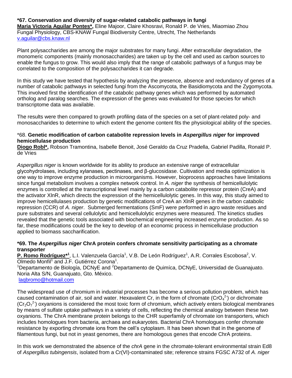#### **\*67. Conservation and diversity of sugar-related catabolic pathways in fungi**

**Maria Victoria Aguilar Pontes\*,** Eline Majoor, Claire Khosravi, Ronald P. de Vries, Miaomiao Zhou Fungal Physiology, CBS-KNAW Fungal Biodiversity Centre, Utrecht, The Netherlands [v.aguilar@cbs.knaw.nl](mailto:v.aguilar@cbs.knaw.nl)

Plant polysaccharides are among the major substrates for many fungi. After extracellular degradation, the monomeric components (mainly monosaccharides) are taken up by the cell and used as carbon sources to enable the fungus to grow. This would also imply that the range of catabolic pathways of a fungus may be correlated to the composition of the polysaccharides it can degrade.

In this study we have tested that hypothesis by analyzing the presence, absence and redundancy of genes of a number of catabolic pathways in selected fungi from the Ascomycota, the Basidiomycota and the Zygomycota. This involved first the identification of the catabolic pathway genes which was performed by automated ortholog and paralog searches. The expression of the genes was evaluated for those species for which transcriptome data was available.

The results were then compared to growth profiling data of the species on a set of plant-related poly- and monosaccharides to determine to which extent the genome content fits the physiological ability of the species.

#### \*68. **Genetic modification of carbon catabolite repression levels in** *Aspergillus niger* **for improved hemicellulase production**

**Diogo Robl\*,** Robson Tramontina, Isabelle Benoit, José Geraldo da Cruz Pradella, Gabriel Padilla, Ronald P. de Vries

*Aspergillus niger* is known worldwide for its ability to produce an extensive range of extracellular glycohydrolases, including xylanases, pectinases, and β-glucosidase. Cultivation and media optimization is one way to improve enzyme production in microorganisms. However, bioprocess approaches have limitations since fungal metabolism involves a complex network control. In *A. niger* the synthesis of hemicellulolytic enzymes is controlled at the transcriptional level mainly by a carbon catabolite repressor protein (CreA) and the activator XlnR, which directs the expression of the hemicellulolytic genes. In this way, this study aimed to improve hemicellulases production by genetic modifications of CreA an XlnR genes in the carbon catabolic repression (CCR) of *A. niger*. Submerged fermentations (SmF) were performed in agro waste residues and pure substrates and several cellulolytic and hemicellulolytic enzymes were measured. The kinetics studies revealed that the genetic tools associated with biochemical engineering increased enzyme production. As so far, these modifications could be the key to develop of an economic process in hemicellulase production applied to biomass saccharification.

#### **\*69. The** *Aspergillus niger* **ChrA protein confers chromate sensitivity participating as a chromate transporter**

P. Romo Rodríguez<sup>\*1</sup>, L.I. Valenzuela García<sup>1</sup>, V.B. De León Rodríguez<sup>1</sup>, A.R. Corrales Escobosa<sup>2</sup>, V. Olmedo Monfil<sup>1</sup> and J.F. Gutiérrez Corona<sup>1</sup>.

<sup>1</sup>Departamento de Biología, DCNyE and <sup>2</sup>Departamento de Quimíca, DCNyE, Universidad de Guanajuato. Noria Alta S/N, Guanajuato, Gto. México.

#### [laqbromo@hotmail.com](mailto:laqbromo@hotmail.com)

The widespread use of chromium in industrial processes has become a serious pollution problem, which has caused contamination of air, soil and water. Hexavalent Cr, in the form of chromate (CrO $_4^2$ ) or dichromate  $(Cr_2O_7^2)$  oxyanions is considered the most toxic form of chromium, which actively enters biological membranes by means of sulfate uptake pathways in a variety of cells, reflecting the chemical analogy between these two oxyanions. The ChrA membrane protein belongs to the CHR superfamily of chromate ion transporters, which includes homologues from bacteria, archaea and eukaryotes. Bacterial ChrA homologues confer chromate resistance by exporting chromate ions from the cell's cytoplasm. It has been shown that in the genome of filamentous fungi, but not in yeast genomes, there are homologous genes that encode ChrA proteins.

In this work we demonstrated the absence of the *chrA* gene in the chromate-tolerant environmental strain Ed8 of *Aspergillus tubingensis*, isolated from a Cr(VI)-contaminated site; reference strains FGSC A732 of *A. niger*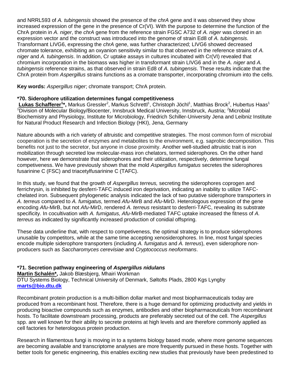and NRRL593 of *A. tubingensis* showed the presence of the *chrA* gene and it was observed they show increased expression of the gene in the presence of Cr(VI). With the purpose to determine the function of the ChrA protein in *A. niger*, the *chrA* gene from the reference strain FGSC A732 of *A. niger* was cloned in an expression vector and the construct was introduced into the genome of strain Ed8 of *A. tubingensis*. Transformant LIVG6, expressing the *chrA* gene, was further characterized; LIVG6 showed decreased chromate tolerance, exhibiting an oxyanion sensitivity similar to that observed in the reference strains of *A. niger* and *A. tubingensis*. In addition, Cr uptake assays in cultures incubated with Cr(VI) revealed that chromium incorporation in the biomass was higher in transformant strain LIVG6 and in the *A. niger* and *A. tubingensis* reference strains, as that observed in strain Ed8 of *A. tubingensis*. These results indicate that the ChrA protein from *Aspergillus* strains functions as a cromate transporter, incorporating chromium into the cells.

**Key words:** *Aspergillus niger*; chromate transport; ChrA protein.

#### **\*70. Siderophore utilization determines fungal competitiveness**

Lukas Schafferer<sup>1\*</sup>, Markus Gressler<sup>2</sup>, Markus Schrettl<sup>1</sup>, Christoph Jöchl<sup>1</sup>, Matthias Brock<sup>2</sup>, Hubertus Haas<sup>1</sup> <sup>1</sup>Division of Molecular Biology/Biocenter, Innsbruck Medical University, Innsbruck, Austria; <sup>2</sup>Microbial Biochemistry and Physiology, Institute for Microbiology, Friedrich Schiller-University Jena and Leibniz Institute for Natural Product Research and Infection Biology (HKI), Jena, Germany

Nature abounds with a rich variety of altruistic and competitive strategies. The most common form of microbial cooperation is the secretion of enzymes and metabolites to the environment, e.g. saprobic decomposition. This benefits not just to the secretor, but anyone in close proximity. Another well-studied altruistic trait is iron mobilization through secreted low molecular-mass iron chelators, termed siderophores. On the other hand however, here we demonstrate that siderophores and their utilization, respectively, determine fungal competiveness. We have previously shown that the mold *Aspergillus fumigatus* secretes the siderophores fusarinine C (FSC) and triacetylfusarinine C (TAFC).

In this study, we found that the growth of *Aspergillus terreus,* secreting the siderophores coprogen and ferrichrysin, is inhibited by desferri-TAFC induced iron deprivation, indicating an inability to utilize TAFCchelated iron. Subsequent phylogenetic analysis indicated the lack of two putative siderophore transporters in *A. terreus* compared to *A. fumigatus,* termed *Afu-*MirB and *Afu-*MirD. Heterologous expression of the gene encoding *Afu-*MirB, but not *Afu-*MirD, rendered *A. terreus* resistant to desferri-TAFC, revealing its substrate specificity. In cocultivation with *A. fumigatus, Afu-*MirB-mediated TAFC uptake increased the fitness of *A. terreus* as indicated by significantly increased production of conidial offspring.

These data underline that, with respect to competiveness, the optimal strategy is to produce siderophores unusable by competitors, while at the same time accepting xenosiderophores. In line, most fungal species encode multiple siderophore transporters (including *A. fumigatus* and *A. terreus*), even siderophore nonproducers such as *Saccharomyces cerevisiae* and *Cryptococcus neoformans*.

#### **\*71. Secretion pathway engineering of** *Aspergillus nidulans*

**Martin Schalén\*,** Jakob Blæsbjerg, Mhairi Workman DTU Systems Biology, Technical University of Denmark, Søltofts Plads, 2800 Kgs Lyngby **[marts@bio.dtu.dk](mailto:marts@bio.dtu.dk)**

Recombinant protein production is a multi-billion dollar market and most biopharmaceuticals today are produced from a recombinant host. Therefore, there is a huge demand for optimizing productivity and yields in producing bioactive compounds such as enzymes, antibodies and other biopharmaceuticals from recombinant hosts. To facilitate downstream processing, products are preferably secreted out of the cell. The *Aspergillus* spp. are well known for their ability to secrete proteins at high levels and are therefore commonly applied as cell factories for heterologous protein production.

Research in filamentous fungi is moving in to a systems biology based mode, where more genome sequences are becoming available and transcriptome analyses are more frequently pursued in these hosts. Together with better tools for genetic engineering, this enables exciting new studies that previously have been predestined to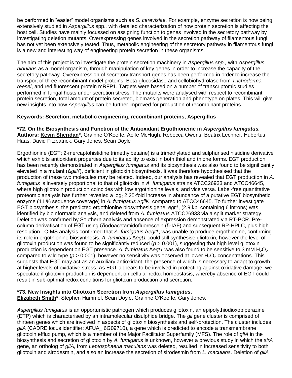be performed in "easier" model organisms such as *S. cerevisiae.* For example, enzyme secretion is now being extensively studied in *Aspergillus* spp.*,* with detailed characterization of how protein secretion is affecting the host cell. Studies have mainly focussed on assigning function to genes involved in the secretory pathway by investigating deletion mutants. Overexpressing genes involved in the secretion pathway of filamentous fungi has not yet been extensively tested. Thus, metabolic engineering of the secretory pathway in filamentous fungi is a new and interesting way of engineering protein secretion in these organisms.

The aim of this project is to investigate the protein secretion machinery in *Aspergillus spp.,* with *Aspergillus nidulans* as a model organism, through manipulation of key genes in order to increase the capacity of the secretory pathway. Overexpression of secretory transport genes has been performed in order to increase the transport of three recombinant model proteins: Beta-glucosidase and cellobiohydrolase from *Trichoderma reesei*, and red fluorescent protein mRFP1. Targets were based on a number of transcriptomic studies performed in fungal hosts under secretion stress. The mutants were analysed with respect to recombinant protein secretion, total amount of protein secreted, biomass generation and phenotype on plates. This will give new insights into how *Aspergillus* can be further improved for production of recombinant proteins.

#### **Keywords: Secretion, metabolic engineering, recombinant proteins, Aspergillus**

**\*72. On the Biosynthesis and Function of the Antioxidant Ergothioneine in** *Aspergillus fumigatus.* **Authors: Kevin Sheridan\*,** Grainne O'Keeffe, Aoife McHugh, Rebecca Owens, Beatrix Lechner, Hubertus Haas, David Fitzpatrick, Gary Jones, Sean Doyle

Ergothionine (EGT; 2-mercaptohistidine trimethylbetaine) is a trimethylated and sulphurised histidine derivative which exhibits antioxidant properties due to its ability to exist in both thiol and thione forms. EGT production has been recently demonstrated in *Aspergillus fumigatus* and its biosynthesis was also found to be significantly elevated in a mutant (Δ*gliK*), deficient in gliotoxin biosynthesis. It was therefore hypothesised that the production of these two molecules may be related. Indeed, our analysis has revealed that EGT production in *A. fumigatus* is inversely proportional to that of gliotoxin in *A. fumigatus* strains ATCC26933 and ATCC46645, where high gliotoxin production coincides with low ergothionine levels, and vice versa. Label-free quantitative proteomic analysis has further revealed a  $log<sub>2</sub>$  2.25-fold increase in abundance of a putative EGT biosynthetic enzyme (11 % sequence coverage) in *A. fumigatus* ∆*gliK*, compared to ATCC46645. To further investigate EGT biosynthesis, the predicted ergothionine biosynthesis gene, *egt1*, (2.9 kb; containing 6 introns) was identified by bioinformatic analysis, and deleted from *A. fumigatus* ATCC26933 via a split marker strategy. Deletion was confirmed by Southern analysis and absence of expression demonstrated via RT-PCR. Precolumn derivatisation of EGT using 5'iodoacetamidofluorescein (5-IAF) and subsequent RP-HPLC, plus high resolution LC-MS analysis confirmed that *A. fumigatus* Δ*egt1*, was unable to produce ergothionine, confirming its role in ergothionine biosynthesis. *A. fumigatus* Δ*egt1* could still synthesise gliotoxin, however the level of gliotoxin production was found to be significantly reduced (*p* > 0.001), suggesting that high level gliotoxin production is dependent on EGT presence. A. fumigatus Δegt1 was also found to be sensitive to 3 mM H<sub>2</sub>O<sub>2</sub> compared to wild type ( $p > 0.001$ ), however no sensitivity was observed at lower  $H_2O_2$  concentrations. This suggests that EGT may act as an auxiliary antioxidant, the presence of which is necessary to adapt to growth at higher levels of oxidative stress. As EGT appears to be involved in protecting against oxidative damage, we speculate if gliotoxin production is dependent on cellular redox homeostasis, whereby absence of EGT could result in sub-optimal redox conditions for gliotoxin production and secretion.

#### **\*73. New Insights into Gliotoxin Secretion from** *Aspergillus fumigatus***.**

**Elizabeth Smith\*,** Stephen Hammel, Sean Doyle, Grainne O'Keeffe, Gary Jones.

*Aspergillus fumigatus* is an opportunistic pathogen which produces gliotoxin, an epipolythiodioxopiperazine (ETP) which is characterised by an intramolecular disulphide bridge. The *gli* gene cluster is comprised of thirteen genes which are involved in aspects of gliotoxin biosynthesis and self-protection. The cluster includes *gliA* (CADRE locus identifier: AFUA 6G09710), a gene which is predicted to encode a transmembrane gliotoxin efflux pump, which is a member of the Major Facilitator Superfamily (MFS). The role of *gliA* in the biosynthesis and secretion of gliotoxin by *A. fumigatus* is unknown, however a previous study in which the *sirA* gene, an ortholog of *gliA,* from *Leptosphaeria maculans* was deleted, resulted in increased sensitivity to both gliotoxin and sirodesmin, and also an increase the secretion of sirodesmin from *L. maculans*. Deletion of *gliA*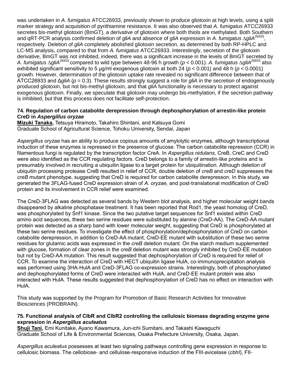was undertaken in *A. fumigatus* ATCC26933, previously shown to produce gliotoxin at high levels, using a split marker strategy and acquisition of pyrithiamine resistance. It was also observed that *A. fumigatus* ATCC26933 secretes bis-methyl gliotoxin (BmGT), a derivative of gliotoxin where both thiols are methylated. Both Southern and qRT-PCR analysis confirmed deletion of *gliA* and absence of *gliA* expression in *A. fumigatus* ∆*gliA*<sup>26933</sup> , respectively. Deletion of *gliA* completely abolished gliotoxin secretion, as determined by both RP-HPLC and LC-MS analysis, compared to that from *A. fumigatus* ATCC26933. Interestingly, secretion of the gliotoxin derivative, BmGT was not inhibited, indeed, there was a significant increase in the levels of BmGT secreted by *A. fumigatus* ∆*gliA*<sup>26933</sup>compared to wild type between 48-96 h growth (*p* < 0.001). *A. fumigatus* ∆*gliA*<sup>26933</sup> also exhibited significant sensitivity to 5 μg/ml exogenous gliotoxin at both 24 (*p* < 0.001) and 48 h (*p* < 0.0001) growth. However, determination of the gliotoxin uptake rate revealed no significant difference between that of ATCC26933 and Δ*gliA* (*p* = 0.3). These results strongly suggest a role for *gliA* in the secretion of endogenously produced gliotoxin, but not bis-methyl gliotoxin, and that *gliA* functionality is necessary to protect against exogenous gliotoxin. Finally, we speculate that gliotoxin may undergo bis-methylation, if the secretion pathway is inhibited, but that this process does not facilitate self-protection.

#### **74. Regulation of carbon catabolite derepression through dephosphorylation of arrestin-like protein CreD in** *Aspergillus oryzae*

**Mizuki Tanaka,** Tetsuya Hiramoto, Takahiro Shintani, and Katsuya Gomi Graduate School of Agricultural Science, Tohoku University, Sendai, Japan

*Aspergillus oryzae* has an ability to produce copious amounts of amylolytic enzymes, although transcriptional induction of these enzymes is repressed in the presence of glucose. The carbon catabolite repression (CCR) in filamentous fungi is regulated by the transcription factor CreA. In *Aspergillus nidulans*, CreB, CreC and CreD were also identified as the CCR regulating factors. CreD belongs to a family of arrestin-like proteins and is presumably involved in recruiting a ubiquitin ligase to a target protein for ubiquitination. Although deletion of ubiquitin processing protease CreB resulted in relief of CCR, double deletion of *creB* and *creD* suppresses the *creB* mutant phenotype, suggesting that CreD is required for carbon catabolite derepresson. In this study, we generated the 3FLAG-fused CreD expression strain of *A. oryzae,* and post-translational modification of CreD protein and its involvement in CCR relief were examined.

The CreD-3FLAG was detected as several bands by Western blot analysis, and higher molecular weight bands disappeared by alkaline phosphatase treatment. It has been reported that Rod1, the yeast homolog of CreD, was phosphorylated by Snf1 kinase. Since the two putative target sequences for Snf1 existed within CreD amino acid sequences, these two serine residues were substituted by alanine (CreD-AA). The CreD-AA mutant protein was detected as a sharp band with lower molecular weight, suggesting that CreD is phosphorylated at these two serine residues. To investigate the effect of phosphorylation/dephosphorylation of CreD on carbon catabolite derepression, in addition to CreD-AA mutant, CreD-EE mutant with substitution of these two serine residues for glutamic acids was expressed in the *creB* deletion mutant. On the starch medium supplemented with glucose, formation of clear zones in the *creB* deletion mutant was strongly inhibited by CreD-EE mutation but not by CreD-AA mutation. This result suggested that dephosphorylation of CreD is required for relief of CCR. To examine the interaction of CreD with HECT ubiquitin ligase HulA, co-immunoprecipitation analysis was performed using 3HA-HulA and CreD-3FLAG co-expression strains. Interestingly, both of phosphorylated and dephosphorylated forms of CreD were interacted with HulA, and CreD-EE mutant protein was also interacted with HulA. These results suggested that dephosphorylation of CreD has no effect on interaction with HulA.

This study was supported by the Program for Promotion of Basic Research Activities for Innovative Biosciences (PROBRAIN).

#### **75. Functional analysis of ClbR and ClbR2 controlling the cellulosic biomass degrading enzyme gene expression in** *Aspergillus aculeatus*

**Shuji Tani,** Emi Kunitake, Ayano Kawamura, Jun-ichi Sumitani, and Takashi Kawaguchi Graduate School of Life & Environmental Sciences, Osaka Prefecture University, Osaka, Japan.

*Aspergillus aculeatus* possesses at least two signaling pathways controlling gene expression in response to cellulosic biomass. The cellobiose- and cellulose-responsive induction of the FIII-avicelase (*cbhI*), FII-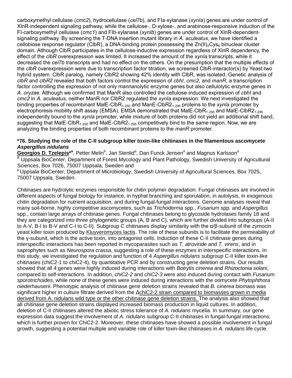carboxymethyl cellulase (*cmc2*), hydrocellulase (*cel7b*), and FIa-xylanase (*xynIa*) genes are under control of XlnR-independent signaling pathway, while the cellulose-, D-xylose-, and arabinose-responsive induction of the FI-carboxymethyl cellulase (*cmc1*) and FIb-xylanase (*xynIb*) genes are under control of XlnR-dependentsignaling pathway. By screening the T-DNA insertion mutant library in *A. aculeatus*, we have identified a cellobiose response regulator (ClbR), a DNA-binding protein possessing the  $Zn(II)_2Cys_6$  binuclear cluster domain. Although ClbR participates in the cellulose-inductive expression regardless of XlnR dependency, the effect of the *clbR* overexpression was limited. It increased the amount of the *xynIa* transcripts, while it decreased the *cel7b* transcripts and had no effect on the others. On the presumption that the multiple effects of the *clbR* overexpression were due to transcription factor titration, we screened ClbR-interactor(s) by Yeast-two hybrid system. ClbR paralog, namely ClbR2 showing 42% identity with ClbR, was isolated. Genetic analysis of *clbR* and *clbR2* revealed that both factors control the expression of *cbhI*, *cmc2*, and *manR*, a transcription factor controlling the expression of not only mannanolytic enzyme genes but also cellulolytic enzyme genes in *A. oryzae*. Although we confirmed that ManR also controlled the cellulose-induced expression of *cbhI* and *cmc2* in *A. aculeatus*, neither ManR nor ClbR2 regulated the *xynIa* expression. We next investigated the binding properties of recombinant MalE-ClbR<sub>1-250</sub> and ManE-ClbR2<sub>1-295</sub> proteins to the *xynIa* promoter by electrophoresis mobility shift assay (EMSA). EMSA demonstrated that MalE-ClbR<sub>1-250</sub> and MalE-ClbR2<sub>1-295</sub> independently bound to the *xynIa* promoter, while mixture of both proteins did not yield an additional shift band, suggesting that MalE-ClbR<sub>1-250</sub> and MalE-ClbR2<sub>1-295</sub> competitively bind to the same region. Now, we are analyzing the binding properties of both recombinant proteins to the *manR* promoter.

#### **\*76. Studying the role of the C-II subgroup killer toxin-like chitinases in the filamentous ascomycete**  *Aspergillus nidulans*

Georgios D. Tzelepis<sup>\*a</sup>, Petter Melin<sup>b</sup>, Jan Stenlid<sup>a</sup>, Dan Funck Jensen<sup>a</sup> and Magnus Karlsson<sup>a</sup> Uppsala BioCenter, Department of Forest Mycology and Plant Pathology, Swedish University of Agricultural Sciences, Box 7026, 75007 Uppsala, Sweden and

<sup>b</sup> Uppsala BioCenter, Department of Microbiology, Swedish University of Agricultural Sciences, Box 7025, 75007 Uppsala, Sweden.

Chitinases are hydrolytic enzymes responsible for chitin polymer degradation. Fungal chitinases are involved in different aspects of fungal biology for instance, in hyphal branching and sporulation, in autolysis, in exogenous chitin degradation for nutrient acquisition, and during fungal-fungal interactions. Genome analyses reveal that many soil-borne, highly competitive ascomycetes, such as *Trichoderma* spp., *Fusarium* spp. and *Aspergillus* spp., contain large arrays of chitinase genes. Fungal chitinases belong to glycoside hydrolases family 18 and they are categorized into three phylogenetic groups (A, B and C), which are further divided into subgroups (A-II to A-V, B-I to B-V and C-I to C-II). Subgroup C chitinases display similarity with the α/β-subunit of the zymocin yeast killer toxin produced by Kluyveromyces lactis. The role of these subunits is to facilitate the permeability of the γ-subunit, which is the active toxin, into antagonist cells. Induction of these C-II chitinase genes during interspecific interactions has been reported in mycoparasites such as *T. atroviride* and *T. virens*, and in saprophytes such as *Neurospora crassa*, suggesting a role of these enzymes in interspecific interactions. In this study, we investigated the regulation and function of 4 *Aspergillus nidulans* subgroup C-II killer toxin-like chitinases (chiC2-1 to chiC2-4), by quantitative PCR and by constructing gene deletion strains. Our results showed that all 4 genes were highly induced during interactions with *Botrytis cinerea* and *Rhizoctonia solani*, compared to self-interactions. In addition, *chiC2-2* and *chiC2-3* were also induced during contact with *Fusarium sporotrichoides*, while none of these genes were induced during interactions with the oomycete *Phytophthora niederhauserii*. Phenotypic analysis of chitinase gene deletion strains revealed that *B. cinerea* biomass was significant higher in culture filtrate derived from the ΔchiC2-2 strain compared to biomasses grown in media derived from A. nidulans wild type or the other chitinase gene deletion strains. The analysis also showed that all chitinase gene deletion strains displayed increased biomass production in liquid cultures. In addition, deletion of C-II chitinases altered the abiotic stress tolerance of *A. nidulans* mycelia. In summary, our gene expression data suggest the involvement of *A. nidulans* subgroup C-II chitinases in fungal-fungal interactions, which is further proven for ChiC2-2. Moreover, these chitinases have showed a possible involvement in fungal growth, suggesting a potential multiple and variable role of killer toxin-like chitinases in *A. nidulans* life cycle.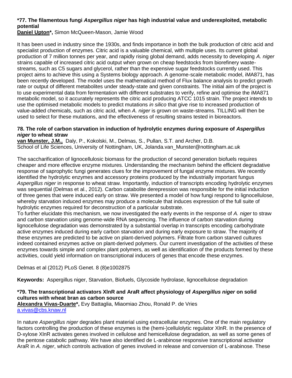### **\*77. The filamentous fungi** *Aspergillus niger* **has high industrial value and underexploited, metabolic potential**

**Daniel Upton\*,** Simon McQueen-Mason, Jamie Wood

It has been used in industry since the 1930s, and finds importance in both the bulk production of citric acid and specialist production of enzymes. Citric acid is a valuable chemical, with multiple uses. Its current global production of 7 million tonnes per year, and rapidly rising global demand, adds necessity to developing *A. niger* strains capable of increased citric acid output when grown on cheap feedstocks from biorefinery wastestreams, such as C5 sugars and glycerol, rather than the expensive sugar feedstocks currently used. This project aims to achieve this using a Systems biology approach. A genome-scale metabolic model, iMA871, has been recently developed. The model uses the mathematical method of Flux balance analysis to predict growth rate or output of different metabolites under steady-state and given constraints. The initial aim of the project is to use experimental data from fermentation with different substrates to verify, refine and optimise the iMA871 metabolic model, so it accurately represents the citric acid producing ATCC 1015 strain. The project intends to use the optimised metabolic models to predict mutations *in silico* that give rise to increased production of value-added chemicals, such as citric acid, when *A. niger* is grown on waste-streams. TILLING will then be used to select for these mutations, and the effectiveness of resulting strains tested in bioreactors.

#### **78. The role of carbon starvation in induction of hydrolytic enzymes during exposure of** *Aspergillus niger* **to wheat straw**

**van Munster, J.M.,** Daly, P., Kokolski, M., Delmas, S., Pullan, S.T. and Archer, D.B. School of Life Sciences, University of Nottingham, UK, Jolanda.van Munster@nottingham.ac.uk

The saccharification of lignocellulosic biomass for the production of second generation biofuels requires cheaper and more effective enzyme mixtures. Understanding the mechanism behind the efficient degradative response of saprophytic fungi generates clues for the improvement of fungal enzyme mixtures. We recently identified the hydrolytic enzymes and accessory proteins produced by the industrially important fungus *Aspergillus niger* in response to wheat straw. Importantly, induction of transcripts encoding hydrolytic enzymes was sequential (Delmas et al., 2012). Carbon catabolite derepression was responsible for the initial induction of three genes that were induced early on straw. We presented a model of how fungi respond to lignocellulose, whereby starvation induced enzymes may produce a molecule that induces expression of the full suite of hydrolytic enzymes required for deconstruction of a particular substrate.

To further elucidate this mechanism, we now investigated the early events in the response of *A. niger* to straw and carbon starvation using genome-wide RNA sequencing. The influence of carbon starvation during lignocellulose degradation was demonstrated by a substantial overlap in transcripts encoding carbohydrate active enzymes induced during early carbon starvation and during early exposure to straw. The majority of these enzymes are predicted to be active on plant-derived polymers. Filtrate from carbon starved cultures indeed contained enzymes active on plant-derived polymers. Our current investigation of the activities of these enzymes towards simple and complex plant polymers, as well as identification of the products formed by these activities, could yield information on transcriptional inducers of genes that encode these enzymes.

Delmas et al (2012) PLoS Genet. 8 (8)e1002875

**Keywords:** Aspergillus niger, Starvation, Biofuels, Glycoside hydrolase, lignocellulose degradation

#### **\*79. The transcriptional activators XlnR and AraR affect physiology of** *Aspergillus niger* **on solid cultures with wheat bran as carbon source**

**Alexandra Vivas-Duarte\*,** Evy Battaglia, Miaomiao Zhou, Ronald P. de Vries [a.vivas@cbs.knaw.nl](mailto:a.vivas@cbs.knaw.nl)

In nature *Aspergillus niger* degrades plant material using extracellular enzymes. One of the main regulatory factors controlling the production of these enzymes is the (hemi-)cellulolytic regulator XlnR. In the presence of D-xylose XlnR activates genes involved in cellulose and hemicellulose degradation, as well as some genes of the pentose catabolic pathway. We have also identified de L-arabinose responsive transcriptional activator AraR in *A. niger*, which controls activation of genes involved in release and conversion of L-arabinose. These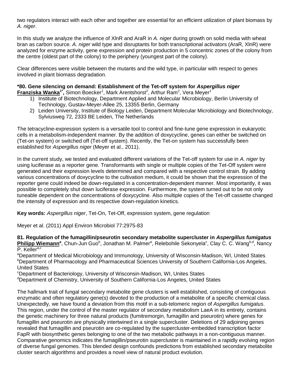two regulators interact with each other and together are essential for an efficient utilization of plant biomass by *A. niger*.

In this study we analyze the influence of XlnR and AraR in *A. niger* during growth on solid media with wheat bran as carbon source. *A. niger* wild type and disruptants for both transcriptional activators (AraR, XlnR) were analyzed for enzyme activity, gene expression and protein production in 5 concentric zones of the colony from the centre (oldest part of the colony) to the periphery (youngest part of the colony).

Clear differences were visible between the mutants and the wild type, in particular with respect to genes involved in plant biomass degradation.

## **\*80. Gene silencing on demand: Establishment of the Tet-off system for** *Aspergillus niger*

- **Franziska Wanka<sup>1\*</sup>,** Simon Boecker<sup>1</sup>, Mark Arentshorst<sup>2</sup>, Arthur Ram<sup>2</sup>, Vera Meyer<sup>1</sup>
	- 1) Institute of Biotechnology, Department Applied and Molecular Microbiology, Berlin University of Technology, Gustav-Meyer-Allee 25, 13355 Berlin, Germany
	- 2) Leiden University, Institute of Biology Leiden, Department Molecular Microbiology and Biotechnology, Sylviusweg 72, 2333 BE Leiden, The Netherlands

The tetracycline-expression system is a versatile tool to control and fine-tune gene expression in eukaryotic cells in a metabolism-independent manner. By the addition of doxycycline, genes can either be switched on (Tet-on system) or switched off (Tet-off system). Recently, the Tet-on system has successfully been established for *Aspergillus niger* (Meyer et al., 2011).

In the current study, we tested and evaluated different variations of the Tet-off system for use in *A. niger* by using luciferase as a reporter gene. Transformants with single or multiple copies of the Tet-Off system were generated and their expression levels determined and compared with a respective control strain. By adding various concentrations of doxycycline to the cultivation medium, it could be shown that the expression of the reporter gene could indeed be down-regulated in a concentration-dependent manner. Most importantly, it was possible to completely shut down luciferase expression. Furthermore, the system turned out to be not only tuneable dependent on the concentrations of doxycycline. Also multiple copies of the Tet-off cassette changed the intensity of expression and its respective down-regulation kinetics.

**Key words:** *Aspergillus niger*, Tet-On, Tet-Off, expression system, gene regulation

Meyer et al. (2011) Appl Environ Microbiol 77:2975-83

**81. Regulation of the fumagillin/pseurotin secondary metabolite supercluster in** *Aspergillus fumigatus* Philipp Wiemann<sup>a</sup>, Chun-Jun Guo<sup>b</sup>, Jonathan M. Palmer<sup>a</sup>, Relebohile Sekonyela<sup>c</sup>, Clay C. C. Wang<sup>b,d</sup>, Nancy P. Keller<sup>a,c</sup>

<sup>a</sup>Department of Medical Microbiology and Immunology, University of Wisconsin-Madison, WI, United States <sup>b</sup>Department of Pharmacology and Pharmaceutical Sciences University of Southern California-Los Angeles, United States

<sup>c</sup>Department of Bacteriology, University of Wisconsin-Madison, WI, Unites States

<sup>d</sup>Department of Chemistry, University of Southern California-Los Angeles, United States

The hallmark trait of fungal secondary metabolite gene clusters is well established, consisting of contiguous enzymatic and often regulatory gene(s) devoted to the production of a metabolite of a specific chemical class. Unexpectedly, we have found a deviation from this motif in a sub-telomeric region of *Aspergillus fumigatus*. This region, under the control of the master regulator of secondary metabolism LaeA in its entirety, contains the genetic machinery for three natural products (fumitremorgin, fumagillin and pseurotin) where genes for fumagillin and pseurotin are physically intertwined in a single supercluster. Deletions of 29 adjoining genes revealed that fumagillin and pseurotin are co-regulated by the supercluster-embedded transcription factor FapR with biosynthetic genes belonging to one of the two metabolic pathways in a non-contiguous manner. Comparative genomics indicates the fumagillin/pseurotin supercluster is maintained in a rapidly evolving region of diverse fungal genomes. This blended design confounds predictions from established secondary metabolite cluster search algorithms and provides a novel view of natural product evolution.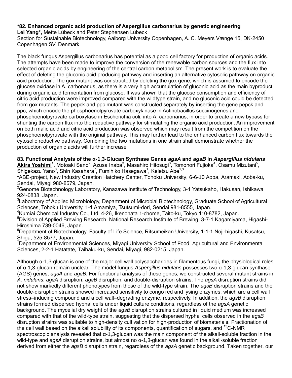#### **\*82. Enhanced organic acid production of Aspergillus carbonarius by genetic engineering Lei Yang\*,** Mette Lübeck and Peter Stephensen Lübeck

Section for Sustainable Biotechnology, Aalborg University Copenhagen, A. C. Meyers Vænge 15, DK-2450 Copenhagen SV, Denmark

The black fungus Aspergillus carbonarius has potential as a good cell factory for production of organic acids. The attempts have been made to improve the conversion of the renewable carbon sources and the flux into selected organic acids by engineering of the central carbon metabolism. The present work is to evaluate the effect of deleting the gluconic acid producing pathway and inserting an alternative cytosolic pathway on organic acid production. The gox mutant was constructed by deleting the gox gene, which is assumed to encode the glucose oxidase in A. carbonarius, as there is a very high accumulation of gluconic acid as the main byproduct during organic acid fermentation from glucose. It was shown that the glucose consumption and efficiency of citric acid production were improved compared with the wildtype strain, and no gluconic acid could be detected from gox mutants. The pepck and ppc mutant was constructed separately by inserting the gene pepck and ppc, which encode the phosphoenolpyruvate carboxykinase in Actinobacillus succinogenes and phosphoenolpyruvate carboxylase in Escherichia coli, into A. carbonarius, in order to create a new bypass for shunting the carbon flux into the reductive pathway for stimulating the organic acid production. An improvement on both malic acid and citric acid production was observed which may result from the competition on the phosphoenolpyruvate with the original pathway. This may further lead to the enhanced carbon flux towards the cytosolic reductive pathway. Combining the two mutations in one strain shall demonstrate whether the production of organic acids will further increase.

**83. Functional Analysis of the α-1,3-Glucan Synthase Genes** *agsA* **and** *agsB* **in** *Aspergillus nidulans* Akira Yoshimi<sup>1</sup>, Motoaki Sano<sup>2</sup>, Azusa Inaba<sup>3</sup>, Masahiro Hitosugi<sup>3</sup>, Tomonori Fujioka<sup>4</sup>, Osamu Mizutani<sup>5</sup>, Shigekazu Yano $^6$ , Shin Kasahara<sup>7</sup>, Fumihiko Hasegawa<sup>1</sup>, Keietsu Abe<sup>1,3</sup>

<sup>1</sup>ABE-project, New Industry Creation Hatchery Center, Tohoku University, 6-6-10 Aoba, Aramaki, Aoba-ku, Sendai, Miyagi 980-8579, Japan.

 $2$ Genome Biotechnology Laboratory, Kanazawa Institute of Technology, 3-1 Yatsukaho, Hakusan, Ishikawa 924-0838, Japan.

<sup>3</sup>Laboratory of Applied Microbiology, Department of Microbial Biotechnology, Graduate School of Agricultural Sciences, Tohoku University, 1-1 Amamiya, Tsutsumi-dori, Sendai 981-8555, Japan.

<sup>4</sup>Kumiai Chemical Industry Co., Ltd. 4-26, Ikenohata 1-chome, Taito-ku, Tokyo 110-8782, Japan.

<sup>5</sup>Division of Applied Brewing Research, National Research Institute of Brewing, 3-7-1 Kagamiyama, Higashi-Hiroshima 739-0046, Japan.

<sup>6</sup>Department of Biotechnology, Faculty of Life Science, Ritsumeikan University, 1-1-1 Noji-higashi, Kusatsu, Shiga, 525-8577, Japan.

<sup>7</sup>Department of Environmental Sciences, Miyagi University School of Food, Agricultural and Environmental Sciences, 2-2-1 Hatatate, Taihaku-ku, Sendai, Miyagi, 982-0215, Japan.

Although α-1,3-glucan is one of the major cell wall polysaccharides in filamentous fungi, the physiological roles of α-1,3-glucan remain unclear. The model fungus *Aspergillus nidulans* possesses two α-1,3-glucan synthase (AGS) genes, *agsA* and *agsB*. For functional analysis of these genes, we constructed several mutant strains in *A. nidulans*: *agsA* disruption, *agsB* disruption, and double-disruption strains. The *agsA* disruption strains did not show markedly different phenotypes from those of the wild-type strain. The *agsB* disruption strains and the double-disruption strains showed increased sensitivity to congo red and lysing enzymes, which are a cell wall stress–inducing compound and a cell wall–degrading enzyme, respectively. In addition, the *agsB* disruption strains formed dispersed hyphal cells under liquid culture conditions, regardless of the *agsA* genetic background. The mycelial dry weight of the *agsB* disruption strains cultured in liquid medium was increased compared with that of the wild-type strain, suggesting that the dispersed hyphal cells observed in the *agsB* disruption strains was suitable to high-density cultivation for high-production of biomaterials. Fractionation of the cell wall based on the alkali solubility of its components, quantification of sugars, and  $^{13}$ C-NMR spectroscopic analysis revealed that α-1,3-glucan was the main component of the alkali-soluble fraction in the wild-type and *agsA* disruption strains, but almost no α-1,3-glucan was found in the alkali-soluble fraction derived from either the *agsB* disruption strain, regardless of the *agsA* genetic background. Taken together, our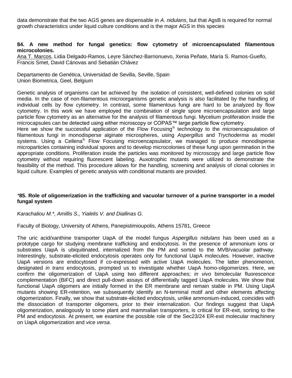data demonstrate that the two AGS genes are dispensable in *A. nidulans*, but that AgsB is required for normal growth characteristics under liquid culture conditions and is the major AGS in this species

#### **84. A new method for fungal genetics: flow cytometry of microencapsulated filamentous microcolonies.**

Ana T. Marcos, Lidia Delgado-Ramos, Leyre Sánchez-Barrionuevo, Xenia Peñate, María S. Ramos-Guelfo, Francis Smet, David Cánovas and Sebatián Chávez

Departamento de Genética, Universidad de Sevilla, Seville, Spain Union Biometrica, Geel, Belgium

Genetic analysis of organisms can be achieved by the isolation of consistent, well-defined colonies on solid media. In the case of non-filamentous microorganisms genetic analysis is also facilitated by the handling of individual cells by flow cytometry. In contrast, some filamentous fungi are hard to be analyzed by flow cytometry. In this work we have employed the combination of single spore microencapsulation and large particle flow cytometry as an alternative for the analysis of filamentous fungi. Mycelium proliferation inside the microcapsules can be detected using either microscopy or COPAS™ large particle flow cytometry.

Here we show the successful application of the Flow Focusing<sup>®</sup> technology to the microencapsulation of filamentous fungi in monodisperse alginate microspheres, using *Aspergillus* and *Trychoderma* as model systems. Using a Cellena<sup>®</sup> Flow Focusing microencapsulator, we managed to produce monodisperse microparticles containing individual spores and to develop microcolonies of these fungi upon germination in the appropriate conditions. Proliferation inside the particles was monitored by microscopy and large particle flow cytometry without requiring fluorescent labeling. Auxotrophic mutants were utilized to demonstrate the feasibility of the method. This procedure allows for the handling, screening and analysis of clonal colonies in liquid culture. Examples of genetic analysis with conditional mutants are provided.

#### *\****85. Role of oligomerization in the trafficking and vacuolar turnover of a purine transporter in a model fungal system**

*Karachaliou M.\*, Amillis S., Yialelis V. and Diallinas G.*

Faculty of Biology, University of Athens, Panepistimioupolis, Athens 15781, Greece

The uric acid/xanthine transporter UapA of the model fungus *Aspergillus nidulans* has been used as a prototype cargo for studying membrane trafficking and endocytosis. In the presence of ammonium ions or substrates UapA is ubiquitinated, internalized from the PM and sorted to the MVB/vacuolar pathway. Interestingly, substrate-elicited endocytosis operates only for functional UapA molecules. However, inactive UapA versions are endocytosed if co-expressed with active UapA molecules. The latter phenomenon, designated *in trans* endocytosis, prompted us to investigate whether UapA homo-oligomerizes. Here, we confirm the oligomerization of UapA using two different approaches; *in vivo* bimolecular fluorescence complementation (BiFC) and direct pull-down assays of differentially tagged UapA molecules. We show that functional UapA oligomers are initially formed in the ER membrane and remain stable in PM. Using UapA mutants showing ER-retention, we subsequently identify an N-terminal motif and other elements affecting oligomerization. Finally, we show that substrate-elicited endocytosis, unlike ammonium-induced, coincides with the dissociation of transporter oligomers, prior to their internalization. Our findings suggest that UapA oligomerization, analogously to some plant and mammalian transporters, is critical for ER-exit, sorting to the PM and endocytosis. At present, we examine the possible role of the Sec23/24 ER-exit molecular machinery on UapA oligomerization and *vice versa*.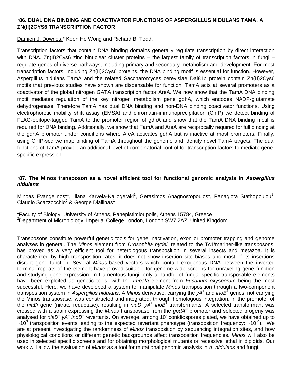#### \***86. DUAL DNA BINDING AND COACTIVATOR FUNCTIONS OF ASPERGILLUS NIDULANS TAMA, A ZN(II)2CYS6 TRANSCRIPTION FACTOR**

Damien J. Downes,<sup>\*</sup> Koon Ho Wong and Richard B. Todd.

Transcription factors that contain DNA binding domains generally regulate transcription by direct interaction with DNA. Zn(II)2Cys6 zinc binuclear cluster proteins – the largest family of transcription factors in fungi – regulate genes of diverse pathways, including primary and secondary metabolism and development. For most transcription factors, including Zn(II)2Cys6 proteins, the DNA binding motif is essential for function. However, Aspergillus nidulans TamA and the related Saccharomyces cerevisiae Dal81p protein contain Zn(II)2Cys6 motifs that previous studies have shown are dispensable for function. TamA acts at several promoters as a coactivator of the global nitrogen GATA transcription factor AreA. We now show that the TamA DNA binding motif mediates regulation of the key nitrogen metabolism gene gdhA, which encodes NADP-glutamate dehydrogenase. Therefore TamA has dual DNA binding and non-DNA binding coactivator functions. Using electrophoretic mobility shift assay (EMSA) and chromatin-immunoprecipitation (ChIP) we detect binding of FLAG-epitope-tagged TamA to the promoter region of gdhA and show that the TamA DNA binding motif is required for DNA binding. Additionally, we show that TamA and AreA are reciprocally required for full binding at the gdhA promoter under conditions where AreA activates gdhA but is inactive at most promoters. Finally, using ChIP-seq we map binding of TamA throughout the genome and identify novel TamA targets. The dual functions of TamA provide an additional level of combinatorial control for transcription factors to mediate genespecific expression.

#### \***87. The Minos transposon as a novel efficient tool for functional genomic analysis in** *Aspergillus nidulans*

Minoas Evangelinos<sup>1\*</sup>, Iliana Karvela-Kallogeraki<sup>1</sup>, Gerasimos Anagnostopoulos<sup>1</sup>, Panagiota Stathopoulou<sup>1</sup>, Claudio Scazzocchio $^2$  & George Diallinas<sup>1</sup>

<sup>1</sup>Faculty of Biology, University of Athens, Panepistimioupolis, Athens 15784, Greece <sup>2</sup>Department of Microbiology, Imperial College London, London SW7 2AZ, United Kingdom.

Transposons constitute powerful genetic tools for gene inactivation, exon or promoter trapping and genome analyses in general. The *Minos* element from *Drosophila hydei,* related to the Tc1/mariner-like transposons, has proved as a very efficient tool for heterologous transposition in several insects and metazoa. It is characterized by high transposition rates, it does not show insertion site biases and most of its insertions disrupt gene function. Several *Minos*-based vectors which contain exogenous DNA between the inverted terminal repeats of the element have proved suitable for genome-wide screens for unraveling gene function and studying gene expression. In filamentous fungi, only a handful of fungal-specific transposable elements have been exploited as genetic tools, with the *Impala* element from *Fusarium oxysporum* being the most successful. Here, we have developed a system to manipulate *Minos* transposition through a two-component transposition system in *Aspergillus nidulans*. A *Minos* derivative, carrying the *yA<sup>+</sup>* and *inoB<sup>+</sup>* genes, not carrying the Minos transposase, was constructed and integrated, through homologous integration, in the promoter of the *niaD* gene (nitrate reductase), resulting in *niaD* yA<sup>+</sup> inoB<sup>+</sup> transformants. A selected transformant was crossed with a strain expressing the *Minos* transposase from the *gpdA<sup>m</sup>* promoter and selected progeny was analysed for *niaD<sup>+</sup> yA<sup>+</sup> inoB<sup>+</sup>* revertants. On average, among 10<sup>7</sup> conidiospores plated, we have obtained up to  $\sim$ 10<sup>3</sup> transposition events leading to the expected revertant phenotype (transposition frequency:  $\sim$ 10<sup>-4</sup>). We are at present investigating the randomness of *Minos* transposition by sequencing integration sites, and how physiological conditions or different genetic backgrounds affect transposition frequencies. *Minos* will also be used in selected specific screens and for obtaining morphological mutants or recessive lethal in diploids. Our work will allow the evaluation of *Minos* as a tool for mutational genomic analysis in *A. nidulans* and fungi.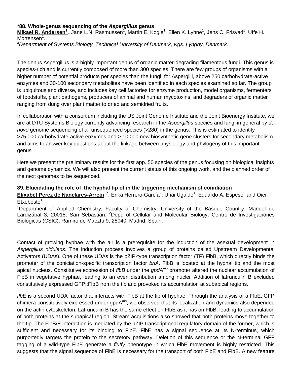#### **\*88. Whole-genus sequencing of the** *Aspergillus* **genus**

**Mikael R. Andersen<sup>1</sup>,** Jane L.N. Rasmussen<sup>1</sup>, Martin E. Kogle<sup>1</sup>, Ellen K. Lyhne<sup>1</sup>, Jens C. Frisvad<sup>1</sup>, Uffe H. Mortensen<sup>1</sup>.

*<sup>a</sup>Department of Systems Biology, Technical University of Denmark, Kgs. Lyngby, Denmark.*

The genus Aspergillus is a highly important genus of organic matter-degrading filamentous fungi. This genus is species-rich and is currently composed of more than 300 species. There are few groups of organisms with a higher number of potential products per species than the fungi; for Aspergilli, above 250 carbohydrate-active enzymes and 30-100 secondary metabolites have been identified in each species examined so far. The group is ubiquitous and diverse, and includes key cell factories for enzyme production, model organisms, fermenters of foodstuffs, plant pathogens, producers of animal and human mycotoxins, and degraders of organic matter ranging from dung over plant matter to dried and semidried fruits.

In collaboration with a consortium including the US Joint Genome Institute and the Joint Bioenergy Institute, we are at DTU Systems Biology currently advancing research in the *Aspergillus* species and fungi in general by *de novo* genome sequencing of all unsequenced species (>280) in the genus. This is estimated to identify >75,000 carbohydrate-active enzymes and > 10,000 new biosynthetic gene clusters for secondary metabolism and aims to answer key questions about the linkage between physiology and phylogeny of this important genus.

Here we present the preliminary results for the first app. 50 species of the genus focusing on biological insights and genome dynamics. We will also present the current status of this ongoing work, and the planned order of the next genomes to be sequenced.

#### **89. Elucidating the role of the hyphal tip of in the triggering mechanism of conidiation**

Elixabet Perez de Nanclares-Arregi<sup>1,\*</sup>, Erika Herrero-García<sup>2</sup>, Unai Ugalde<sup>1</sup>, Eduardo A. Espeso<sup>2</sup> and Oier Etxebeste<sup>1</sup>.

<sup>1</sup>Department of Applied Chemistry, Faculty of Chemistry, University of the Basque Country. Manuel de Lardizábal 3, 20018, San Sebastián. <sup>2</sup>Dept. of Cellular and Molecular Biology, Centro de Investigaciones Biológicas (CSIC), Ramiro de Maeztu 9, 28040, Madrid, Spain.

Contact of growing hyphae with the air is a prerequisite for the induction of the asexual development in *Aspergillus nidulans*. The induction process involves a group of proteins called Upstream Developmental Activators (UDAs). One of these UDAs is the bZIP-type transcription factor (TF) FlbB, which directly binds the promoter of the coniciation-specific transcription factor *brlA*. FlbB is located at the hyphal tip and the most apical nucleus. Constitutive expression of *flbB* under the *gpd*A *mp* promoter altered the nuclear accumulation of FlbB in vegetative hyphae, leading to an even distribution among nuclei. Addition of latrunculin B excluded constitutively expressed GFP::FlbB from the tip and provoked its accumulation at subapical regions.

*flbE* is a second UDA factor that interacts with FlbB at the tip of hyphae. Through the analysis of a FlbE::GFP chimera constitutively expressed under gpdA*mp*, we observed that its localization and dynamics also depended on the actin cytoskeleton. Latrunculin B has the same effect on FlbE as it has on FlbB, leading to accumulation of both proteins at the subapical region. Stream acquisitions also showed that both proteins move together to the tip. The FlbB/E interaction is mediated by the bZIP transcriptional regulatory domain of the former, which is sufficient and necessary for its binding to FIbE. FIbE has a signal sequence at its N-terminus, which purportedly targets the protein to the secretory pathway. Deletion of this sequence or the N-terminal GFP tagging of a wild-type FlbE generate a *fluffy* phenotype in which FlbE movement is highly restricted. This suggests that the signal sequence of FlbE is necessary for the transport of both FlbE and FlbB. A new feature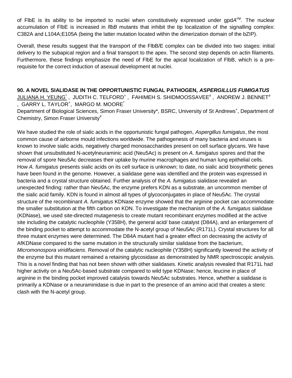of FIbE is its ability to be imported to nuclei when constitutively expressed under gpdA<sup>mp</sup>. The nuclear accumulation of FlbE is increased in *flbB* mutants that inhibit the tip localization of the signalling complex: C382A and L104A;E105A (being the latter mutation located within the dimerization domain of the bZIP).

Overall, these results suggest that the transport of the FlbB/E complex can be divided into two stages: initial delivery to the subapical region and a final transport to the apex. The second step depends on actin filaments. Furthermore, these findings emphasize the need of FlbE for the apical localization of FlbB, which is a prerequisite for the correct induction of asexual development at nuclei.

**90. A NOVEL SIALIDASE IN THE OPPORTUNISTIC FUNGAL PATHOGEN,** *ASPERGILLUS FUMIGATUS*  $\,$ JULIANA H. YEUN $\rm G^*$  ,  $\,$  JUDITH C. TELFORD $^*$  , <code>FAHIMEH</code> S. SHIDMOOSSAVEE $^*$  , <code>ANDREW</code> J. BENNET $^*$ , GARRY L. TAYLOR<sup>+</sup> , MARGO M. MOORE\* Department of Biological Sciences, Simon Fraser University\*, BSRC, University of St Andrews<sup>+</sup>, Department of Chemistry, Simon Fraser University<sup>#</sup>

We have studied the role of sialic acids in the opportunistic fungal pathogen, *Aspergillus fumigatus*, the most common cause of airborne mould infections worldwide. The pathogenesis of many bacteria and viruses is known to involve sialic acids, negatively charged monosaccharides present on cell surface glycans. We have shown that unsubstituted N-acetylneuraminic acid (Neu5Ac) is present on *A. fumigatus* spores and that the removal of spore Neu5Ac decreases their uptake by murine macrophages and human lung epithelial cells. How *A. fumigatus* presents sialic acids on its cell surface is unknown; to date, no sialic acid biosynthetic genes have been found in the genome. However, a sialidase gene was identified and the protein was expressed in bacteria and a crystal structure obtained. Further analysis of the *A. fumigatus* sialidase revealed an unexpected finding: rather than Neu5Ac, the enzyme prefers KDN as a substrate, an uncommon member of the sialic acid family. KDN is found in almost all types of glycoconjugates in place of Neu5Ac. The crystal structure of the recombinant *A. fumigatus* KDNase enzyme showed that the arginine pocket can accommodate the smaller substitution at the fifth carbon on KDN. To investigate the mechanism of the *A. fumigatus* sialidase (KDNase), we used site-directed mutagenesis to create mutant recombinant enzymes modified at the active site including the catalytic nucleophile (Y358H), the general acid/ base catalyst (D84A), and an enlargement of the binding pocket to attempt to accommodate the N-acetyl group of Neu5Ac (R171L). Crystal structures for all three mutant enzymes were determined. The D84A mutant had a greater effect on decreasing the activity of AfKDNase compared to the same mutation in the structurally similar sialidase from the bacterium, *Micromonospora viridifaciens*. Removal of the catalytic nucleophile (Y358H) significantly lowered the activity of the enzyme but this mutant remained a retaining glycosidase as demonstrated by NMR spectroscopic analysis. This is a novel finding that has not been shown with other sialidases. Kinetic analysis revealed that R171L had higher activity on a Neu5Ac-based substrate compared to wild type KDNase; hence, leucine in place of arginine in the binding pocket improved catalysis towards Neu5Ac substrates. Hence, whether a sialidase is primarily a KDNase or a neuraminidase is due in part to the presence of an amino acid that creates a steric clash with the N-acetyl group.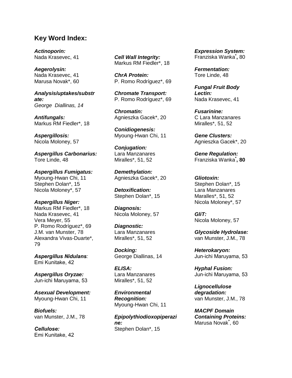## **Key Word Index:**

*Actinoporin:*  Nada Krasevec, 41

*Aegerolysin:* Nada Krasevec, 41 Marusa Novak\*, 60

*Analysis/uptakes/substr ate: George Diallinas, 14*

*Antifungals:* Markus RM Fiedler\*, 18

*Aspergillosis:* Nicola Moloney, 57

*Aspergillus Carbonarius:* Tore Linde, 48

*Aspergillus Fumigatus:* Myoung-Hwan Chi, 11 Stephen Dolan\*, 15 Nicola Moloney\*, 57

*Aspergillus Niger:* Markus RM Fiedler\*, 18 Nada Krasevec, 41 Vera Meyer, 55 P. Romo Rodríguez\*, 69 J.M. van Munster, 78 Alexandra Vivas-Duarte\*, 79

*Aspergillus Nidulans:* Emi Kunitake, 42

*Aspergillus Oryzae:* Jun-ichi Maruyama, 53

*Asexual Development:* Myoung-Hwan Chi, 11

*Biofuels:* van Munster, J.M., 78

*Cellulose:*  Emi Kunitake, 42 *Cell Wall Integrity:* Markus RM Fiedler\*, 18

*ChrA Protein:* P. Romo Rodríguez\*, 69

*Chromate Transport:* P. Romo Rodríguez\*, 69

*Chromatin:* Agnieszka Gacek\*, 20

*Conidiogenesis:* Myoung-Hwan Chi, 11

*Conjugation:* Lara Manzanares Miralles\*, 51, 52

*Demethylation:* Agnieszka Gacek\*, 20

*Detoxification:* Stephen Dolan\*, 15

*Diagnosis:* Nicola Moloney, 57

*Diagnostic:* Lara Manzanares Miralles\*, 51, 52

*Docking:* George Diallinas, 14

*ELISA:* Lara Manzanares Miralles\*, 51, 52

*Environmental Recognition:* Myoung-Hwan Chi, 11

*Epipolythiodioxopiperazi ne:* Stephen Dolan\*, 15

*Expression System:* Franziska Wanka**\* ,** 80

*Fermentation:* Tore Linde, 48

*Fungal Fruit Body Lectin:* Nada Krasevec, 41

*Fusarinine:* C Lara Manzanares Miralles\*, 51, 52

*Gene Clusters:* Agnieszka Gacek\*, 20

*Gene Regulation:* Franziska Wanka**\* , 80**

#### *Gliotoxin:* Stephen Dolan\*, 15 Lara Manzanares Maralles\*, 51, 52 Nicola Moloney\*, 57

*GliT:* Nicola Moloney, 57

*Glycoside Hydrolase:* van Munster, J.M., 78

*Heterokaryon:* Jun-ichi Maruyama, 53

*Hyphal Fusion:* Jun-ichi Maruyama, 53

*Lignocellulose degradation:* van Munster, J.M., 78

*MACPF Domain Containing Proteins:* Marusa Novak**\*** , 60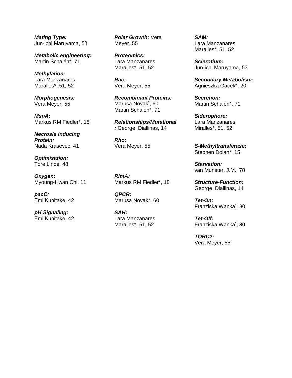*Mating Type:* Jun-ichi Maruyama, 53

*Metabolic engineering:* Martin Schalén\*, 71

*Methylation:* Lara Manzanares Maralles\*, 51, 52

*Morphogenesis:* Vera Meyer, 55

*MsnA:* Markus RM Fiedler\*, 18

*Necrosis Inducing Protein:* Nada Krasevec, 41

*Optimisation:* Tore Linde, 48

*Oxygen:*  Myoung-Hwan Chi, 11

*pacC:* Emi Kunitake, 42

*pH Signaling:* Emi Kunitake, 42 *Polar Growth:* Vera Meyer, 55

*Proteomics:* Lara Manzanares Maralles\*, 51, 52

*Rac:* Vera Meyer, 55

*Recombinant Proteins:* Marusa Novak**\*** , 60 Martin Schalen\*, 71

*Relationships/Mutational :* George Diallinas, 14

*Rho:* Vera Meyer, 55

*RlmA:* Markus RM Fiedler\*, 18

*QPCR:* Marusa Novak\*, 60

*SAH:* Lara Manzanares Maralles\*, 51, 52

*SAM:* Lara Manzanares Maralles\*, 51, 52

*Sclerotium:* Jun-ichi Maruyama, 53

*Secondary Metabolism:* Agnieszka Gacek\*, 20

*Secretion:* Martin Schalén\*, 71

*Siderophore:* Lara Manzanares Miralles\*, 51, 52

*S-Methyltransferase:* Stephen Dolan\*, 15

*Starvation:* van Munster, J.M., 78

*Structure-Function:* George Diallinas, 14

*Tet-On:* Franziska Wanka**\*** , 80

*Tet-Off:* Franziska Wanka**\* , 80**

*TORC2:* Vera Meyer, 55